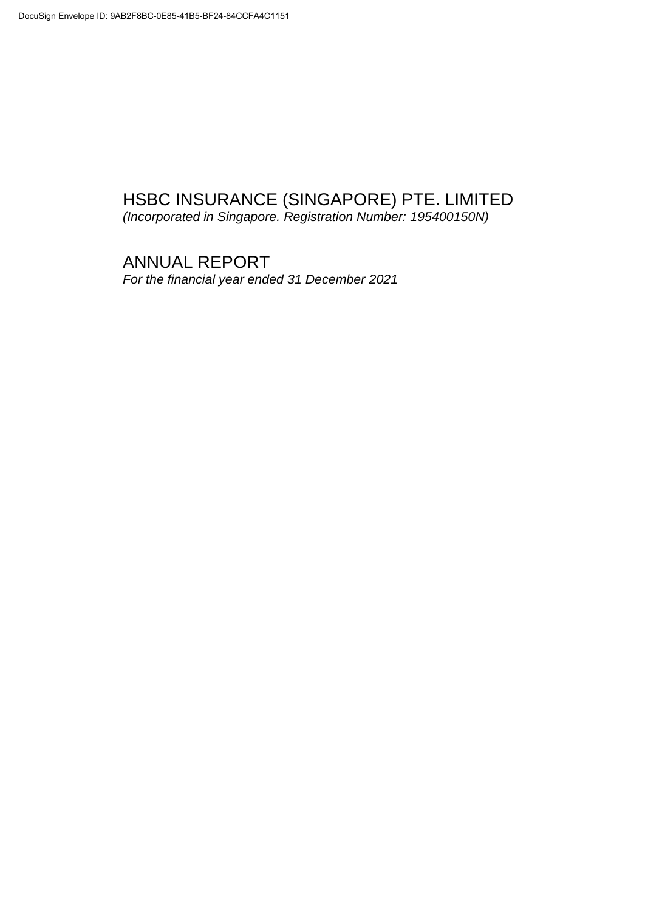*(Incorporated in Singapore. Registration Number: 195400150N)*

# ANNUAL REPORT *For the financial year ended 31 December 2021*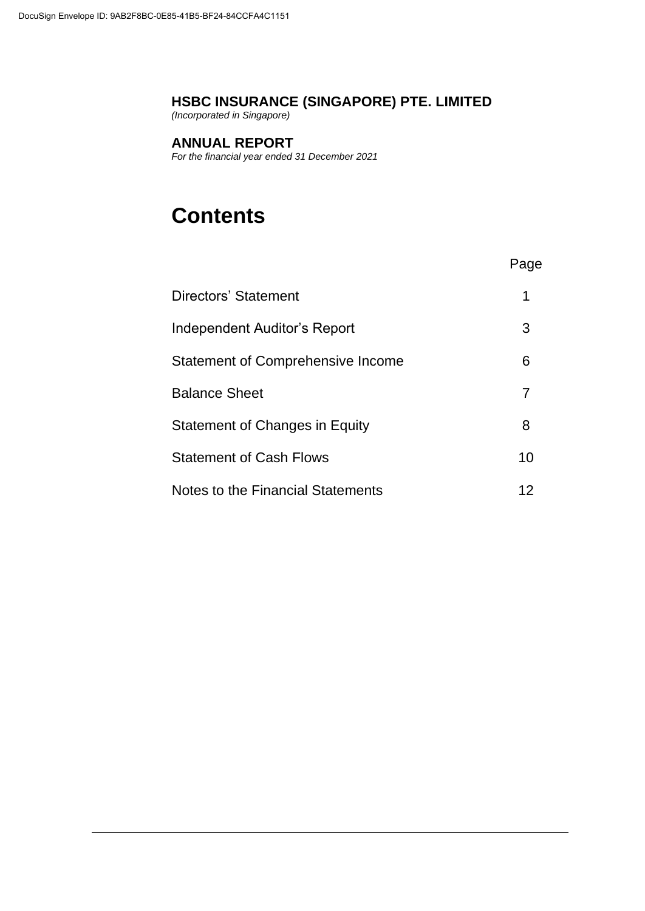*(Incorporated in Singapore)*

# **ANNUAL REPORT**

*For the financial year ended 31 December 2021*

# **Contents**

| Directors' Statement              |    |
|-----------------------------------|----|
| Independent Auditor's Report      | 3  |
| Statement of Comprehensive Income | 6  |
| <b>Balance Sheet</b>              |    |
| Statement of Changes in Equity    | 8  |
| <b>Statement of Cash Flows</b>    | 10 |
| Notes to the Financial Statements | 12 |

Page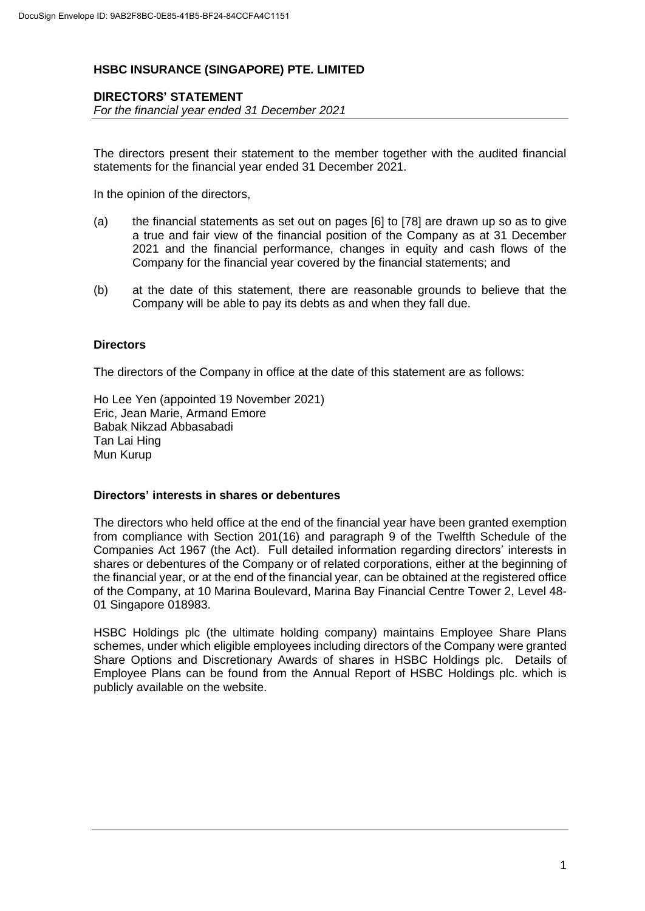# **DIRECTORS' STATEMENT**

*For the financial year ended 31 December 2021*

The directors present their statement to the member together with the audited financial statements for the financial year ended 31 December 2021.

In the opinion of the directors,

- (a) the financial statements as set out on pages [6] to [78] are drawn up so as to give a true and fair view of the financial position of the Company as at 31 December 2021 and the financial performance, changes in equity and cash flows of the Company for the financial year covered by the financial statements; and
- (b) at the date of this statement, there are reasonable grounds to believe that the Company will be able to pay its debts as and when they fall due.

#### **Directors**

The directors of the Company in office at the date of this statement are as follows:

Ho Lee Yen (appointed 19 November 2021) Eric, Jean Marie, Armand Emore Babak Nikzad Abbasabadi Tan Lai Hing Mun Kurup

#### **Directors' interests in shares or debentures**

The directors who held office at the end of the financial year have been granted exemption from compliance with Section 201(16) and paragraph 9 of the Twelfth Schedule of the Companies Act 1967 (the Act). Full detailed information regarding directors' interests in shares or debentures of the Company or of related corporations, either at the beginning of the financial year, or at the end of the financial year, can be obtained at the registered office of the Company, at 10 Marina Boulevard, Marina Bay Financial Centre Tower 2, Level 48- 01 Singapore 018983.

HSBC Holdings plc (the ultimate holding company) maintains Employee Share Plans schemes, under which eligible employees including directors of the Company were granted Share Options and Discretionary Awards of shares in HSBC Holdings plc. Details of Employee Plans can be found from the Annual Report of HSBC Holdings plc. which is publicly available on the website.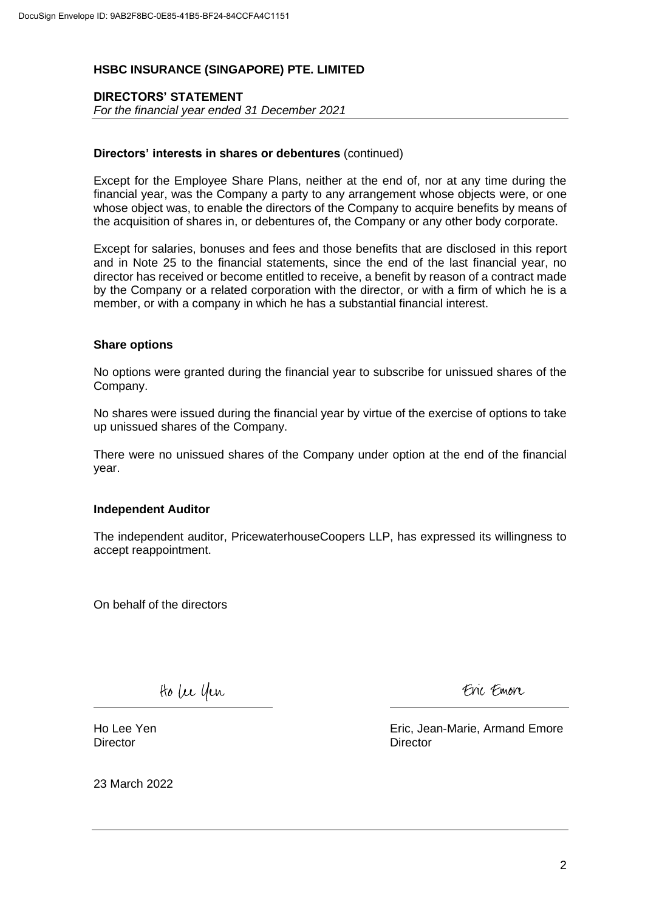# **DIRECTORS' STATEMENT**

*For the financial year ended 31 December 2021*

#### **Directors' interests in shares or debentures** (continued)

Except for the Employee Share Plans, neither at the end of, nor at any time during the financial year, was the Company a party to any arrangement whose objects were, or one whose object was, to enable the directors of the Company to acquire benefits by means of the acquisition of shares in, or debentures of, the Company or any other body corporate.

Except for salaries, bonuses and fees and those benefits that are disclosed in this report and in Note 25 to the financial statements, since the end of the last financial year, no director has received or become entitled to receive, a benefit by reason of a contract made by the Company or a related corporation with the director, or with a firm of which he is a member, or with a company in which he has a substantial financial interest.

#### **Share options**

No options were granted during the financial year to subscribe for unissued shares of the Company.

No shares were issued during the financial year by virtue of the exercise of options to take up unissued shares of the Company.

There were no unissued shares of the Company under option at the end of the financial year.

#### **Independent Auditor**

The independent auditor, PricewaterhouseCoopers LLP, has expressed its willingness to accept reappointment.

On behalf of the directors

tto be yen

Eni Emon

Ho Lee Yen Director

Eric, Jean-Marie, Armand Emore **Director** 

23 March 2022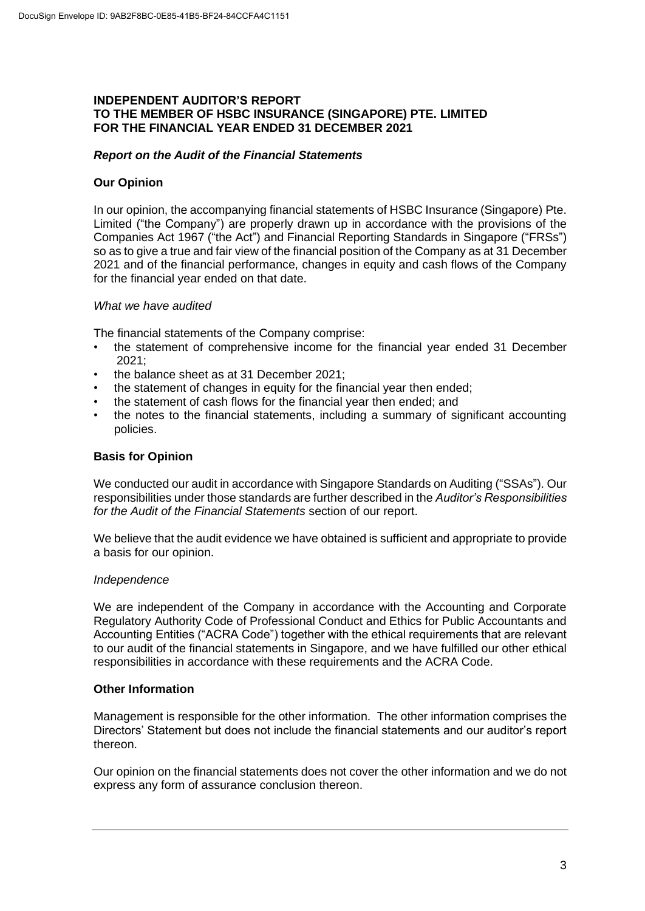# **INDEPENDENT AUDITOR'S REPORT TO THE MEMBER OF HSBC INSURANCE (SINGAPORE) PTE. LIMITED FOR THE FINANCIAL YEAR ENDED 31 DECEMBER 2021**

# *Report on the Audit of the Financial Statements*

# **Our Opinion**

In our opinion, the accompanying financial statements of HSBC Insurance (Singapore) Pte. Limited ("the Company") are properly drawn up in accordance with the provisions of the Companies Act 1967 ("the Act") and Financial Reporting Standards in Singapore ("FRSs") so as to give a true and fair view of the financial position of the Company as at 31 December 2021 and of the financial performance, changes in equity and cash flows of the Company for the financial year ended on that date.

#### *What we have audited*

The financial statements of the Company comprise:

- the statement of comprehensive income for the financial year ended 31 December 2021;
- the balance sheet as at 31 December 2021;
- the statement of changes in equity for the financial year then ended:
- the statement of cash flows for the financial year then ended; and
- the notes to the financial statements, including a summary of significant accounting policies.

# **Basis for Opinion**

We conducted our audit in accordance with Singapore Standards on Auditing ("SSAs"). Our responsibilities under those standards are further described in the *Auditor's Responsibilities for the Audit of the Financial Statements* section of our report.

We believe that the audit evidence we have obtained is sufficient and appropriate to provide a basis for our opinion.

#### *Independence*

We are independent of the Company in accordance with the Accounting and Corporate Regulatory Authority Code of Professional Conduct and Ethics for Public Accountants and Accounting Entities ("ACRA Code") together with the ethical requirements that are relevant to our audit of the financial statements in Singapore, and we have fulfilled our other ethical responsibilities in accordance with these requirements and the ACRA Code.

#### **Other Information**

Management is responsible for the other information. The other information comprises the Directors' Statement but does not include the financial statements and our auditor's report thereon.

Our opinion on the financial statements does not cover the other information and we do not express any form of assurance conclusion thereon.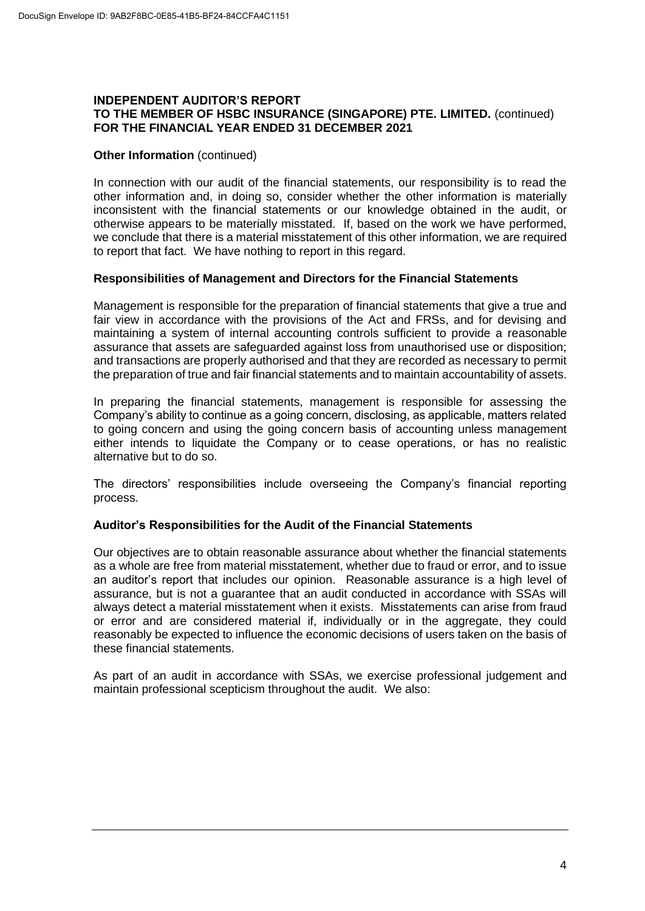#### **INDEPENDENT AUDITOR'S REPORT TO THE MEMBER OF HSBC INSURANCE (SINGAPORE) PTE. LIMITED.** (continued) **FOR THE FINANCIAL YEAR ENDED 31 DECEMBER 2021**

# **Other Information** (continued)

In connection with our audit of the financial statements, our responsibility is to read the other information and, in doing so, consider whether the other information is materially inconsistent with the financial statements or our knowledge obtained in the audit, or otherwise appears to be materially misstated. If, based on the work we have performed, we conclude that there is a material misstatement of this other information, we are required to report that fact. We have nothing to report in this regard.

#### **Responsibilities of Management and Directors for the Financial Statements**

Management is responsible for the preparation of financial statements that give a true and fair view in accordance with the provisions of the Act and FRSs, and for devising and maintaining a system of internal accounting controls sufficient to provide a reasonable assurance that assets are safeguarded against loss from unauthorised use or disposition; and transactions are properly authorised and that they are recorded as necessary to permit the preparation of true and fair financial statements and to maintain accountability of assets.

In preparing the financial statements, management is responsible for assessing the Company's ability to continue as a going concern, disclosing, as applicable, matters related to going concern and using the going concern basis of accounting unless management either intends to liquidate the Company or to cease operations, or has no realistic alternative but to do so.

The directors' responsibilities include overseeing the Company's financial reporting process.

# **Auditor's Responsibilities for the Audit of the Financial Statements**

Our objectives are to obtain reasonable assurance about whether the financial statements as a whole are free from material misstatement, whether due to fraud or error, and to issue an auditor's report that includes our opinion. Reasonable assurance is a high level of assurance, but is not a guarantee that an audit conducted in accordance with SSAs will always detect a material misstatement when it exists. Misstatements can arise from fraud or error and are considered material if, individually or in the aggregate, they could reasonably be expected to influence the economic decisions of users taken on the basis of these financial statements.

As part of an audit in accordance with SSAs, we exercise professional judgement and maintain professional scepticism throughout the audit. We also: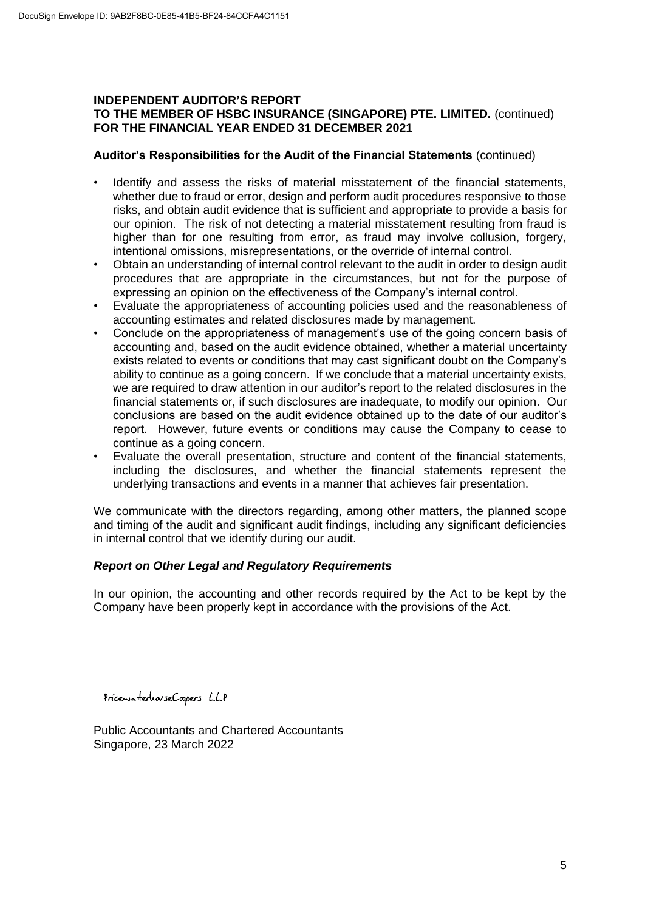#### **INDEPENDENT AUDITOR'S REPORT TO THE MEMBER OF HSBC INSURANCE (SINGAPORE) PTE. LIMITED.** (continued) **FOR THE FINANCIAL YEAR ENDED 31 DECEMBER 2021**

# **Auditor's Responsibilities for the Audit of the Financial Statements** (continued)

- Identify and assess the risks of material misstatement of the financial statements, whether due to fraud or error, design and perform audit procedures responsive to those risks, and obtain audit evidence that is sufficient and appropriate to provide a basis for our opinion. The risk of not detecting a material misstatement resulting from fraud is higher than for one resulting from error, as fraud may involve collusion, forgery, intentional omissions, misrepresentations, or the override of internal control.
- Obtain an understanding of internal control relevant to the audit in order to design audit procedures that are appropriate in the circumstances, but not for the purpose of expressing an opinion on the effectiveness of the Company's internal control.
- Evaluate the appropriateness of accounting policies used and the reasonableness of accounting estimates and related disclosures made by management.
- Conclude on the appropriateness of management's use of the going concern basis of accounting and, based on the audit evidence obtained, whether a material uncertainty exists related to events or conditions that may cast significant doubt on the Company's ability to continue as a going concern. If we conclude that a material uncertainty exists, we are required to draw attention in our auditor's report to the related disclosures in the financial statements or, if such disclosures are inadequate, to modify our opinion. Our conclusions are based on the audit evidence obtained up to the date of our auditor's report. However, future events or conditions may cause the Company to cease to continue as a going concern.
- Evaluate the overall presentation, structure and content of the financial statements, including the disclosures, and whether the financial statements represent the underlying transactions and events in a manner that achieves fair presentation.

We communicate with the directors regarding, among other matters, the planned scope and timing of the audit and significant audit findings, including any significant deficiencies in internal control that we identify during our audit.

# *Report on Other Legal and Regulatory Requirements*

In our opinion, the accounting and other records required by the Act to be kept by the Company have been properly kept in accordance with the provisions of the Act.

PricewaterhouseCoopers LLP

Public Accountants and Chartered Accountants Singapore, 23 March 2022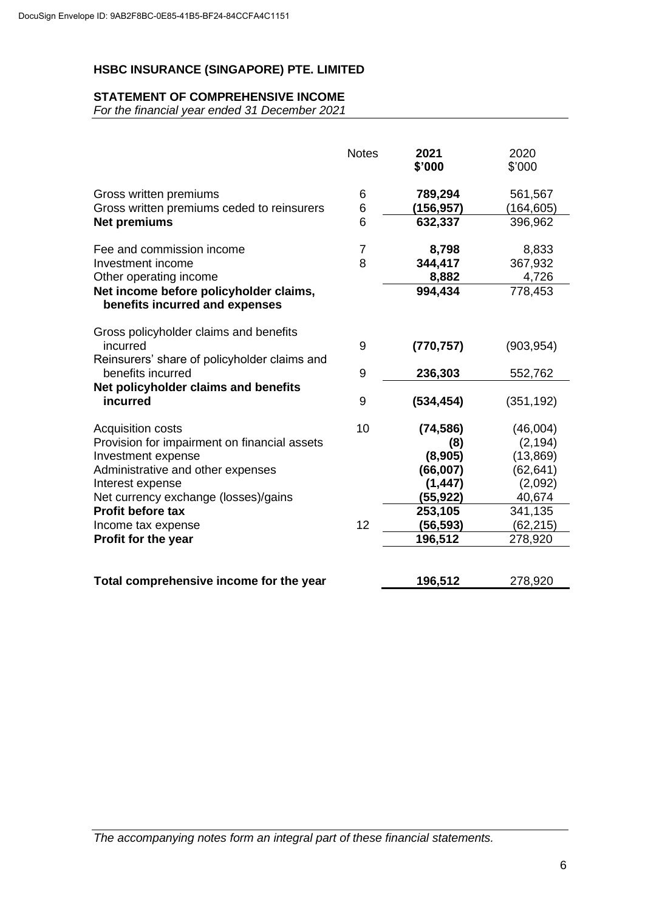# **STATEMENT OF COMPREHENSIVE INCOME**

*For the financial year ended 31 December 2021*

|                                                                                                    | <b>Notes</b> | 2021<br>\$'000       | 2020<br>\$'000       |
|----------------------------------------------------------------------------------------------------|--------------|----------------------|----------------------|
| Gross written premiums<br>Gross written premiums ceded to reinsurers                               | 6<br>6       | 789,294<br>(156,957) | 561,567<br>(164,605) |
| <b>Net premiums</b>                                                                                | 6            | 632,337              | 396,962              |
| Fee and commission income                                                                          | 7            | 8,798                | 8,833                |
| Investment income                                                                                  | 8            | 344,417              | 367,932              |
| Other operating income                                                                             |              | 8,882                | 4,726                |
| Net income before policyholder claims,<br>benefits incurred and expenses                           |              | 994,434              | 778,453              |
| Gross policyholder claims and benefits<br>incurred<br>Reinsurers' share of policyholder claims and | 9            | (770, 757)           | (903, 954)           |
| benefits incurred                                                                                  | 9            | 236,303              | 552,762              |
| Net policyholder claims and benefits<br>incurred                                                   | 9            | (534, 454)           | (351, 192)           |
| <b>Acquisition costs</b>                                                                           | 10           | (74, 586)            | (46,004)             |
| Provision for impairment on financial assets                                                       |              | (8)                  | (2, 194)             |
| Investment expense                                                                                 |              | (8,905)              | (13, 869)            |
| Administrative and other expenses                                                                  |              | (66,007)             | (62, 641)            |
| Interest expense                                                                                   |              | (1, 447)             | (2,092)              |
| Net currency exchange (losses)/gains                                                               |              | (55, 922)            | 40,674               |
| <b>Profit before tax</b>                                                                           |              | 253,105              | 341,135              |
| Income tax expense                                                                                 | 12           | (56,593)             | (62, 215)            |
| Profit for the year                                                                                |              | 196,512              | 278,920              |
| Total comprehensive income for the year                                                            |              | 196,512              | 278,920              |

*The accompanying notes form an integral part of these financial statements.*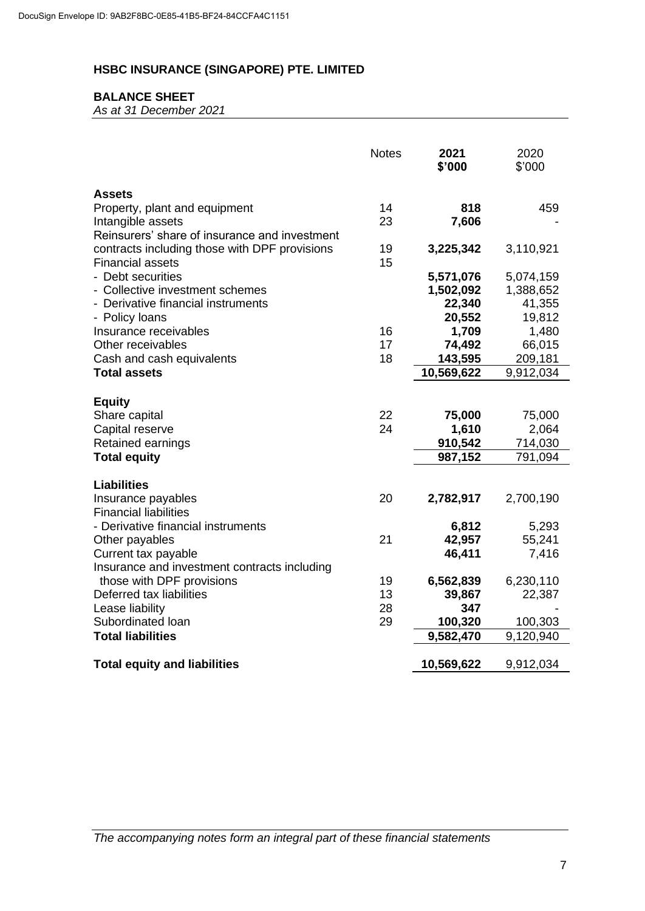# **BALANCE SHEET**

*As at 31 December 2021*

|                                                                          | <b>Notes</b> | 2021<br>\$'000         | 2020<br>\$'000         |
|--------------------------------------------------------------------------|--------------|------------------------|------------------------|
| <b>Assets</b><br>Property, plant and equipment                           | 14           | 818                    | 459                    |
| Intangible assets<br>Reinsurers' share of insurance and investment       | 23           | 7,606                  |                        |
| contracts including those with DPF provisions<br><b>Financial assets</b> | 19<br>15     | 3,225,342              | 3,110,921              |
| - Debt securities<br>- Collective investment schemes                     |              | 5,571,076<br>1,502,092 | 5,074,159<br>1,388,652 |
| - Derivative financial instruments                                       |              | 22,340                 | 41,355                 |
| - Policy loans<br>Insurance receivables                                  | 16           | 20,552<br>1,709        | 19,812<br>1,480        |
| Other receivables                                                        | 17           | 74,492                 | 66,015                 |
| Cash and cash equivalents                                                | 18           | 143,595                | 209,181                |
| <b>Total assets</b>                                                      |              | 10,569,622             | 9,912,034              |
| <b>Equity</b>                                                            |              |                        |                        |
| Share capital                                                            | 22           | 75,000                 | 75,000                 |
| Capital reserve<br>Retained earnings                                     | 24           | 1,610<br>910,542       | 2,064<br>714,030       |
| <b>Total equity</b>                                                      |              | 987,152                | 791,094                |
|                                                                          |              |                        |                        |
| <b>Liabilities</b><br>Insurance payables<br><b>Financial liabilities</b> | 20           | 2,782,917              | 2,700,190              |
| - Derivative financial instruments                                       |              | 6,812                  | 5,293                  |
| Other payables<br>Current tax payable                                    | 21           | 42,957<br>46,411       | 55,241<br>7,416        |
| Insurance and investment contracts including                             |              |                        |                        |
| those with DPF provisions                                                | 19           | 6,562,839              | 6,230,110              |
| Deferred tax liabilities<br>Lease liability                              | 13<br>28     | 39,867<br>347          | 22,387                 |
| Subordinated Ioan                                                        | 29           | 100,320                | 100,303                |
| <b>Total liabilities</b>                                                 |              | 9,582,470              | 9,120,940              |
| <b>Total equity and liabilities</b>                                      |              | 10,569,622             | 9,912,034              |

*The accompanying notes form an integral part of these financial statements*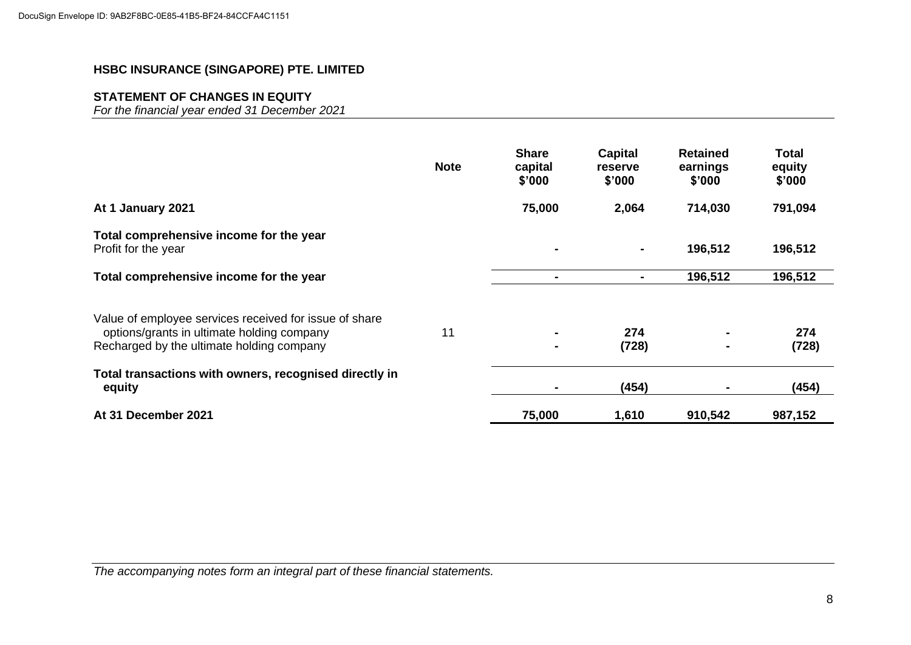# **STATEMENT OF CHANGES IN EQUITY**

*For the financial year ended 31 December 2021*

|                                                                                                                                                   | <b>Note</b> | <b>Share</b><br>capital<br>\$'000 | <b>Capital</b><br><b>reserve</b><br>\$'000 | <b>Retained</b><br>earnings<br>\$'000 | Total<br>equity<br>\$'000 |
|---------------------------------------------------------------------------------------------------------------------------------------------------|-------------|-----------------------------------|--------------------------------------------|---------------------------------------|---------------------------|
| At 1 January 2021                                                                                                                                 |             | 75,000                            | 2,064                                      | 714,030                               | 791,094                   |
| Total comprehensive income for the year<br>Profit for the year                                                                                    |             | $\blacksquare$                    | ۰                                          | 196,512                               | 196,512                   |
| Total comprehensive income for the year                                                                                                           |             | $\blacksquare$                    | $\blacksquare$                             | 196,512                               | 196,512                   |
| Value of employee services received for issue of share<br>options/grants in ultimate holding company<br>Recharged by the ultimate holding company | 11          |                                   | 274<br>(728)                               | $\blacksquare$                        | 274<br>(728)              |
| Total transactions with owners, recognised directly in<br>equity                                                                                  |             |                                   | (454)                                      |                                       | (454)                     |
| At 31 December 2021                                                                                                                               |             | 75,000                            | 1,610                                      | 910,542                               | 987,152                   |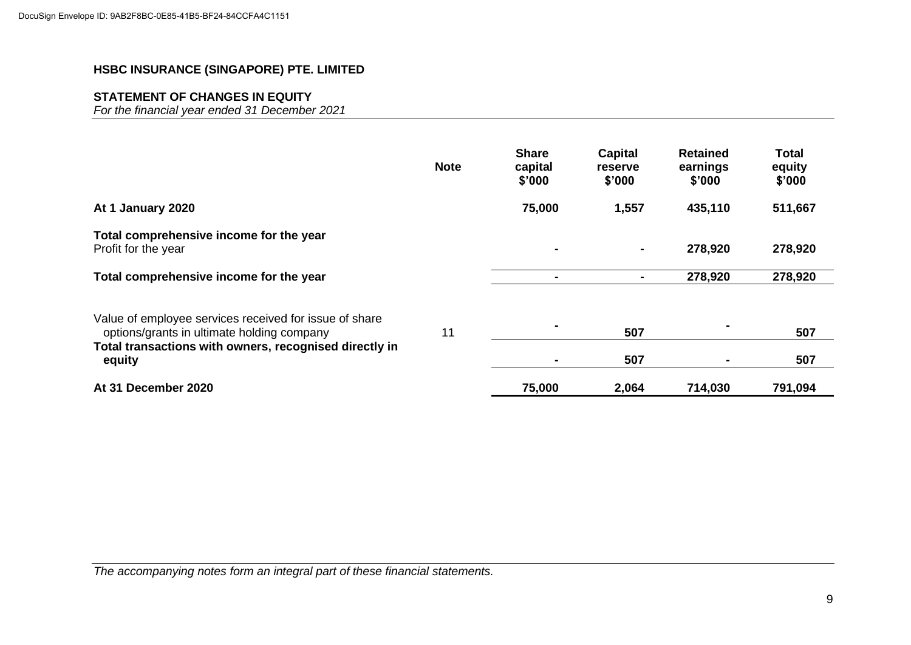# **STATEMENT OF CHANGES IN EQUITY**

*For the financial year ended 31 December 2021*

|                                                                                                                                                                | <b>Note</b> | <b>Share</b><br>capital<br>\$'000 | Capital<br>reserve<br>\$'000 | <b>Retained</b><br>earnings<br>\$'000 | Total<br>equity<br>\$'000 |
|----------------------------------------------------------------------------------------------------------------------------------------------------------------|-------------|-----------------------------------|------------------------------|---------------------------------------|---------------------------|
| At 1 January 2020                                                                                                                                              |             | 75,000                            | 1,557                        | 435,110                               | 511,667                   |
| Total comprehensive income for the year<br>Profit for the year                                                                                                 |             |                                   | $\blacksquare$               | 278,920                               | 278,920                   |
| Total comprehensive income for the year                                                                                                                        |             |                                   | $\blacksquare$               | 278,920                               | 278,920                   |
| Value of employee services received for issue of share<br>options/grants in ultimate holding company<br>Total transactions with owners, recognised directly in | 11          |                                   | 507                          |                                       | 507                       |
| equity                                                                                                                                                         |             |                                   | 507                          |                                       | 507                       |
| At 31 December 2020                                                                                                                                            |             | 75,000                            | 2,064                        | 714,030                               | 791,094                   |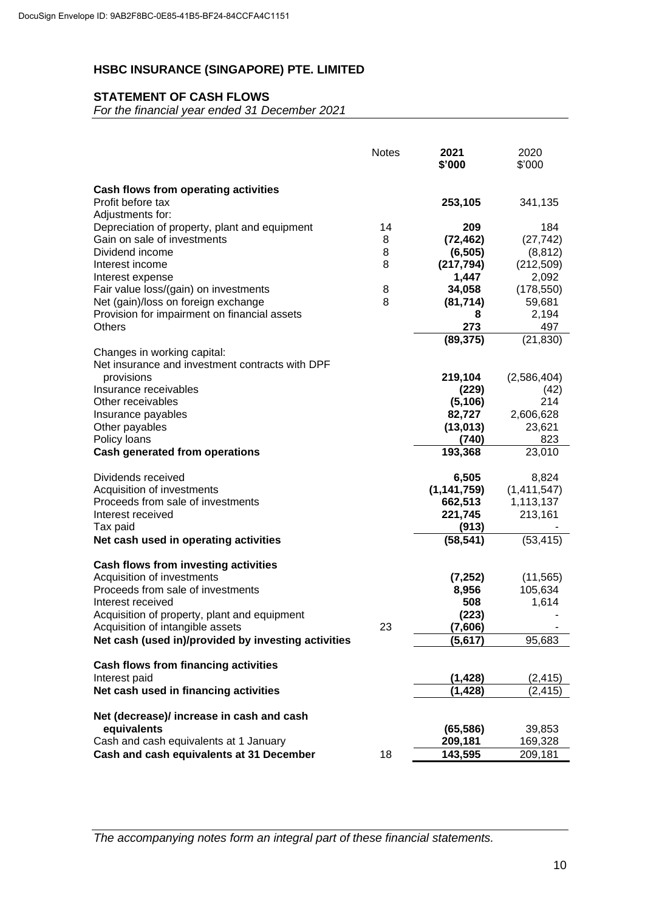# **STATEMENT OF CASH FLOWS**

*For the financial year ended 31 December 2021*

|                                                                                         | <b>Notes</b> | 2021<br>\$'000     | 2020<br>\$'000 |
|-----------------------------------------------------------------------------------------|--------------|--------------------|----------------|
| Cash flows from operating activities                                                    |              |                    |                |
| Profit before tax                                                                       |              | 253,105            | 341,135        |
| Adjustments for:                                                                        |              |                    |                |
| Depreciation of property, plant and equipment                                           | 14           | 209                | 184            |
| Gain on sale of investments                                                             | 8            | (72, 462)          | (27, 742)      |
| Dividend income                                                                         | 8            | (6, 505)           | (8, 812)       |
| Interest income                                                                         | 8            | (217, 794)         | (212, 509)     |
| Interest expense                                                                        |              | 1,447              | 2,092          |
| Fair value loss/(gain) on investments                                                   | 8            | 34,058             | (178, 550)     |
| Net (gain)/loss on foreign exchange                                                     | 8            | (81, 714)          | 59,681         |
| Provision for impairment on financial assets                                            |              | 8                  | 2,194          |
| Others                                                                                  |              | 273<br>(89, 375)   | 497            |
| Changes in working capital:                                                             |              |                    | (21, 830)      |
| Net insurance and investment contracts with DPF                                         |              |                    |                |
| provisions                                                                              |              | 219,104            | (2,586,404)    |
| Insurance receivables                                                                   |              | (229)              | (42)           |
| Other receivables                                                                       |              | (5, 106)           | 214            |
| Insurance payables                                                                      |              | 82,727             | 2,606,628      |
| Other payables                                                                          |              | (13, 013)          | 23,621         |
| Policy loans                                                                            |              | (740)              | 823            |
| <b>Cash generated from operations</b>                                                   |              | 193,368            | 23,010         |
| Dividends received                                                                      |              | 6,505              | 8,824          |
| Acquisition of investments                                                              |              | (1, 141, 759)      | (1,411,547)    |
| Proceeds from sale of investments                                                       |              | 662,513            | 1,113,137      |
| Interest received                                                                       |              | 221,745            | 213,161        |
| Tax paid                                                                                |              | (913)              |                |
| Net cash used in operating activities                                                   |              | (58, 541)          | (53, 415)      |
| <b>Cash flows from investing activities</b>                                             |              |                    |                |
| Acquisition of investments                                                              |              | (7, 252)           | (11, 565)      |
| Proceeds from sale of investments                                                       |              | 8,956              | 105,634        |
| Interest received                                                                       |              | 508                | 1,614          |
| Acquisition of property, plant and equipment                                            | 23           | (223)              |                |
| Acquisition of intangible assets<br>Net cash (used in)/provided by investing activities |              | (7,606)<br>(5,617) | 95,683         |
|                                                                                         |              |                    |                |
| <b>Cash flows from financing activities</b>                                             |              |                    |                |
| Interest paid                                                                           |              | (1, 428)           | (2, 415)       |
| Net cash used in financing activities                                                   |              | (1, 428)           | (2, 415)       |
| Net (decrease)/ increase in cash and cash                                               |              |                    |                |
| equivalents                                                                             |              | (65, 586)          | 39,853         |
| Cash and cash equivalents at 1 January                                                  |              | 209,181            | 169,328        |
| Cash and cash equivalents at 31 December                                                | 18           | 143,595            | 209,181        |

*The accompanying notes form an integral part of these financial statements.*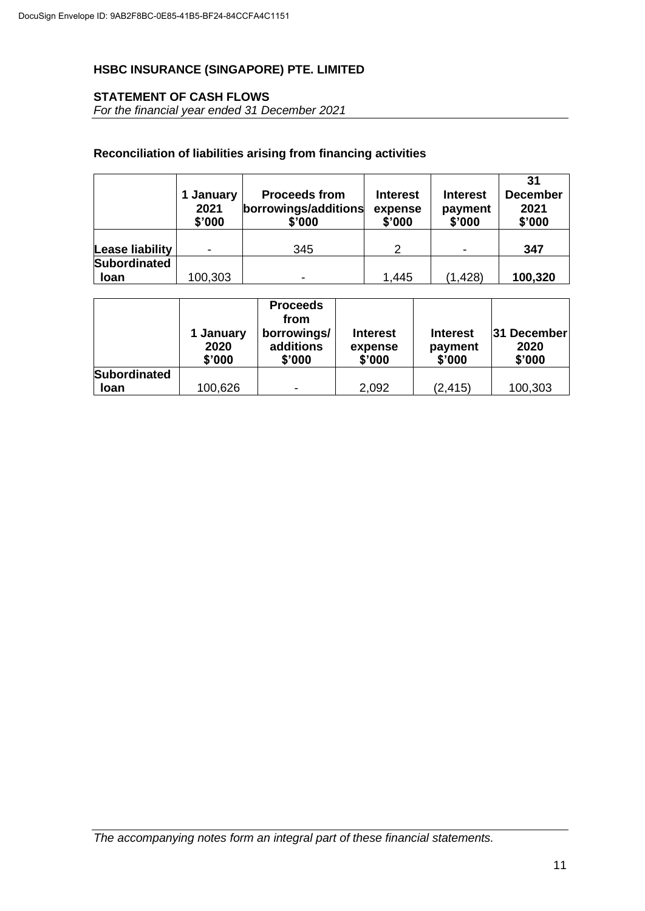# **STATEMENT OF CASH FLOWS**

*For the financial year ended 31 December 2021*

# **Reconciliation of liabilities arising from financing activities**

|                                    | 1 January<br>2021<br>\$'000 | <b>Proceeds from</b><br>borrowings/additions<br>\$'000 | <b>Interest</b><br>expense<br>\$'000 | <b>Interest</b><br>payment<br>\$'000 | 31<br><b>December</b><br>2021<br>\$'000 |
|------------------------------------|-----------------------------|--------------------------------------------------------|--------------------------------------|--------------------------------------|-----------------------------------------|
| Lease liability                    | -                           | 345                                                    | $\mathcal{P}$                        | ٠                                    | 347                                     |
| <b>Subordinated</b><br><b>loan</b> | 100,303                     | -                                                      | 1,445                                | (1, 428)                             | 100,320                                 |

|                     | 1 January<br>2020<br>\$'000 | <b>Proceeds</b><br>from<br>borrowings/<br>additions<br>\$'000 | <b>Interest</b><br>expense<br>\$'000 | <b>Interest</b><br>payment<br>\$'000 | 31 December<br>2020<br>\$'000 |
|---------------------|-----------------------------|---------------------------------------------------------------|--------------------------------------|--------------------------------------|-------------------------------|
| <b>Subordinated</b> |                             |                                                               |                                      |                                      |                               |
| <b>loan</b>         | 100,626                     |                                                               | 2,092                                | (2, 415)                             | 100,303                       |

*The accompanying notes form an integral part of these financial statements.*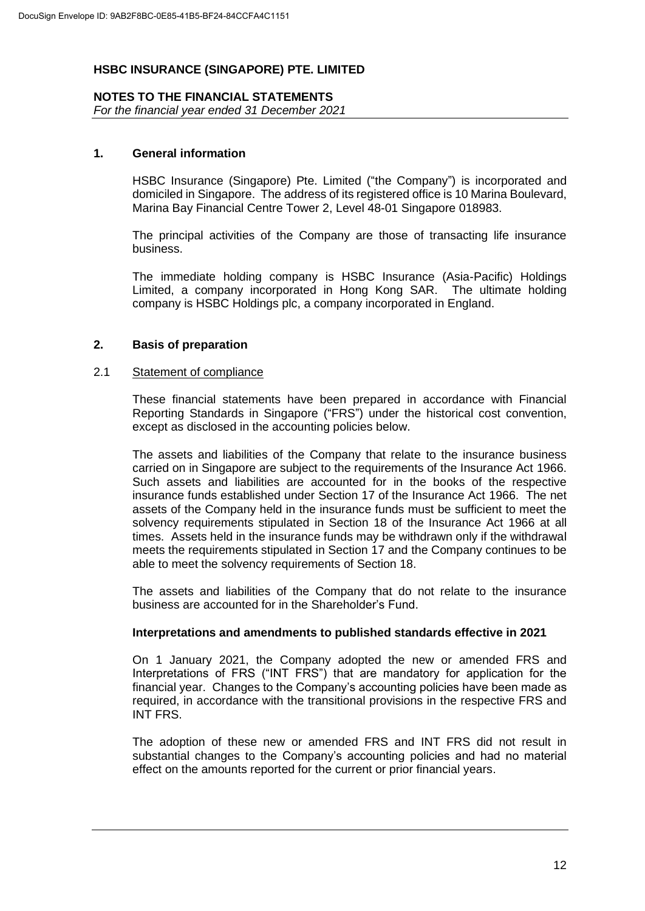#### **NOTES TO THE FINANCIAL STATEMENTS**

*For the financial year ended 31 December 2021*

#### **1. General information**

HSBC Insurance (Singapore) Pte. Limited ("the Company") is incorporated and domiciled in Singapore. The address of its registered office is 10 Marina Boulevard, Marina Bay Financial Centre Tower 2, Level 48-01 Singapore 018983.

The principal activities of the Company are those of transacting life insurance business.

The immediate holding company is HSBC Insurance (Asia-Pacific) Holdings Limited, a company incorporated in Hong Kong SAR. The ultimate holding company is HSBC Holdings plc, a company incorporated in England.

#### **2. Basis of preparation**

#### 2.1 Statement of compliance

These financial statements have been prepared in accordance with Financial Reporting Standards in Singapore ("FRS") under the historical cost convention, except as disclosed in the accounting policies below.

The assets and liabilities of the Company that relate to the insurance business carried on in Singapore are subject to the requirements of the Insurance Act 1966. Such assets and liabilities are accounted for in the books of the respective insurance funds established under Section 17 of the Insurance Act 1966. The net assets of the Company held in the insurance funds must be sufficient to meet the solvency requirements stipulated in Section 18 of the Insurance Act 1966 at all times. Assets held in the insurance funds may be withdrawn only if the withdrawal meets the requirements stipulated in Section 17 and the Company continues to be able to meet the solvency requirements of Section 18.

The assets and liabilities of the Company that do not relate to the insurance business are accounted for in the Shareholder's Fund.

#### **Interpretations and amendments to published standards effective in 2021**

On 1 January 2021, the Company adopted the new or amended FRS and Interpretations of FRS ("INT FRS") that are mandatory for application for the financial year. Changes to the Company's accounting policies have been made as required, in accordance with the transitional provisions in the respective FRS and INT FRS.

The adoption of these new or amended FRS and INT FRS did not result in substantial changes to the Company's accounting policies and had no material effect on the amounts reported for the current or prior financial years.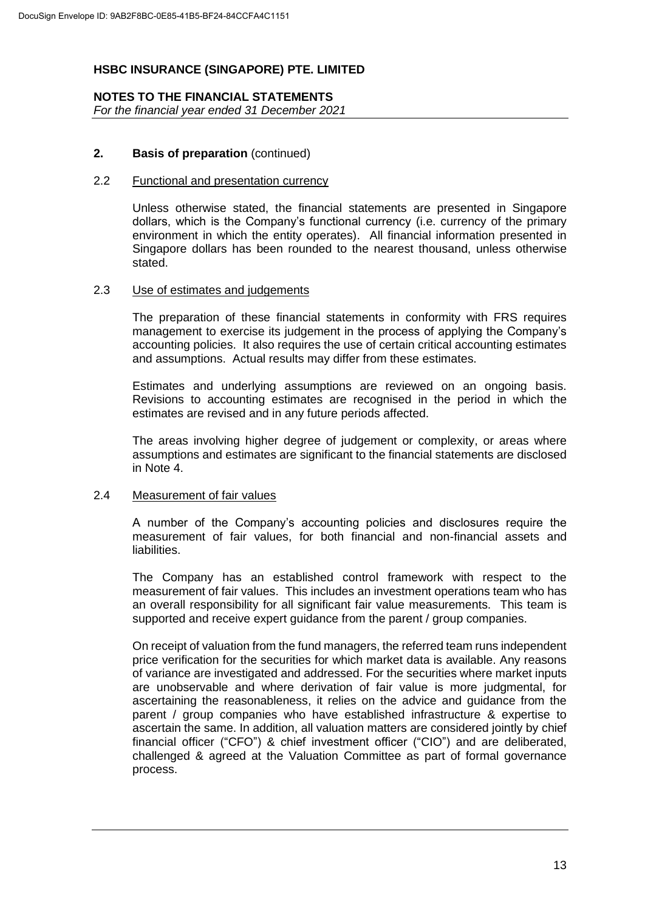# **NOTES TO THE FINANCIAL STATEMENTS**

*For the financial year ended 31 December 2021*

# **2. Basis of preparation** (continued)

# 2.2 Functional and presentation currency

Unless otherwise stated, the financial statements are presented in Singapore dollars, which is the Company's functional currency (i.e. currency of the primary environment in which the entity operates). All financial information presented in Singapore dollars has been rounded to the nearest thousand, unless otherwise stated.

#### 2.3 Use of estimates and judgements

The preparation of these financial statements in conformity with FRS requires management to exercise its judgement in the process of applying the Company's accounting policies. It also requires the use of certain critical accounting estimates and assumptions. Actual results may differ from these estimates.

Estimates and underlying assumptions are reviewed on an ongoing basis. Revisions to accounting estimates are recognised in the period in which the estimates are revised and in any future periods affected.

The areas involving higher degree of judgement or complexity, or areas where assumptions and estimates are significant to the financial statements are disclosed in Note 4.

# 2.4 Measurement of fair values

A number of the Company's accounting policies and disclosures require the measurement of fair values, for both financial and non-financial assets and liabilities.

The Company has an established control framework with respect to the measurement of fair values. This includes an investment operations team who has an overall responsibility for all significant fair value measurements. This team is supported and receive expert guidance from the parent / group companies.

On receipt of valuation from the fund managers, the referred team runs independent price verification for the securities for which market data is available. Any reasons of variance are investigated and addressed. For the securities where market inputs are unobservable and where derivation of fair value is more judgmental, for ascertaining the reasonableness, it relies on the advice and guidance from the parent / group companies who have established infrastructure & expertise to ascertain the same. In addition, all valuation matters are considered jointly by chief financial officer ("CFO") & chief investment officer ("CIO") and are deliberated, challenged & agreed at the Valuation Committee as part of formal governance process.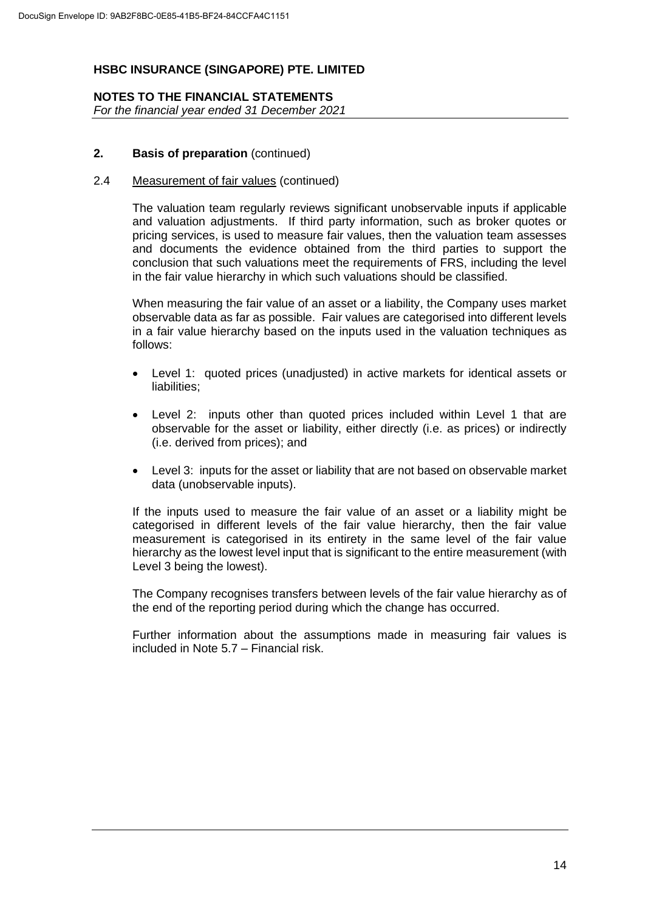#### **NOTES TO THE FINANCIAL STATEMENTS** *For the financial year ended 31 December 2021*

#### **2. Basis of preparation** (continued)

#### 2.4 Measurement of fair values (continued)

The valuation team regularly reviews significant unobservable inputs if applicable and valuation adjustments. If third party information, such as broker quotes or pricing services, is used to measure fair values, then the valuation team assesses and documents the evidence obtained from the third parties to support the conclusion that such valuations meet the requirements of FRS, including the level in the fair value hierarchy in which such valuations should be classified.

When measuring the fair value of an asset or a liability, the Company uses market observable data as far as possible. Fair values are categorised into different levels in a fair value hierarchy based on the inputs used in the valuation techniques as follows:

- Level 1: quoted prices (unadjusted) in active markets for identical assets or liabilities;
- Level 2: inputs other than quoted prices included within Level 1 that are observable for the asset or liability, either directly (i.e. as prices) or indirectly (i.e. derived from prices); and
- Level 3: inputs for the asset or liability that are not based on observable market data (unobservable inputs).

If the inputs used to measure the fair value of an asset or a liability might be categorised in different levels of the fair value hierarchy, then the fair value measurement is categorised in its entirety in the same level of the fair value hierarchy as the lowest level input that is significant to the entire measurement (with Level 3 being the lowest).

The Company recognises transfers between levels of the fair value hierarchy as of the end of the reporting period during which the change has occurred.

Further information about the assumptions made in measuring fair values is included in Note 5.7 – Financial risk.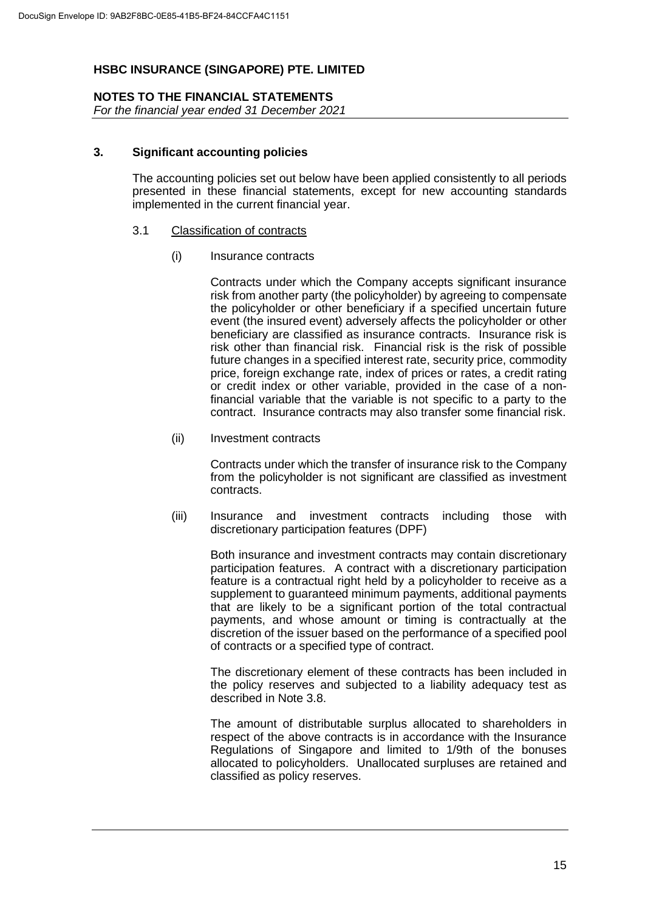# **NOTES TO THE FINANCIAL STATEMENTS**

*For the financial year ended 31 December 2021*

#### **3. Significant accounting policies**

The accounting policies set out below have been applied consistently to all periods presented in these financial statements, except for new accounting standards implemented in the current financial year.

#### 3.1 Classification of contracts

(i) Insurance contracts

Contracts under which the Company accepts significant insurance risk from another party (the policyholder) by agreeing to compensate the policyholder or other beneficiary if a specified uncertain future event (the insured event) adversely affects the policyholder or other beneficiary are classified as insurance contracts. Insurance risk is risk other than financial risk. Financial risk is the risk of possible future changes in a specified interest rate, security price, commodity price, foreign exchange rate, index of prices or rates, a credit rating or credit index or other variable, provided in the case of a nonfinancial variable that the variable is not specific to a party to the contract. Insurance contracts may also transfer some financial risk.

(ii) Investment contracts

Contracts under which the transfer of insurance risk to the Company from the policyholder is not significant are classified as investment contracts.

(iii) Insurance and investment contracts including those with discretionary participation features (DPF)

Both insurance and investment contracts may contain discretionary participation features. A contract with a discretionary participation feature is a contractual right held by a policyholder to receive as a supplement to guaranteed minimum payments, additional payments that are likely to be a significant portion of the total contractual payments, and whose amount or timing is contractually at the discretion of the issuer based on the performance of a specified pool of contracts or a specified type of contract.

The discretionary element of these contracts has been included in the policy reserves and subjected to a liability adequacy test as described in Note 3.8.

The amount of distributable surplus allocated to shareholders in respect of the above contracts is in accordance with the Insurance Regulations of Singapore and limited to 1/9th of the bonuses allocated to policyholders. Unallocated surpluses are retained and classified as policy reserves.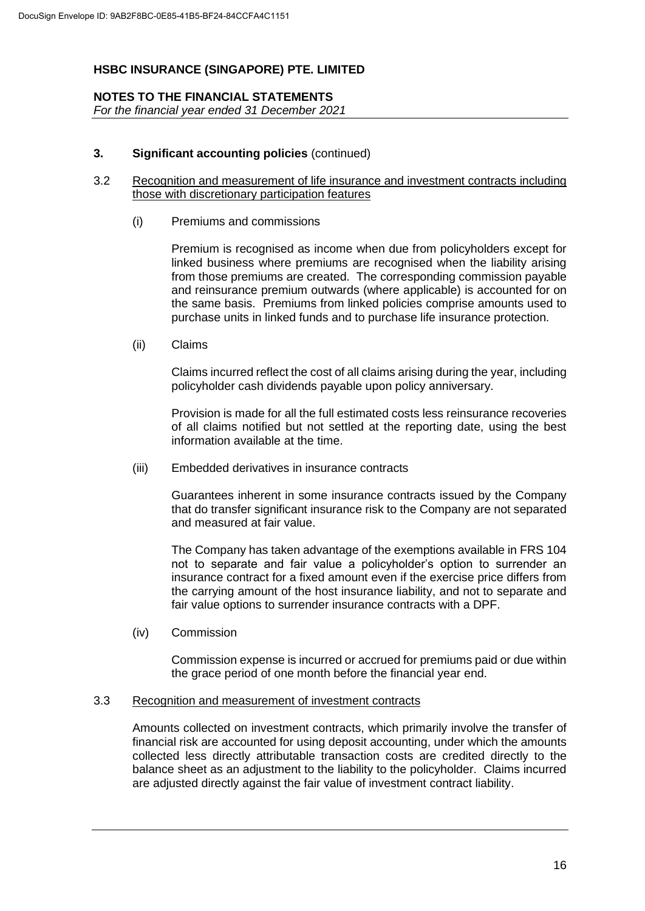# **NOTES TO THE FINANCIAL STATEMENTS**

*For the financial year ended 31 December 2021*

#### **3. Significant accounting policies** (continued)

#### 3.2 Recognition and measurement of life insurance and investment contracts including those with discretionary participation features

(i) Premiums and commissions

Premium is recognised as income when due from policyholders except for linked business where premiums are recognised when the liability arising from those premiums are created. The corresponding commission payable and reinsurance premium outwards (where applicable) is accounted for on the same basis. Premiums from linked policies comprise amounts used to purchase units in linked funds and to purchase life insurance protection.

(ii) Claims

Claims incurred reflect the cost of all claims arising during the year, including policyholder cash dividends payable upon policy anniversary.

Provision is made for all the full estimated costs less reinsurance recoveries of all claims notified but not settled at the reporting date, using the best information available at the time.

(iii) Embedded derivatives in insurance contracts

Guarantees inherent in some insurance contracts issued by the Company that do transfer significant insurance risk to the Company are not separated and measured at fair value.

The Company has taken advantage of the exemptions available in FRS 104 not to separate and fair value a policyholder's option to surrender an insurance contract for a fixed amount even if the exercise price differs from the carrying amount of the host insurance liability, and not to separate and fair value options to surrender insurance contracts with a DPF.

(iv) Commission

Commission expense is incurred or accrued for premiums paid or due within the grace period of one month before the financial year end.

#### 3.3 Recognition and measurement of investment contracts

Amounts collected on investment contracts, which primarily involve the transfer of financial risk are accounted for using deposit accounting, under which the amounts collected less directly attributable transaction costs are credited directly to the balance sheet as an adjustment to the liability to the policyholder. Claims incurred are adjusted directly against the fair value of investment contract liability.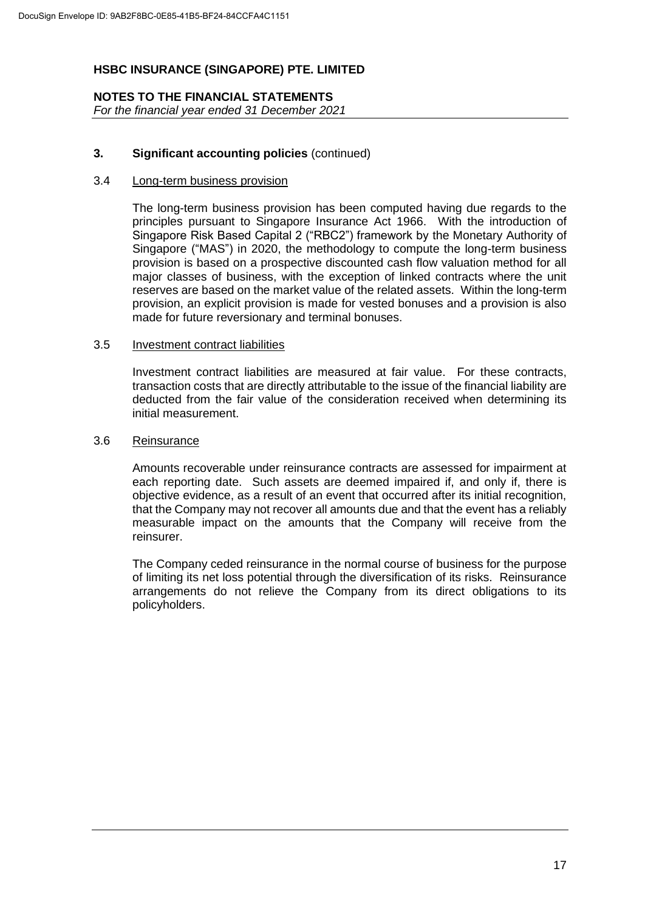#### **NOTES TO THE FINANCIAL STATEMENTS** *For the financial year ended 31 December 2021*

#### **3. Significant accounting policies** (continued)

#### 3.4 Long-term business provision

The long-term business provision has been computed having due regards to the principles pursuant to Singapore Insurance Act 1966. With the introduction of Singapore Risk Based Capital 2 ("RBC2") framework by the Monetary Authority of Singapore ("MAS") in 2020, the methodology to compute the long-term business provision is based on a prospective discounted cash flow valuation method for all major classes of business, with the exception of linked contracts where the unit reserves are based on the market value of the related assets. Within the long-term provision, an explicit provision is made for vested bonuses and a provision is also made for future reversionary and terminal bonuses.

#### 3.5 Investment contract liabilities

Investment contract liabilities are measured at fair value. For these contracts, transaction costs that are directly attributable to the issue of the financial liability are deducted from the fair value of the consideration received when determining its initial measurement.

#### 3.6 Reinsurance

Amounts recoverable under reinsurance contracts are assessed for impairment at each reporting date. Such assets are deemed impaired if, and only if, there is objective evidence, as a result of an event that occurred after its initial recognition, that the Company may not recover all amounts due and that the event has a reliably measurable impact on the amounts that the Company will receive from the reinsurer.

The Company ceded reinsurance in the normal course of business for the purpose of limiting its net loss potential through the diversification of its risks. Reinsurance arrangements do not relieve the Company from its direct obligations to its policyholders.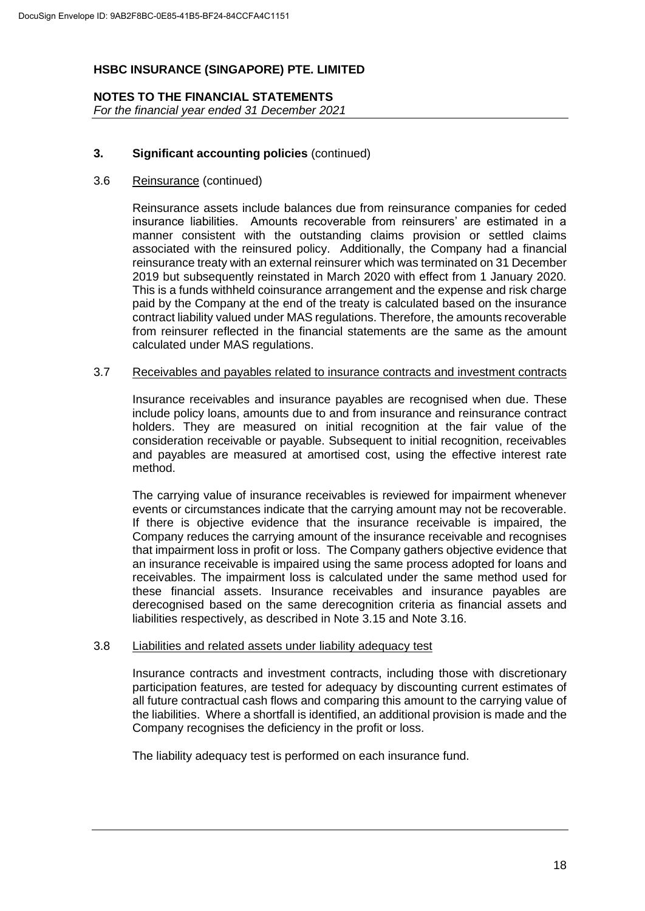**NOTES TO THE FINANCIAL STATEMENTS** *For the financial year ended 31 December 2021*

# **3. Significant accounting policies** (continued)

#### 3.6 Reinsurance (continued)

Reinsurance assets include balances due from reinsurance companies for ceded insurance liabilities. Amounts recoverable from reinsurers' are estimated in a manner consistent with the outstanding claims provision or settled claims associated with the reinsured policy. Additionally, the Company had a financial reinsurance treaty with an external reinsurer which was terminated on 31 December 2019 but subsequently reinstated in March 2020 with effect from 1 January 2020. This is a funds withheld coinsurance arrangement and the expense and risk charge paid by the Company at the end of the treaty is calculated based on the insurance contract liability valued under MAS regulations. Therefore, the amounts recoverable from reinsurer reflected in the financial statements are the same as the amount calculated under MAS regulations.

#### 3.7 Receivables and payables related to insurance contracts and investment contracts

Insurance receivables and insurance payables are recognised when due. These include policy loans, amounts due to and from insurance and reinsurance contract holders. They are measured on initial recognition at the fair value of the consideration receivable or payable. Subsequent to initial recognition, receivables and payables are measured at amortised cost, using the effective interest rate method.

The carrying value of insurance receivables is reviewed for impairment whenever events or circumstances indicate that the carrying amount may not be recoverable. If there is objective evidence that the insurance receivable is impaired, the Company reduces the carrying amount of the insurance receivable and recognises that impairment loss in profit or loss. The Company gathers objective evidence that an insurance receivable is impaired using the same process adopted for loans and receivables. The impairment loss is calculated under the same method used for these financial assets. Insurance receivables and insurance payables are derecognised based on the same derecognition criteria as financial assets and liabilities respectively, as described in Note 3.15 and Note 3.16.

#### 3.8 Liabilities and related assets under liability adequacy test

Insurance contracts and investment contracts, including those with discretionary participation features, are tested for adequacy by discounting current estimates of all future contractual cash flows and comparing this amount to the carrying value of the liabilities. Where a shortfall is identified, an additional provision is made and the Company recognises the deficiency in the profit or loss.

The liability adequacy test is performed on each insurance fund.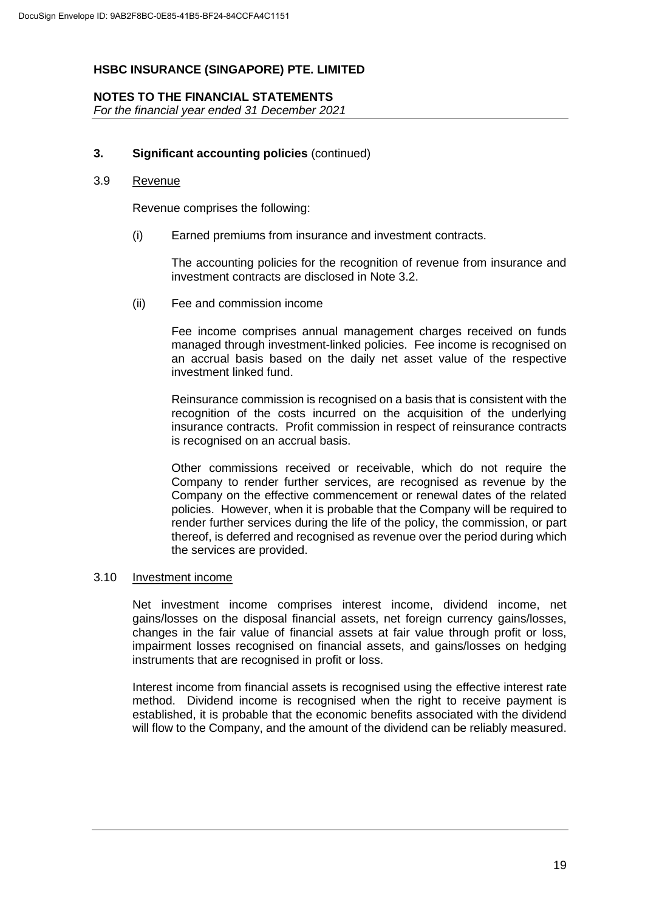### **NOTES TO THE FINANCIAL STATEMENTS**

*For the financial year ended 31 December 2021*

#### **3. Significant accounting policies** (continued)

#### 3.9 Revenue

Revenue comprises the following:

(i) Earned premiums from insurance and investment contracts.

The accounting policies for the recognition of revenue from insurance and investment contracts are disclosed in Note 3.2.

(ii) Fee and commission income

Fee income comprises annual management charges received on funds managed through investment-linked policies. Fee income is recognised on an accrual basis based on the daily net asset value of the respective investment linked fund.

Reinsurance commission is recognised on a basis that is consistent with the recognition of the costs incurred on the acquisition of the underlying insurance contracts. Profit commission in respect of reinsurance contracts is recognised on an accrual basis.

Other commissions received or receivable, which do not require the Company to render further services, are recognised as revenue by the Company on the effective commencement or renewal dates of the related policies. However, when it is probable that the Company will be required to render further services during the life of the policy, the commission, or part thereof, is deferred and recognised as revenue over the period during which the services are provided.

#### 3.10 Investment income

Net investment income comprises interest income, dividend income, net gains/losses on the disposal financial assets, net foreign currency gains/losses, changes in the fair value of financial assets at fair value through profit or loss, impairment losses recognised on financial assets, and gains/losses on hedging instruments that are recognised in profit or loss.

Interest income from financial assets is recognised using the effective interest rate method. Dividend income is recognised when the right to receive payment is established, it is probable that the economic benefits associated with the dividend will flow to the Company, and the amount of the dividend can be reliably measured.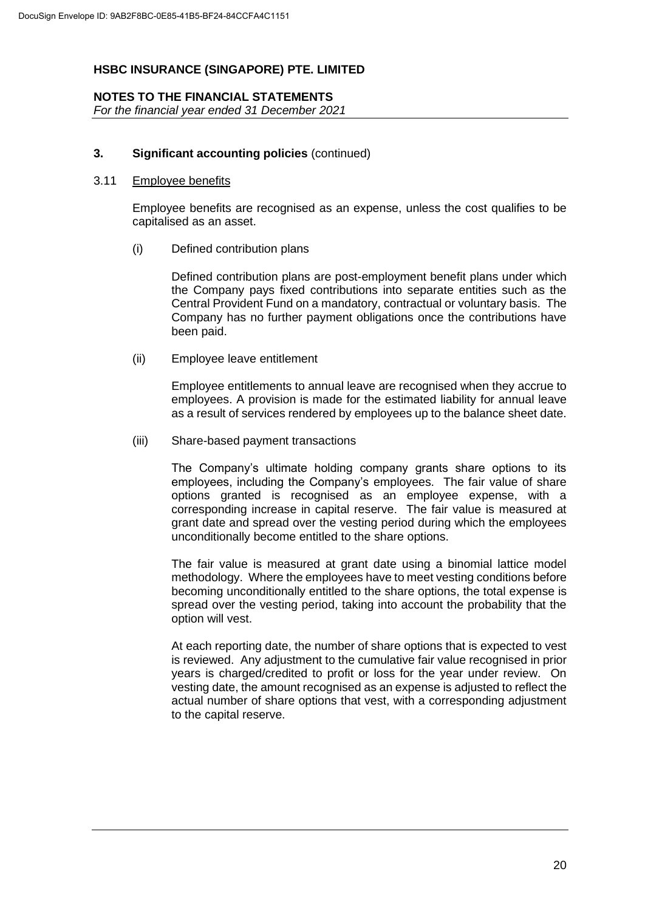### **NOTES TO THE FINANCIAL STATEMENTS**

*For the financial year ended 31 December 2021*

#### **3. Significant accounting policies** (continued)

#### 3.11 Employee benefits

Employee benefits are recognised as an expense, unless the cost qualifies to be capitalised as an asset.

(i) Defined contribution plans

Defined contribution plans are post-employment benefit plans under which the Company pays fixed contributions into separate entities such as the Central Provident Fund on a mandatory, contractual or voluntary basis. The Company has no further payment obligations once the contributions have been paid.

(ii) Employee leave entitlement

Employee entitlements to annual leave are recognised when they accrue to employees. A provision is made for the estimated liability for annual leave as a result of services rendered by employees up to the balance sheet date.

(iii) Share-based payment transactions

The Company's ultimate holding company grants share options to its employees, including the Company's employees. The fair value of share options granted is recognised as an employee expense, with a corresponding increase in capital reserve. The fair value is measured at grant date and spread over the vesting period during which the employees unconditionally become entitled to the share options.

The fair value is measured at grant date using a binomial lattice model methodology. Where the employees have to meet vesting conditions before becoming unconditionally entitled to the share options, the total expense is spread over the vesting period, taking into account the probability that the option will vest.

At each reporting date, the number of share options that is expected to vest is reviewed. Any adjustment to the cumulative fair value recognised in prior years is charged/credited to profit or loss for the year under review. On vesting date, the amount recognised as an expense is adjusted to reflect the actual number of share options that vest, with a corresponding adjustment to the capital reserve.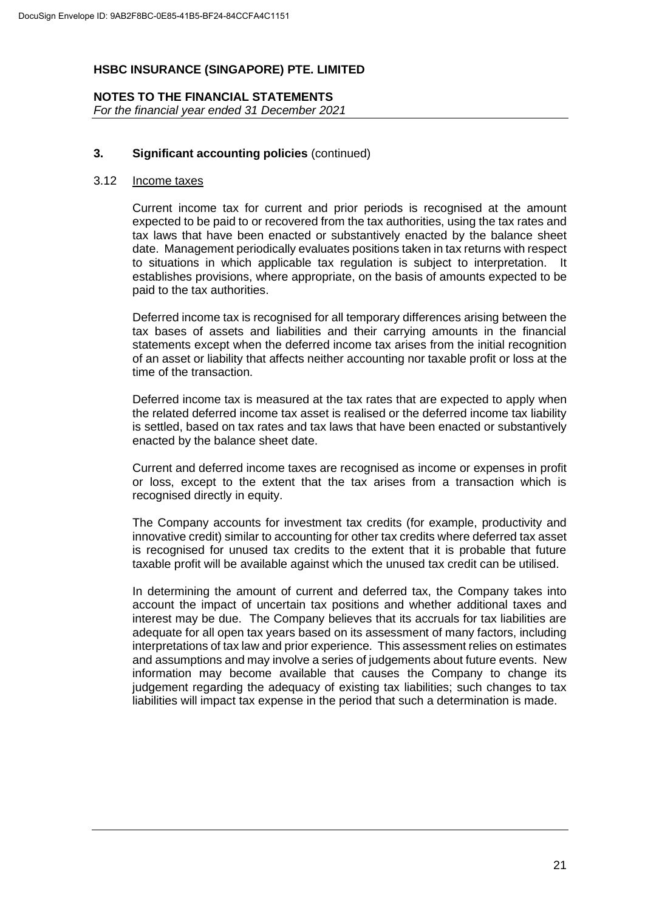# **NOTES TO THE FINANCIAL STATEMENTS** *For the financial year ended 31 December 2021*

#### **3. Significant accounting policies** (continued)

#### 3.12 Income taxes

Current income tax for current and prior periods is recognised at the amount expected to be paid to or recovered from the tax authorities, using the tax rates and tax laws that have been enacted or substantively enacted by the balance sheet date. Management periodically evaluates positions taken in tax returns with respect to situations in which applicable tax regulation is subject to interpretation. It establishes provisions, where appropriate, on the basis of amounts expected to be paid to the tax authorities.

Deferred income tax is recognised for all temporary differences arising between the tax bases of assets and liabilities and their carrying amounts in the financial statements except when the deferred income tax arises from the initial recognition of an asset or liability that affects neither accounting nor taxable profit or loss at the time of the transaction.

Deferred income tax is measured at the tax rates that are expected to apply when the related deferred income tax asset is realised or the deferred income tax liability is settled, based on tax rates and tax laws that have been enacted or substantively enacted by the balance sheet date.

Current and deferred income taxes are recognised as income or expenses in profit or loss, except to the extent that the tax arises from a transaction which is recognised directly in equity.

The Company accounts for investment tax credits (for example, productivity and innovative credit) similar to accounting for other tax credits where deferred tax asset is recognised for unused tax credits to the extent that it is probable that future taxable profit will be available against which the unused tax credit can be utilised.

In determining the amount of current and deferred tax, the Company takes into account the impact of uncertain tax positions and whether additional taxes and interest may be due. The Company believes that its accruals for tax liabilities are adequate for all open tax years based on its assessment of many factors, including interpretations of tax law and prior experience. This assessment relies on estimates and assumptions and may involve a series of judgements about future events. New information may become available that causes the Company to change its judgement regarding the adequacy of existing tax liabilities; such changes to tax liabilities will impact tax expense in the period that such a determination is made.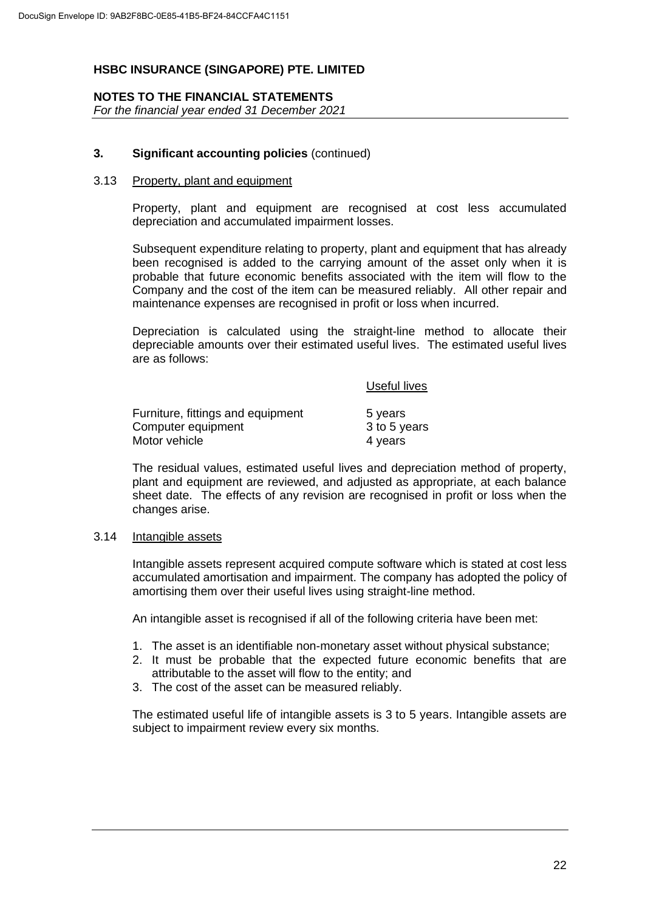# **NOTES TO THE FINANCIAL STATEMENTS**

*For the financial year ended 31 December 2021*

# **3. Significant accounting policies** (continued)

#### 3.13 Property, plant and equipment

Property, plant and equipment are recognised at cost less accumulated depreciation and accumulated impairment losses.

Subsequent expenditure relating to property, plant and equipment that has already been recognised is added to the carrying amount of the asset only when it is probable that future economic benefits associated with the item will flow to the Company and the cost of the item can be measured reliably. All other repair and maintenance expenses are recognised in profit or loss when incurred.

Depreciation is calculated using the straight-line method to allocate their depreciable amounts over their estimated useful lives. The estimated useful lives are as follows:

Useful lives

| Furniture, fittings and equipment | 5 years      |
|-----------------------------------|--------------|
| Computer equipment                | 3 to 5 years |
| Motor vehicle                     | 4 years      |

The residual values, estimated useful lives and depreciation method of property, plant and equipment are reviewed, and adjusted as appropriate, at each balance sheet date. The effects of any revision are recognised in profit or loss when the changes arise.

#### 3.14 Intangible assets

Intangible assets represent acquired compute software which is stated at cost less accumulated amortisation and impairment. The company has adopted the policy of amortising them over their useful lives using straight-line method.

An intangible asset is recognised if all of the following criteria have been met:

- 1. The asset is an identifiable non-monetary asset without physical substance;
- 2. It must be probable that the expected future economic benefits that are attributable to the asset will flow to the entity; and
- 3. The cost of the asset can be measured reliably.

The estimated useful life of intangible assets is 3 to 5 years. Intangible assets are subject to impairment review every six months.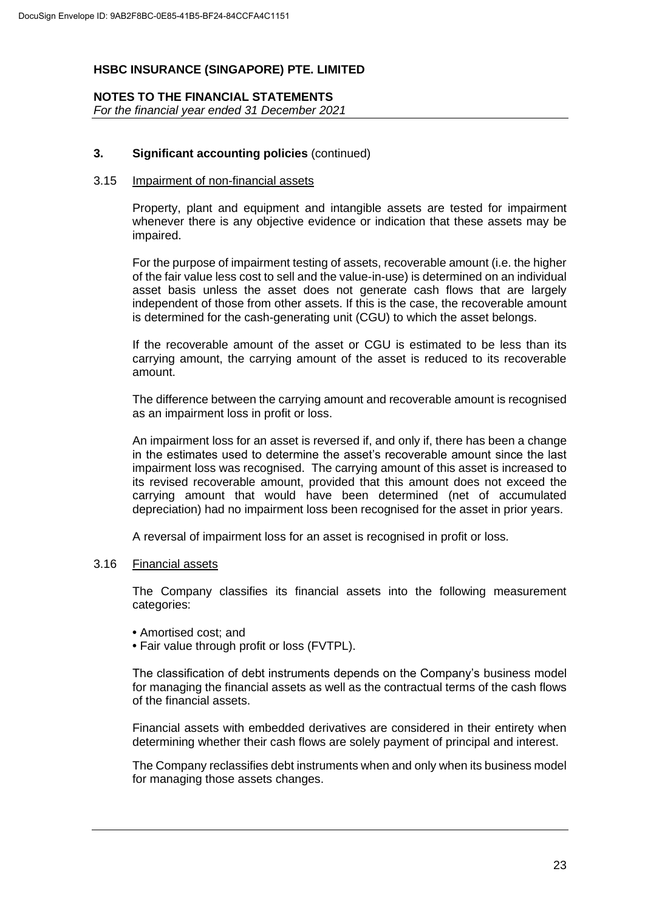# **NOTES TO THE FINANCIAL STATEMENTS**

*For the financial year ended 31 December 2021*

# **3. Significant accounting policies** (continued)

#### 3.15 Impairment of non-financial assets

Property, plant and equipment and intangible assets are tested for impairment whenever there is any objective evidence or indication that these assets may be impaired.

For the purpose of impairment testing of assets, recoverable amount (i.e. the higher of the fair value less cost to sell and the value-in-use) is determined on an individual asset basis unless the asset does not generate cash flows that are largely independent of those from other assets. If this is the case, the recoverable amount is determined for the cash-generating unit (CGU) to which the asset belongs.

If the recoverable amount of the asset or CGU is estimated to be less than its carrying amount, the carrying amount of the asset is reduced to its recoverable amount.

The difference between the carrying amount and recoverable amount is recognised as an impairment loss in profit or loss.

An impairment loss for an asset is reversed if, and only if, there has been a change in the estimates used to determine the asset's recoverable amount since the last impairment loss was recognised. The carrying amount of this asset is increased to its revised recoverable amount, provided that this amount does not exceed the carrying amount that would have been determined (net of accumulated depreciation) had no impairment loss been recognised for the asset in prior years.

A reversal of impairment loss for an asset is recognised in profit or loss.

#### 3.16 Financial assets

The Company classifies its financial assets into the following measurement categories:

- **•** Amortised cost; and
- **•** Fair value through profit or loss (FVTPL).

The classification of debt instruments depends on the Company's business model for managing the financial assets as well as the contractual terms of the cash flows of the financial assets.

Financial assets with embedded derivatives are considered in their entirety when determining whether their cash flows are solely payment of principal and interest.

The Company reclassifies debt instruments when and only when its business model for managing those assets changes.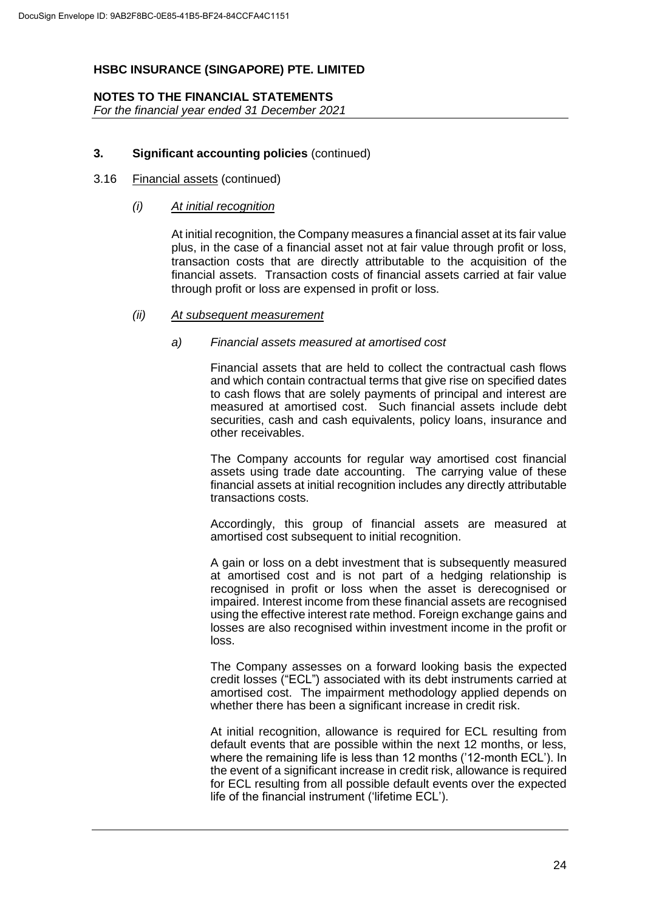# **NOTES TO THE FINANCIAL STATEMENTS**

*For the financial year ended 31 December 2021*

# **3. Significant accounting policies** (continued)

#### 3.16 Financial assets (continued)

#### *(i) At initial recognition*

At initial recognition, the Company measures a financial asset at its fair value plus, in the case of a financial asset not at fair value through profit or loss, transaction costs that are directly attributable to the acquisition of the financial assets. Transaction costs of financial assets carried at fair value through profit or loss are expensed in profit or loss.

#### *(ii) At subsequent measurement*

#### *a) Financial assets measured at amortised cost*

Financial assets that are held to collect the contractual cash flows and which contain contractual terms that give rise on specified dates to cash flows that are solely payments of principal and interest are measured at amortised cost. Such financial assets include debt securities, cash and cash equivalents, policy loans, insurance and other receivables.

The Company accounts for regular way amortised cost financial assets using trade date accounting. The carrying value of these financial assets at initial recognition includes any directly attributable transactions costs.

Accordingly, this group of financial assets are measured at amortised cost subsequent to initial recognition.

A gain or loss on a debt investment that is subsequently measured at amortised cost and is not part of a hedging relationship is recognised in profit or loss when the asset is derecognised or impaired. Interest income from these financial assets are recognised using the effective interest rate method. Foreign exchange gains and losses are also recognised within investment income in the profit or loss.

The Company assesses on a forward looking basis the expected credit losses ("ECL") associated with its debt instruments carried at amortised cost. The impairment methodology applied depends on whether there has been a significant increase in credit risk.

At initial recognition, allowance is required for ECL resulting from default events that are possible within the next 12 months, or less, where the remaining life is less than 12 months ('12-month ECL'). In the event of a significant increase in credit risk, allowance is required for ECL resulting from all possible default events over the expected life of the financial instrument ('lifetime ECL').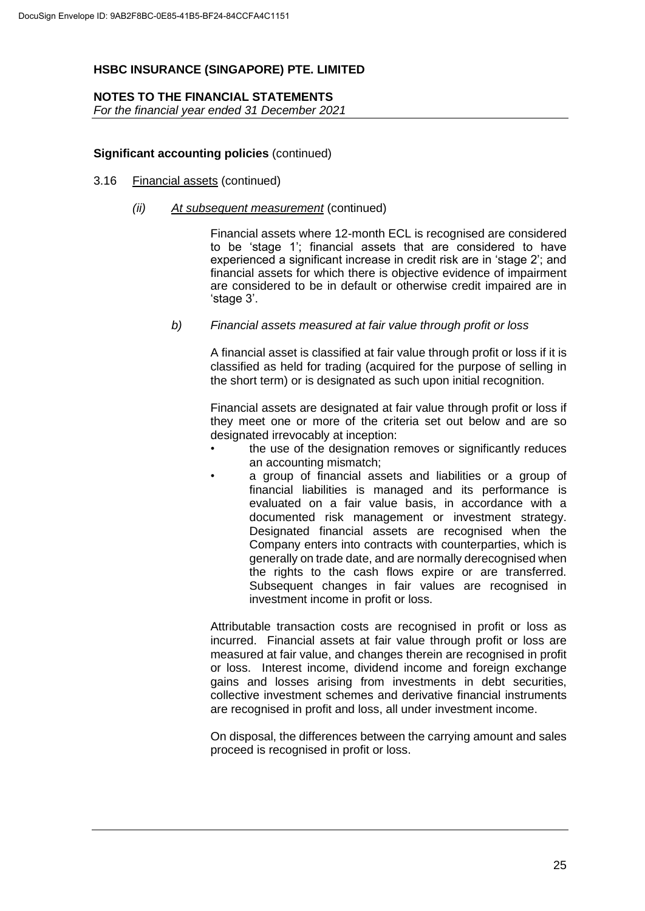# **NOTES TO THE FINANCIAL STATEMENTS**

*For the financial year ended 31 December 2021*

#### **Significant accounting policies** (continued)

- 3.16 Financial assets (continued)
	- *(ii) At subsequent measurement* (continued)

Financial assets where 12-month ECL is recognised are considered to be 'stage 1'; financial assets that are considered to have experienced a significant increase in credit risk are in 'stage 2'; and financial assets for which there is objective evidence of impairment are considered to be in default or otherwise credit impaired are in 'stage 3'.

*b) Financial assets measured at fair value through profit or loss*

A financial asset is classified at fair value through profit or loss if it is classified as held for trading (acquired for the purpose of selling in the short term) or is designated as such upon initial recognition.

Financial assets are designated at fair value through profit or loss if they meet one or more of the criteria set out below and are so designated irrevocably at inception:

- the use of the designation removes or significantly reduces an accounting mismatch;
- a group of financial assets and liabilities or a group of financial liabilities is managed and its performance is evaluated on a fair value basis, in accordance with a documented risk management or investment strategy. Designated financial assets are recognised when the Company enters into contracts with counterparties, which is generally on trade date, and are normally derecognised when the rights to the cash flows expire or are transferred. Subsequent changes in fair values are recognised in investment income in profit or loss.

Attributable transaction costs are recognised in profit or loss as incurred. Financial assets at fair value through profit or loss are measured at fair value, and changes therein are recognised in profit or loss. Interest income, dividend income and foreign exchange gains and losses arising from investments in debt securities, collective investment schemes and derivative financial instruments are recognised in profit and loss, all under investment income.

On disposal, the differences between the carrying amount and sales proceed is recognised in profit or loss.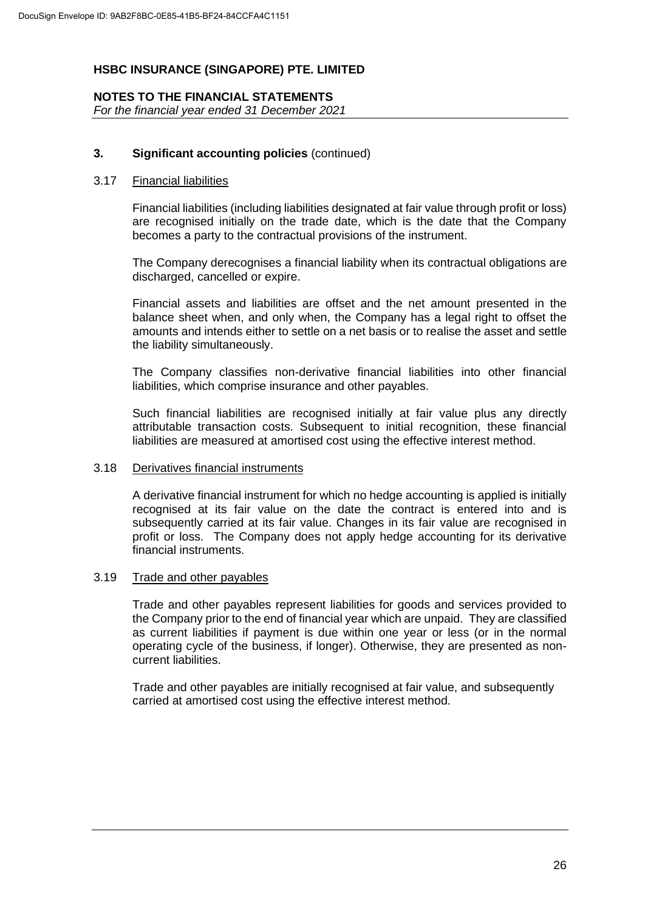# **NOTES TO THE FINANCIAL STATEMENTS**

*For the financial year ended 31 December 2021*

# **3. Significant accounting policies** (continued)

# 3.17 Financial liabilities

Financial liabilities (including liabilities designated at fair value through profit or loss) are recognised initially on the trade date, which is the date that the Company becomes a party to the contractual provisions of the instrument.

The Company derecognises a financial liability when its contractual obligations are discharged, cancelled or expire.

Financial assets and liabilities are offset and the net amount presented in the balance sheet when, and only when, the Company has a legal right to offset the amounts and intends either to settle on a net basis or to realise the asset and settle the liability simultaneously.

The Company classifies non-derivative financial liabilities into other financial liabilities, which comprise insurance and other payables.

Such financial liabilities are recognised initially at fair value plus any directly attributable transaction costs. Subsequent to initial recognition, these financial liabilities are measured at amortised cost using the effective interest method.

#### 3.18 Derivatives financial instruments

A derivative financial instrument for which no hedge accounting is applied is initially recognised at its fair value on the date the contract is entered into and is subsequently carried at its fair value. Changes in its fair value are recognised in profit or loss. The Company does not apply hedge accounting for its derivative financial instruments.

#### 3.19 Trade and other payables

Trade and other payables represent liabilities for goods and services provided to the Company prior to the end of financial year which are unpaid. They are classified as current liabilities if payment is due within one year or less (or in the normal operating cycle of the business, if longer). Otherwise, they are presented as noncurrent liabilities.

Trade and other payables are initially recognised at fair value, and subsequently carried at amortised cost using the effective interest method.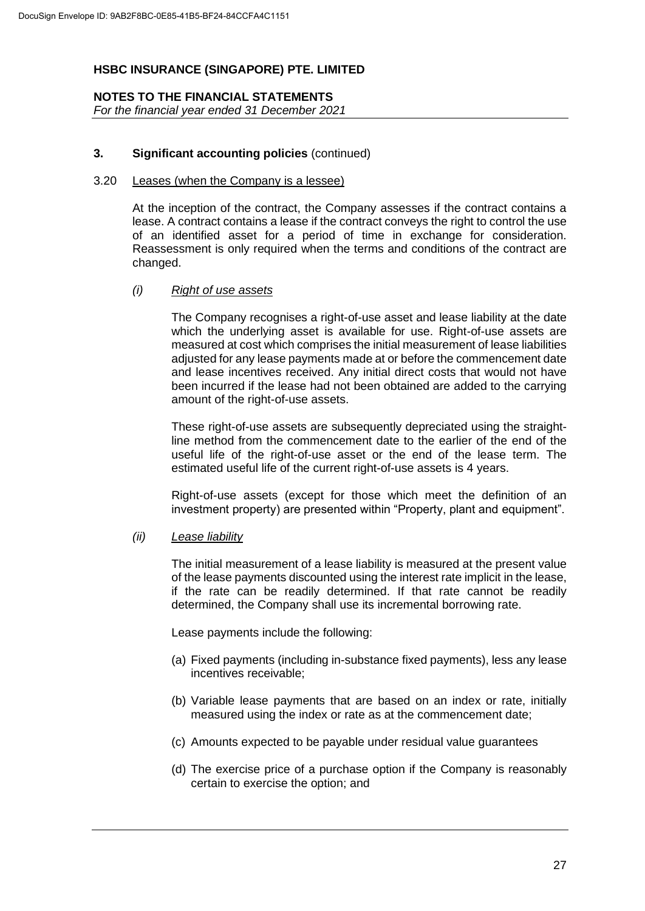# **NOTES TO THE FINANCIAL STATEMENTS**

*For the financial year ended 31 December 2021*

# **3. Significant accounting policies** (continued)

#### 3.20 Leases (when the Company is a lessee)

At the inception of the contract, the Company assesses if the contract contains a lease. A contract contains a lease if the contract conveys the right to control the use of an identified asset for a period of time in exchange for consideration. Reassessment is only required when the terms and conditions of the contract are changed.

# *(i) Right of use assets*

The Company recognises a right-of-use asset and lease liability at the date which the underlying asset is available for use. Right-of-use assets are measured at cost which comprises the initial measurement of lease liabilities adjusted for any lease payments made at or before the commencement date and lease incentives received. Any initial direct costs that would not have been incurred if the lease had not been obtained are added to the carrying amount of the right-of-use assets.

These right-of-use assets are subsequently depreciated using the straightline method from the commencement date to the earlier of the end of the useful life of the right-of-use asset or the end of the lease term. The estimated useful life of the current right-of-use assets is 4 years.

Right-of-use assets (except for those which meet the definition of an investment property) are presented within "Property, plant and equipment".

# *(ii) Lease liability*

The initial measurement of a lease liability is measured at the present value of the lease payments discounted using the interest rate implicit in the lease, if the rate can be readily determined. If that rate cannot be readily determined, the Company shall use its incremental borrowing rate.

Lease payments include the following:

- (a) Fixed payments (including in-substance fixed payments), less any lease incentives receivable;
- (b) Variable lease payments that are based on an index or rate, initially measured using the index or rate as at the commencement date;
- (c) Amounts expected to be payable under residual value guarantees
- (d) The exercise price of a purchase option if the Company is reasonably certain to exercise the option; and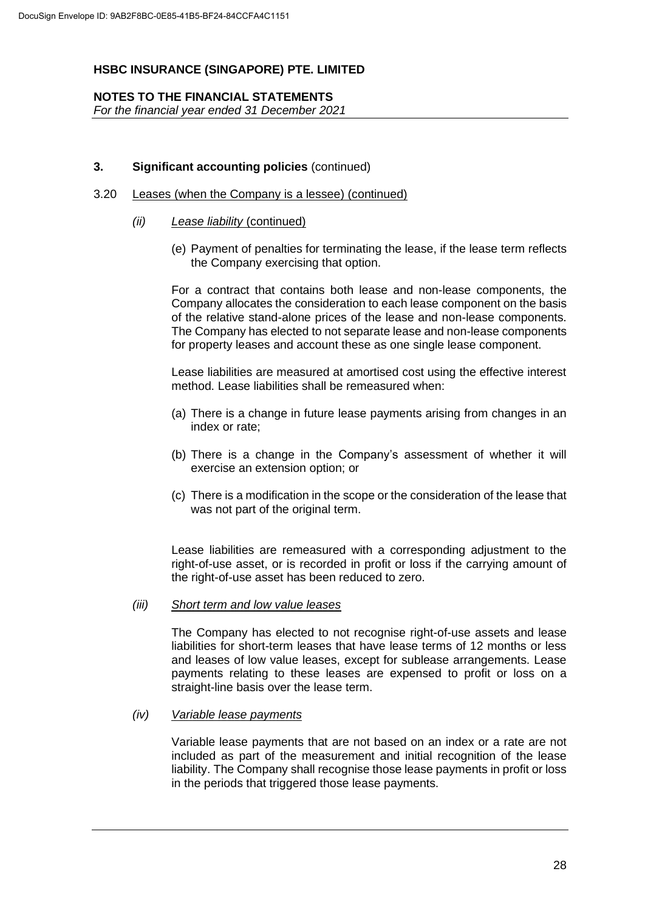#### **NOTES TO THE FINANCIAL STATEMENTS**

*For the financial year ended 31 December 2021*

#### **3. Significant accounting policies** (continued)

#### 3.20 Leases (when the Company is a lessee) (continued)

#### *(ii) Lease liability* (continued)

(e) Payment of penalties for terminating the lease, if the lease term reflects the Company exercising that option.

For a contract that contains both lease and non-lease components, the Company allocates the consideration to each lease component on the basis of the relative stand-alone prices of the lease and non-lease components. The Company has elected to not separate lease and non-lease components for property leases and account these as one single lease component.

Lease liabilities are measured at amortised cost using the effective interest method. Lease liabilities shall be remeasured when:

- (a) There is a change in future lease payments arising from changes in an index or rate;
- (b) There is a change in the Company's assessment of whether it will exercise an extension option; or
- (c) There is a modification in the scope or the consideration of the lease that was not part of the original term.

Lease liabilities are remeasured with a corresponding adjustment to the right-of-use asset, or is recorded in profit or loss if the carrying amount of the right-of-use asset has been reduced to zero.

#### *(iii) Short term and low value leases*

The Company has elected to not recognise right-of-use assets and lease liabilities for short-term leases that have lease terms of 12 months or less and leases of low value leases, except for sublease arrangements. Lease payments relating to these leases are expensed to profit or loss on a straight-line basis over the lease term.

#### *(iv) Variable lease payments*

Variable lease payments that are not based on an index or a rate are not included as part of the measurement and initial recognition of the lease liability. The Company shall recognise those lease payments in profit or loss in the periods that triggered those lease payments.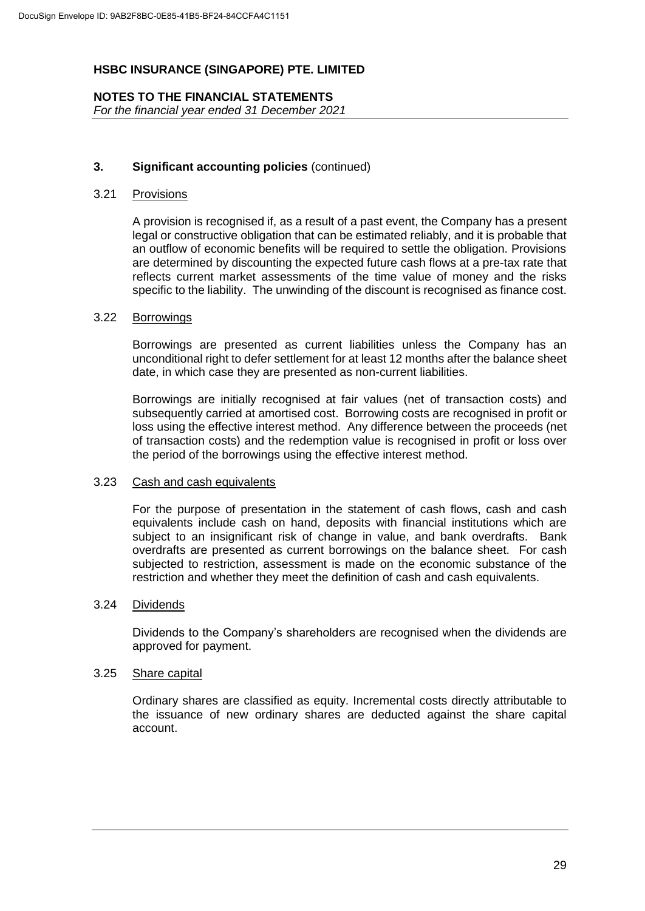#### **NOTES TO THE FINANCIAL STATEMENTS** *For the financial year ended 31 December 2021*

#### **3. Significant accounting policies** (continued)

#### 3.21 Provisions

A provision is recognised if, as a result of a past event, the Company has a present legal or constructive obligation that can be estimated reliably, and it is probable that an outflow of economic benefits will be required to settle the obligation. Provisions are determined by discounting the expected future cash flows at a pre-tax rate that reflects current market assessments of the time value of money and the risks specific to the liability. The unwinding of the discount is recognised as finance cost.

#### 3.22 Borrowings

Borrowings are presented as current liabilities unless the Company has an unconditional right to defer settlement for at least 12 months after the balance sheet date, in which case they are presented as non-current liabilities.

Borrowings are initially recognised at fair values (net of transaction costs) and subsequently carried at amortised cost. Borrowing costs are recognised in profit or loss using the effective interest method. Any difference between the proceeds (net of transaction costs) and the redemption value is recognised in profit or loss over the period of the borrowings using the effective interest method.

#### 3.23 Cash and cash equivalents

For the purpose of presentation in the statement of cash flows, cash and cash equivalents include cash on hand, deposits with financial institutions which are subject to an insignificant risk of change in value, and bank overdrafts. Bank overdrafts are presented as current borrowings on the balance sheet. For cash subjected to restriction, assessment is made on the economic substance of the restriction and whether they meet the definition of cash and cash equivalents.

#### 3.24 Dividends

Dividends to the Company's shareholders are recognised when the dividends are approved for payment.

# 3.25 Share capital

Ordinary shares are classified as equity. Incremental costs directly attributable to the issuance of new ordinary shares are deducted against the share capital account.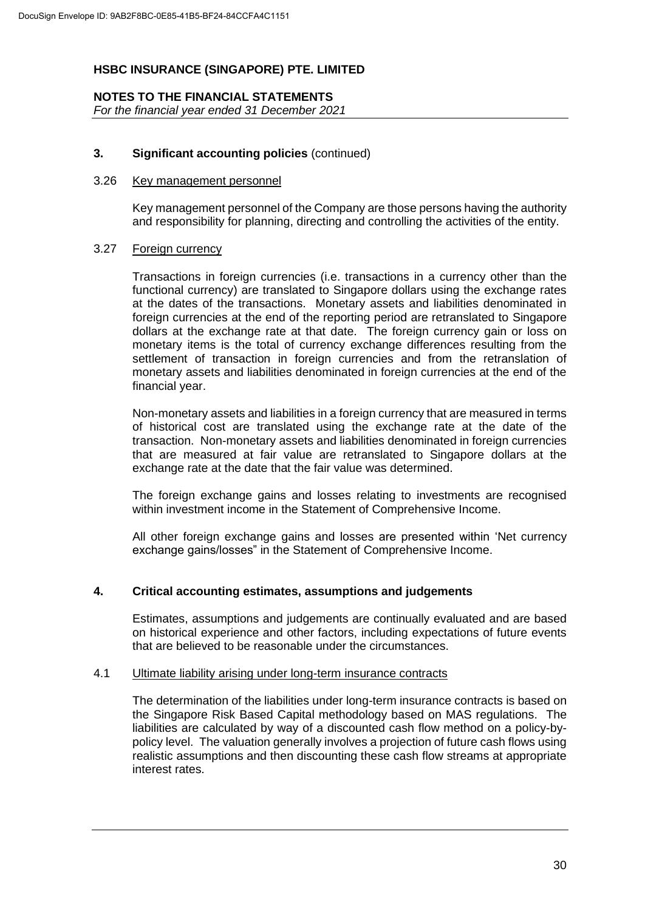# **NOTES TO THE FINANCIAL STATEMENTS**

*For the financial year ended 31 December 2021*

# **3. Significant accounting policies** (continued)

#### 3.26 Key management personnel

Key management personnel of the Company are those persons having the authority and responsibility for planning, directing and controlling the activities of the entity.

#### 3.27 Foreign currency

Transactions in foreign currencies (i.e. transactions in a currency other than the functional currency) are translated to Singapore dollars using the exchange rates at the dates of the transactions. Monetary assets and liabilities denominated in foreign currencies at the end of the reporting period are retranslated to Singapore dollars at the exchange rate at that date. The foreign currency gain or loss on monetary items is the total of currency exchange differences resulting from the settlement of transaction in foreign currencies and from the retranslation of monetary assets and liabilities denominated in foreign currencies at the end of the financial year.

Non-monetary assets and liabilities in a foreign currency that are measured in terms of historical cost are translated using the exchange rate at the date of the transaction. Non-monetary assets and liabilities denominated in foreign currencies that are measured at fair value are retranslated to Singapore dollars at the exchange rate at the date that the fair value was determined.

The foreign exchange gains and losses relating to investments are recognised within investment income in the Statement of Comprehensive Income.

All other foreign exchange gains and losses are presented within 'Net currency exchange gains/losses" in the Statement of Comprehensive Income.

# **4. Critical accounting estimates, assumptions and judgements**

Estimates, assumptions and judgements are continually evaluated and are based on historical experience and other factors, including expectations of future events that are believed to be reasonable under the circumstances.

# 4.1 Ultimate liability arising under long-term insurance contracts

The determination of the liabilities under long-term insurance contracts is based on the Singapore Risk Based Capital methodology based on MAS regulations. The liabilities are calculated by way of a discounted cash flow method on a policy-bypolicy level. The valuation generally involves a projection of future cash flows using realistic assumptions and then discounting these cash flow streams at appropriate interest rates.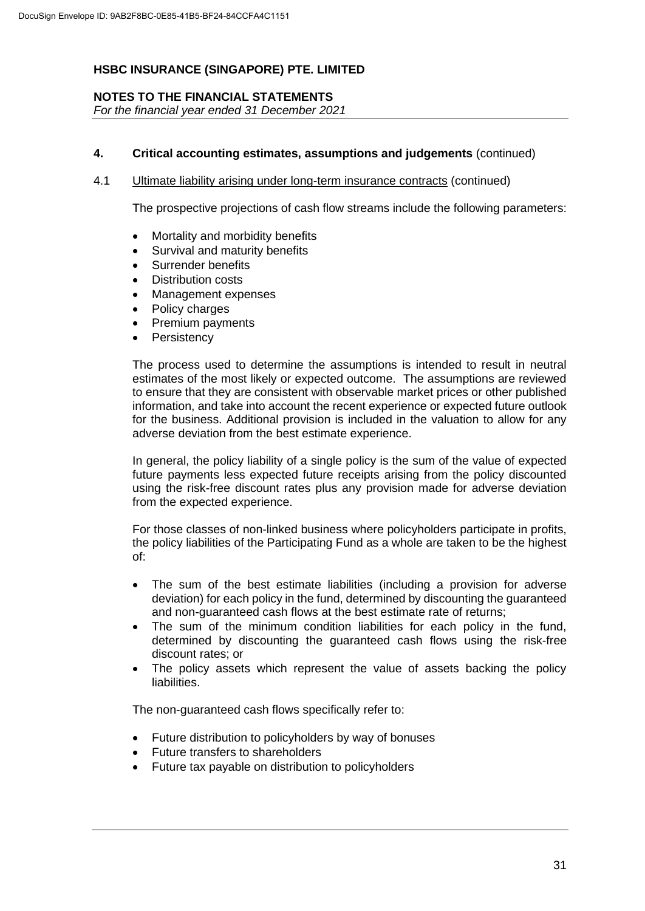# **NOTES TO THE FINANCIAL STATEMENTS**

*For the financial year ended 31 December 2021*

# **4. Critical accounting estimates, assumptions and judgements** (continued)

4.1 Ultimate liability arising under long-term insurance contracts (continued)

The prospective projections of cash flow streams include the following parameters:

- Mortality and morbidity benefits
- Survival and maturity benefits
- Surrender benefits
- Distribution costs
- Management expenses
- Policy charges
- Premium payments
- **Persistency**

The process used to determine the assumptions is intended to result in neutral estimates of the most likely or expected outcome. The assumptions are reviewed to ensure that they are consistent with observable market prices or other published information, and take into account the recent experience or expected future outlook for the business. Additional provision is included in the valuation to allow for any adverse deviation from the best estimate experience.

In general, the policy liability of a single policy is the sum of the value of expected future payments less expected future receipts arising from the policy discounted using the risk-free discount rates plus any provision made for adverse deviation from the expected experience.

For those classes of non-linked business where policyholders participate in profits, the policy liabilities of the Participating Fund as a whole are taken to be the highest of:

- The sum of the best estimate liabilities (including a provision for adverse deviation) for each policy in the fund, determined by discounting the guaranteed and non-guaranteed cash flows at the best estimate rate of returns;
- The sum of the minimum condition liabilities for each policy in the fund, determined by discounting the guaranteed cash flows using the risk-free discount rates; or
- The policy assets which represent the value of assets backing the policy **liabilities**

The non-guaranteed cash flows specifically refer to:

- Future distribution to policyholders by way of bonuses
- Future transfers to shareholders
- Future tax payable on distribution to policyholders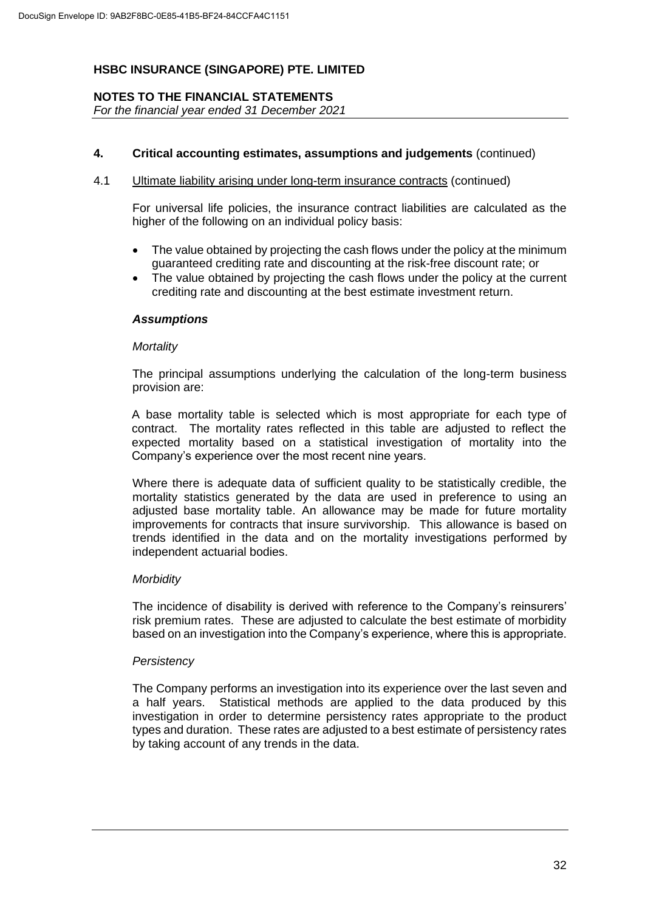# **NOTES TO THE FINANCIAL STATEMENTS**

*For the financial year ended 31 December 2021*

# **4. Critical accounting estimates, assumptions and judgements** (continued)

#### 4.1 Ultimate liability arising under long-term insurance contracts (continued)

For universal life policies, the insurance contract liabilities are calculated as the higher of the following on an individual policy basis:

- The value obtained by projecting the cash flows under the policy at the minimum guaranteed crediting rate and discounting at the risk-free discount rate; or
- The value obtained by projecting the cash flows under the policy at the current crediting rate and discounting at the best estimate investment return.

#### *Assumptions*

#### *Mortality*

The principal assumptions underlying the calculation of the long-term business provision are:

A base mortality table is selected which is most appropriate for each type of contract. The mortality rates reflected in this table are adjusted to reflect the expected mortality based on a statistical investigation of mortality into the Company's experience over the most recent nine years.

Where there is adequate data of sufficient quality to be statistically credible, the mortality statistics generated by the data are used in preference to using an adjusted base mortality table. An allowance may be made for future mortality improvements for contracts that insure survivorship. This allowance is based on trends identified in the data and on the mortality investigations performed by independent actuarial bodies.

#### *Morbidity*

The incidence of disability is derived with reference to the Company's reinsurers' risk premium rates. These are adjusted to calculate the best estimate of morbidity based on an investigation into the Company's experience, where this is appropriate.

# *Persistency*

The Company performs an investigation into its experience over the last seven and a half years. Statistical methods are applied to the data produced by this investigation in order to determine persistency rates appropriate to the product types and duration. These rates are adjusted to a best estimate of persistency rates by taking account of any trends in the data.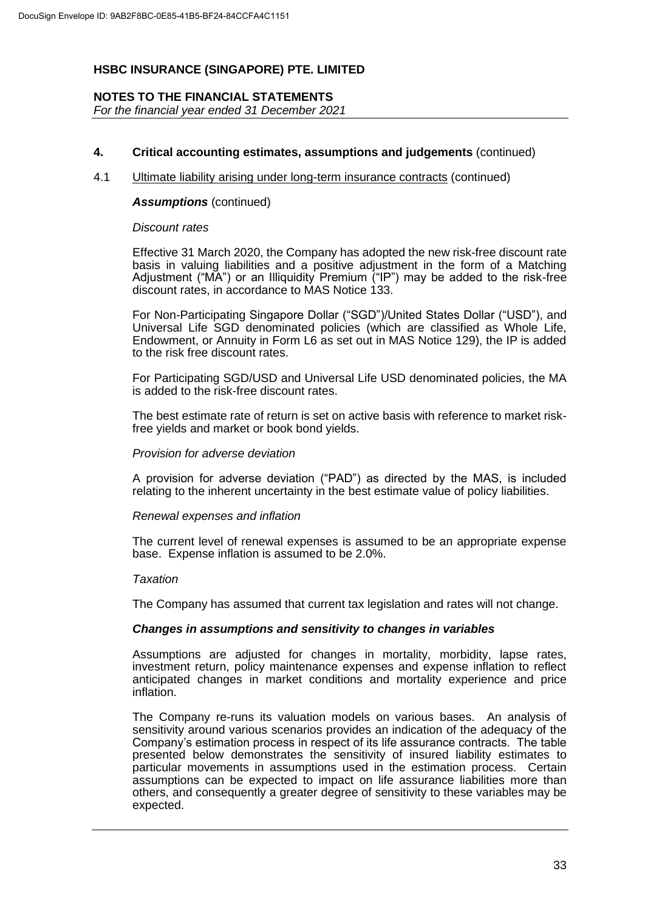# **NOTES TO THE FINANCIAL STATEMENTS**

*For the financial year ended 31 December 2021*

#### **4. Critical accounting estimates, assumptions and judgements** (continued)

#### 4.1 Ultimate liability arising under long-term insurance contracts (continued)

#### *Assumptions* (continued)

#### *Discount rates*

Effective 31 March 2020, the Company has adopted the new risk-free discount rate basis in valuing liabilities and a positive adjustment in the form of a Matching Adjustment ("MA") or an Illiquidity Premium ("IP") may be added to the risk-free discount rates, in accordance to MAS Notice 133.

For Non-Participating Singapore Dollar ("SGD")/United States Dollar ("USD"), and Universal Life SGD denominated policies (which are classified as Whole Life, Endowment, or Annuity in Form L6 as set out in MAS Notice 129), the IP is added to the risk free discount rates.

For Participating SGD/USD and Universal Life USD denominated policies, the MA is added to the risk-free discount rates.

The best estimate rate of return is set on active basis with reference to market riskfree yields and market or book bond yields.

#### *Provision for adverse deviation*

A provision for adverse deviation ("PAD") as directed by the MAS, is included relating to the inherent uncertainty in the best estimate value of policy liabilities.

#### *Renewal expenses and inflation*

The current level of renewal expenses is assumed to be an appropriate expense base. Expense inflation is assumed to be 2.0%.

#### *Taxation*

The Company has assumed that current tax legislation and rates will not change.

#### *Changes in assumptions and sensitivity to changes in variables*

Assumptions are adjusted for changes in mortality, morbidity, lapse rates, investment return, policy maintenance expenses and expense inflation to reflect anticipated changes in market conditions and mortality experience and price inflation.

The Company re-runs its valuation models on various bases. An analysis of sensitivity around various scenarios provides an indication of the adequacy of the Company's estimation process in respect of its life assurance contracts. The table presented below demonstrates the sensitivity of insured liability estimates to particular movements in assumptions used in the estimation process. Certain assumptions can be expected to impact on life assurance liabilities more than others, and consequently a greater degree of sensitivity to these variables may be expected.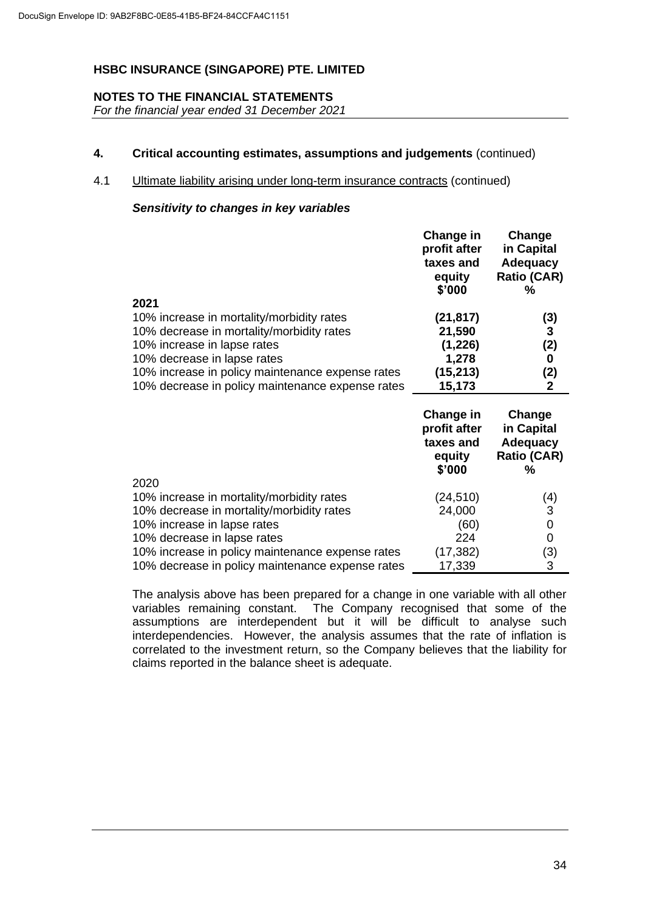# **NOTES TO THE FINANCIAL STATEMENTS**

*For the financial year ended 31 December 2021*

# **4. Critical accounting estimates, assumptions and judgements** (continued)

# 4.1 Ultimate liability arising under long-term insurance contracts (continued)

# *Sensitivity to changes in key variables*

|                                                  | Change in<br>profit after<br>taxes and<br>equity<br>\$'000 | Change<br>in Capital<br><b>Adequacy</b><br><b>Ratio (CAR)</b><br>% |
|--------------------------------------------------|------------------------------------------------------------|--------------------------------------------------------------------|
| 2021                                             |                                                            |                                                                    |
| 10% increase in mortality/morbidity rates        | (21,817)                                                   | (3)                                                                |
| 10% decrease in mortality/morbidity rates        | 21,590                                                     | $\mathbf{3}$                                                       |
| 10% increase in lapse rates                      | (1,226)                                                    | (2)                                                                |
| 10% decrease in lapse rates                      | 1,278                                                      | 0                                                                  |
| 10% increase in policy maintenance expense rates | (15,213)                                                   | (2)                                                                |
| 10% decrease in policy maintenance expense rates | 15,173                                                     | 2                                                                  |

|                                                  | Change in<br>profit after<br>taxes and<br>equity<br>\$'000 | Change<br>in Capital<br><b>Adequacy</b><br><b>Ratio (CAR)</b><br>% |
|--------------------------------------------------|------------------------------------------------------------|--------------------------------------------------------------------|
| 2020                                             |                                                            |                                                                    |
| 10% increase in mortality/morbidity rates        | (24,510)                                                   | (4)                                                                |
| 10% decrease in mortality/morbidity rates        | 24,000                                                     | 3                                                                  |
| 10% increase in lapse rates                      | (60)                                                       | 0                                                                  |
| 10% decrease in lapse rates                      | 224                                                        | 0                                                                  |
| 10% increase in policy maintenance expense rates | (17, 382)                                                  | (3)                                                                |
| 10% decrease in policy maintenance expense rates | 17,339                                                     | 3                                                                  |

The analysis above has been prepared for a change in one variable with all other variables remaining constant. The Company recognised that some of the assumptions are interdependent but it will be difficult to analyse such interdependencies. However, the analysis assumes that the rate of inflation is correlated to the investment return, so the Company believes that the liability for claims reported in the balance sheet is adequate.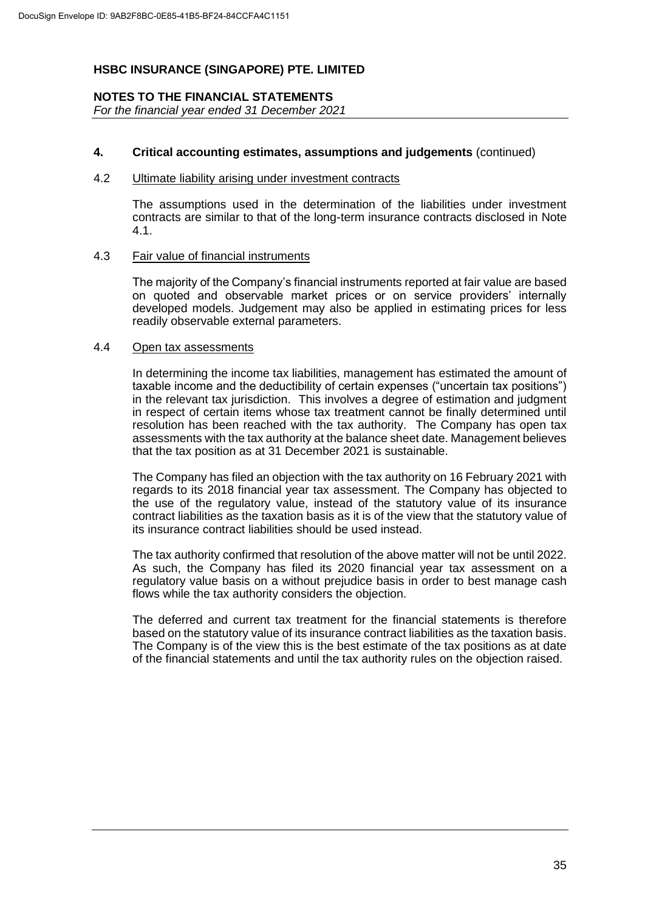# **NOTES TO THE FINANCIAL STATEMENTS**

*For the financial year ended 31 December 2021*

## **4. Critical accounting estimates, assumptions and judgements** (continued)

#### 4.2 Ultimate liability arising under investment contracts

The assumptions used in the determination of the liabilities under investment contracts are similar to that of the long-term insurance contracts disclosed in Note 4.1.

#### 4.3 Fair value of financial instruments

The majority of the Company's financial instruments reported at fair value are based on quoted and observable market prices or on service providers' internally developed models. Judgement may also be applied in estimating prices for less readily observable external parameters.

#### 4.4 Open tax assessments

In determining the income tax liabilities, management has estimated the amount of taxable income and the deductibility of certain expenses ("uncertain tax positions") in the relevant tax jurisdiction. This involves a degree of estimation and judgment in respect of certain items whose tax treatment cannot be finally determined until resolution has been reached with the tax authority. The Company has open tax assessments with the tax authority at the balance sheet date. Management believes that the tax position as at 31 December 2021 is sustainable.

The Company has filed an objection with the tax authority on 16 February 2021 with regards to its 2018 financial year tax assessment. The Company has objected to the use of the regulatory value, instead of the statutory value of its insurance contract liabilities as the taxation basis as it is of the view that the statutory value of its insurance contract liabilities should be used instead.

The tax authority confirmed that resolution of the above matter will not be until 2022. As such, the Company has filed its 2020 financial year tax assessment on a regulatory value basis on a without prejudice basis in order to best manage cash flows while the tax authority considers the objection.

The deferred and current tax treatment for the financial statements is therefore based on the statutory value of its insurance contract liabilities as the taxation basis. The Company is of the view this is the best estimate of the tax positions as at date of the financial statements and until the tax authority rules on the objection raised.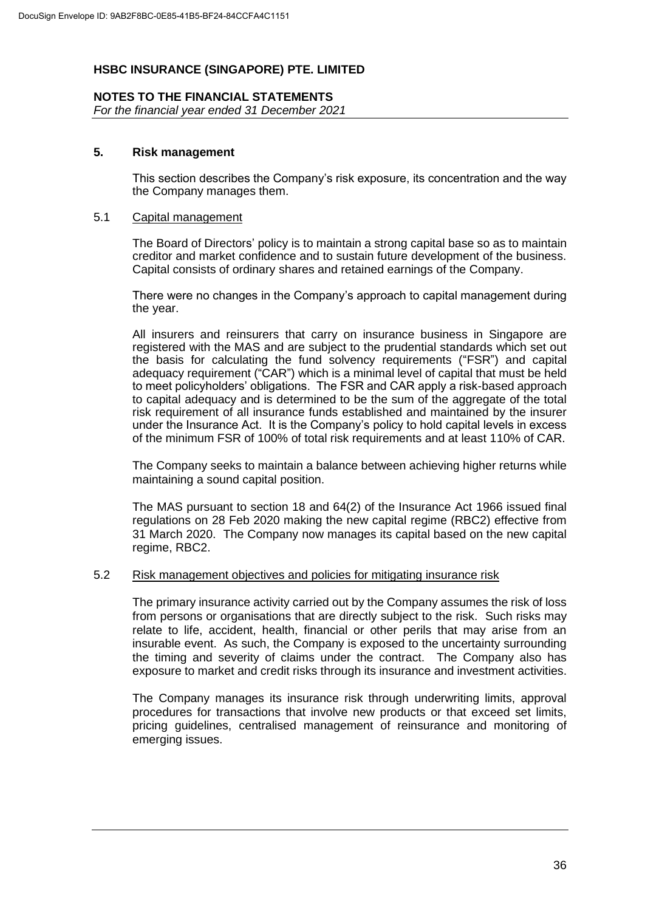## **NOTES TO THE FINANCIAL STATEMENTS**

*For the financial year ended 31 December 2021*

## **5. Risk management**

This section describes the Company's risk exposure, its concentration and the way the Company manages them.

#### 5.1 Capital management

The Board of Directors' policy is to maintain a strong capital base so as to maintain creditor and market confidence and to sustain future development of the business. Capital consists of ordinary shares and retained earnings of the Company.

There were no changes in the Company's approach to capital management during the year.

All insurers and reinsurers that carry on insurance business in Singapore are registered with the MAS and are subject to the prudential standards which set out the basis for calculating the fund solvency requirements ("FSR") and capital adequacy requirement ("CAR") which is a minimal level of capital that must be held to meet policyholders' obligations. The FSR and CAR apply a risk-based approach to capital adequacy and is determined to be the sum of the aggregate of the total risk requirement of all insurance funds established and maintained by the insurer under the Insurance Act. It is the Company's policy to hold capital levels in excess of the minimum FSR of 100% of total risk requirements and at least 110% of CAR.

The Company seeks to maintain a balance between achieving higher returns while maintaining a sound capital position.

The MAS pursuant to section 18 and 64(2) of the Insurance Act 1966 issued final regulations on 28 Feb 2020 making the new capital regime (RBC2) effective from 31 March 2020. The Company now manages its capital based on the new capital regime, RBC2.

#### 5.2 Risk management objectives and policies for mitigating insurance risk

The primary insurance activity carried out by the Company assumes the risk of loss from persons or organisations that are directly subject to the risk. Such risks may relate to life, accident, health, financial or other perils that may arise from an insurable event. As such, the Company is exposed to the uncertainty surrounding the timing and severity of claims under the contract. The Company also has exposure to market and credit risks through its insurance and investment activities.

The Company manages its insurance risk through underwriting limits, approval procedures for transactions that involve new products or that exceed set limits, pricing guidelines, centralised management of reinsurance and monitoring of emerging issues.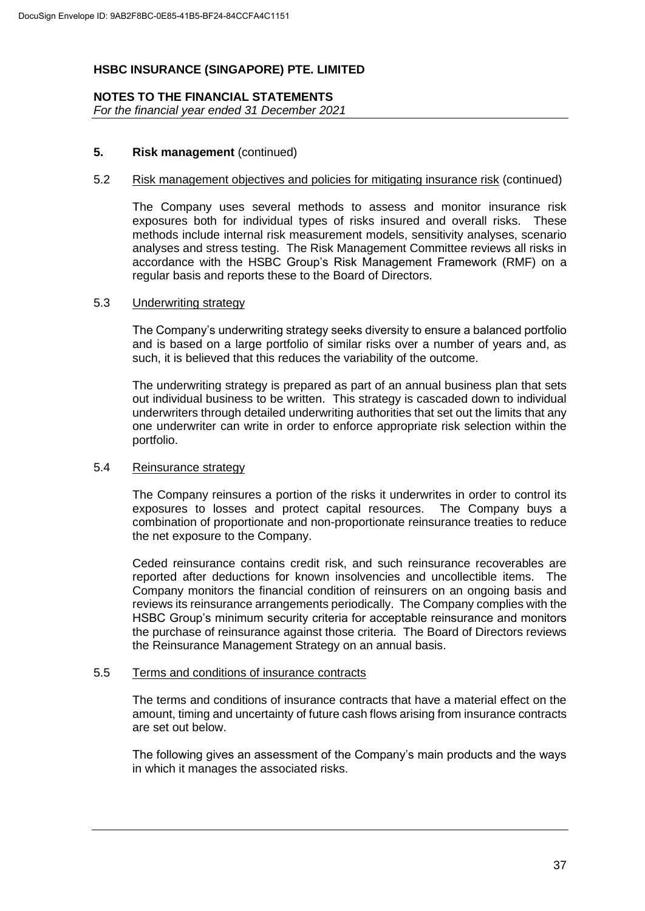# **NOTES TO THE FINANCIAL STATEMENTS**

*For the financial year ended 31 December 2021*

## **5. Risk management** (continued)

#### 5.2 Risk management objectives and policies for mitigating insurance risk (continued)

The Company uses several methods to assess and monitor insurance risk exposures both for individual types of risks insured and overall risks. These methods include internal risk measurement models, sensitivity analyses, scenario analyses and stress testing. The Risk Management Committee reviews all risks in accordance with the HSBC Group's Risk Management Framework (RMF) on a regular basis and reports these to the Board of Directors.

## 5.3 Underwriting strategy

The Company's underwriting strategy seeks diversity to ensure a balanced portfolio and is based on a large portfolio of similar risks over a number of years and, as such, it is believed that this reduces the variability of the outcome.

The underwriting strategy is prepared as part of an annual business plan that sets out individual business to be written. This strategy is cascaded down to individual underwriters through detailed underwriting authorities that set out the limits that any one underwriter can write in order to enforce appropriate risk selection within the portfolio.

## 5.4 Reinsurance strategy

The Company reinsures a portion of the risks it underwrites in order to control its exposures to losses and protect capital resources. The Company buys a combination of proportionate and non-proportionate reinsurance treaties to reduce the net exposure to the Company.

Ceded reinsurance contains credit risk, and such reinsurance recoverables are reported after deductions for known insolvencies and uncollectible items. The Company monitors the financial condition of reinsurers on an ongoing basis and reviews its reinsurance arrangements periodically. The Company complies with the HSBC Group's minimum security criteria for acceptable reinsurance and monitors the purchase of reinsurance against those criteria. The Board of Directors reviews the Reinsurance Management Strategy on an annual basis.

## 5.5 Terms and conditions of insurance contracts

The terms and conditions of insurance contracts that have a material effect on the amount, timing and uncertainty of future cash flows arising from insurance contracts are set out below.

The following gives an assessment of the Company's main products and the ways in which it manages the associated risks.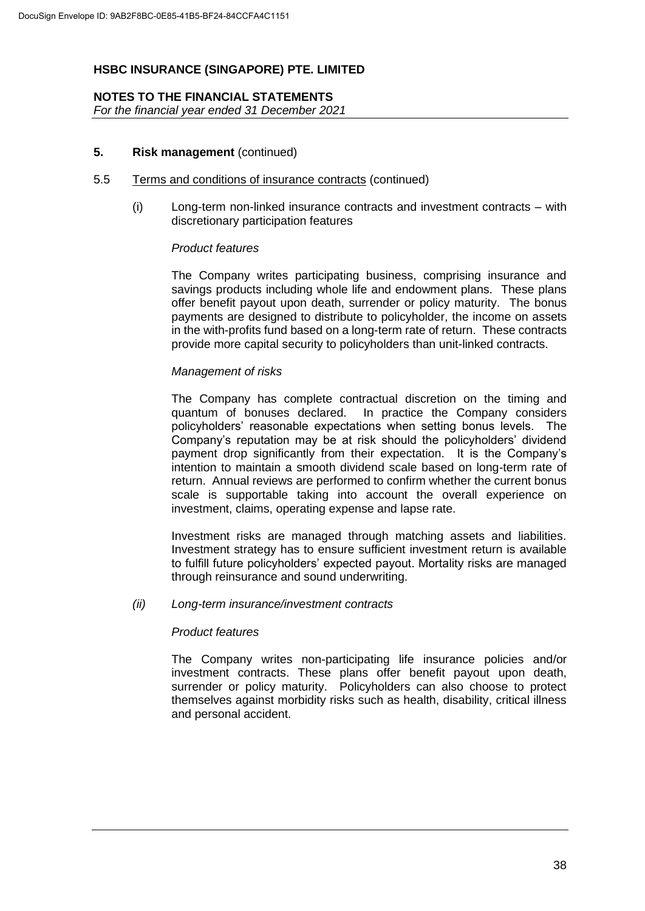## **NOTES TO THE FINANCIAL STATEMENTS**

*For the financial year ended 31 December 2021*

## **5. Risk management** (continued)

#### 5.5 Terms and conditions of insurance contracts (continued)

(i) Long-term non-linked insurance contracts and investment contracts – with discretionary participation features

## *Product features*

The Company writes participating business, comprising insurance and savings products including whole life and endowment plans. These plans offer benefit payout upon death, surrender or policy maturity. The bonus payments are designed to distribute to policyholder, the income on assets in the with-profits fund based on a long-term rate of return. These contracts provide more capital security to policyholders than unit-linked contracts.

## *Management of risks*

The Company has complete contractual discretion on the timing and quantum of bonuses declared. In practice the Company considers policyholders' reasonable expectations when setting bonus levels. The Company's reputation may be at risk should the policyholders' dividend payment drop significantly from their expectation. It is the Company's intention to maintain a smooth dividend scale based on long-term rate of return. Annual reviews are performed to confirm whether the current bonus scale is supportable taking into account the overall experience on investment, claims, operating expense and lapse rate.

Investment risks are managed through matching assets and liabilities. Investment strategy has to ensure sufficient investment return is available to fulfill future policyholders' expected payout. Mortality risks are managed through reinsurance and sound underwriting.

## *(ii) Long-term insurance/investment contracts*

#### *Product features*

The Company writes non-participating life insurance policies and/or investment contracts. These plans offer benefit payout upon death, surrender or policy maturity. Policyholders can also choose to protect themselves against morbidity risks such as health, disability, critical illness and personal accident.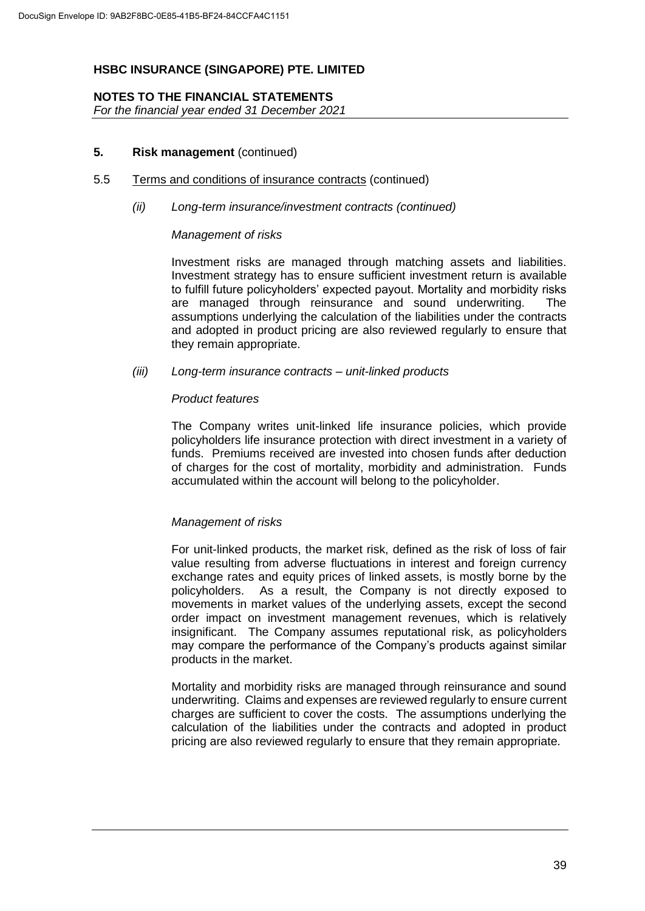## **NOTES TO THE FINANCIAL STATEMENTS**

*For the financial year ended 31 December 2021*

## **5. Risk management** (continued)

#### 5.5 Terms and conditions of insurance contracts (continued)

## *(ii) Long-term insurance/investment contracts (continued)*

## *Management of risks*

Investment risks are managed through matching assets and liabilities. Investment strategy has to ensure sufficient investment return is available to fulfill future policyholders' expected payout. Mortality and morbidity risks are managed through reinsurance and sound underwriting. The assumptions underlying the calculation of the liabilities under the contracts and adopted in product pricing are also reviewed regularly to ensure that they remain appropriate.

## *(iii) Long-term insurance contracts – unit-linked products*

## *Product features*

The Company writes unit-linked life insurance policies, which provide policyholders life insurance protection with direct investment in a variety of funds. Premiums received are invested into chosen funds after deduction of charges for the cost of mortality, morbidity and administration. Funds accumulated within the account will belong to the policyholder.

## *Management of risks*

For unit-linked products, the market risk, defined as the risk of loss of fair value resulting from adverse fluctuations in interest and foreign currency exchange rates and equity prices of linked assets, is mostly borne by the policyholders. As a result, the Company is not directly exposed to movements in market values of the underlying assets, except the second order impact on investment management revenues, which is relatively insignificant. The Company assumes reputational risk, as policyholders may compare the performance of the Company's products against similar products in the market.

Mortality and morbidity risks are managed through reinsurance and sound underwriting. Claims and expenses are reviewed regularly to ensure current charges are sufficient to cover the costs. The assumptions underlying the calculation of the liabilities under the contracts and adopted in product pricing are also reviewed regularly to ensure that they remain appropriate.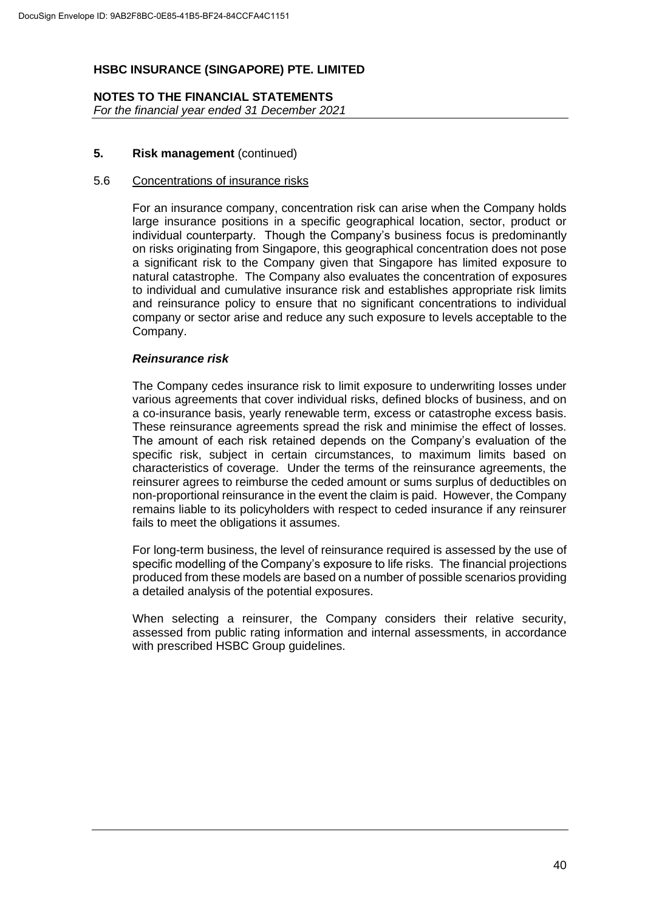## **NOTES TO THE FINANCIAL STATEMENTS** *For the financial year ended 31 December 2021*

## **5. Risk management** (continued)

#### 5.6 Concentrations of insurance risks

For an insurance company, concentration risk can arise when the Company holds large insurance positions in a specific geographical location, sector, product or individual counterparty. Though the Company's business focus is predominantly on risks originating from Singapore, this geographical concentration does not pose a significant risk to the Company given that Singapore has limited exposure to natural catastrophe. The Company also evaluates the concentration of exposures to individual and cumulative insurance risk and establishes appropriate risk limits and reinsurance policy to ensure that no significant concentrations to individual company or sector arise and reduce any such exposure to levels acceptable to the Company.

## *Reinsurance risk*

The Company cedes insurance risk to limit exposure to underwriting losses under various agreements that cover individual risks, defined blocks of business, and on a co-insurance basis, yearly renewable term, excess or catastrophe excess basis. These reinsurance agreements spread the risk and minimise the effect of losses. The amount of each risk retained depends on the Company's evaluation of the specific risk, subject in certain circumstances, to maximum limits based on characteristics of coverage. Under the terms of the reinsurance agreements, the reinsurer agrees to reimburse the ceded amount or sums surplus of deductibles on non-proportional reinsurance in the event the claim is paid. However, the Company remains liable to its policyholders with respect to ceded insurance if any reinsurer fails to meet the obligations it assumes.

For long-term business, the level of reinsurance required is assessed by the use of specific modelling of the Company's exposure to life risks. The financial projections produced from these models are based on a number of possible scenarios providing a detailed analysis of the potential exposures.

When selecting a reinsurer, the Company considers their relative security, assessed from public rating information and internal assessments, in accordance with prescribed HSBC Group quidelines.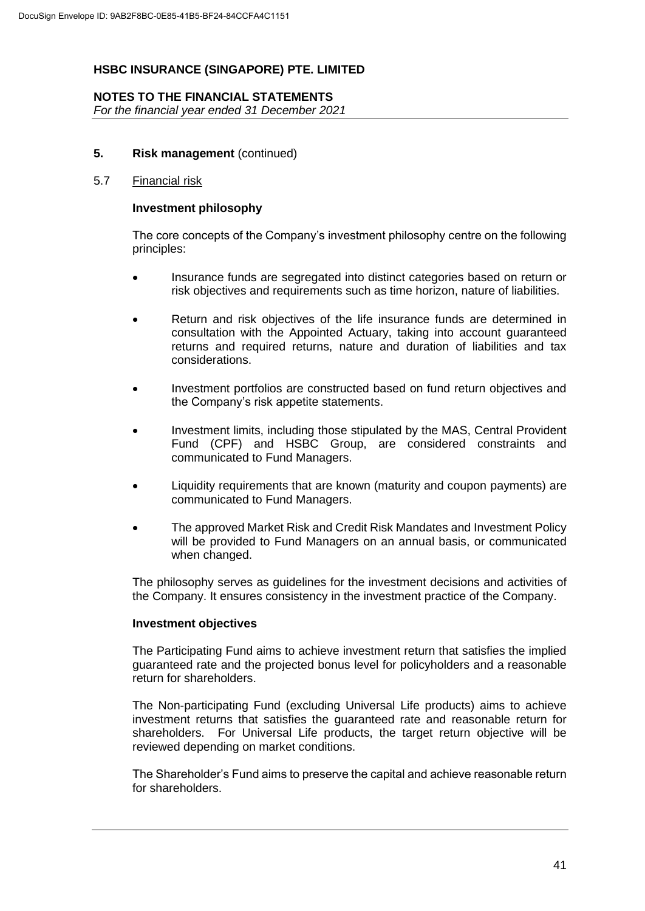## **NOTES TO THE FINANCIAL STATEMENTS**

*For the financial year ended 31 December 2021*

## **5. Risk management** (continued)

#### 5.7 Financial risk

#### **Investment philosophy**

The core concepts of the Company's investment philosophy centre on the following principles:

- Insurance funds are segregated into distinct categories based on return or risk objectives and requirements such as time horizon, nature of liabilities.
- Return and risk objectives of the life insurance funds are determined in consultation with the Appointed Actuary, taking into account guaranteed returns and required returns, nature and duration of liabilities and tax considerations.
- Investment portfolios are constructed based on fund return objectives and the Company's risk appetite statements.
- Investment limits, including those stipulated by the MAS, Central Provident Fund (CPF) and HSBC Group, are considered constraints and communicated to Fund Managers.
- Liquidity requirements that are known (maturity and coupon payments) are communicated to Fund Managers.
- The approved Market Risk and Credit Risk Mandates and Investment Policy will be provided to Fund Managers on an annual basis, or communicated when changed.

The philosophy serves as guidelines for the investment decisions and activities of the Company. It ensures consistency in the investment practice of the Company.

#### **Investment objectives**

The Participating Fund aims to achieve investment return that satisfies the implied guaranteed rate and the projected bonus level for policyholders and a reasonable return for shareholders.

The Non-participating Fund (excluding Universal Life products) aims to achieve investment returns that satisfies the guaranteed rate and reasonable return for shareholders. For Universal Life products, the target return objective will be reviewed depending on market conditions.

The Shareholder's Fund aims to preserve the capital and achieve reasonable return for shareholders.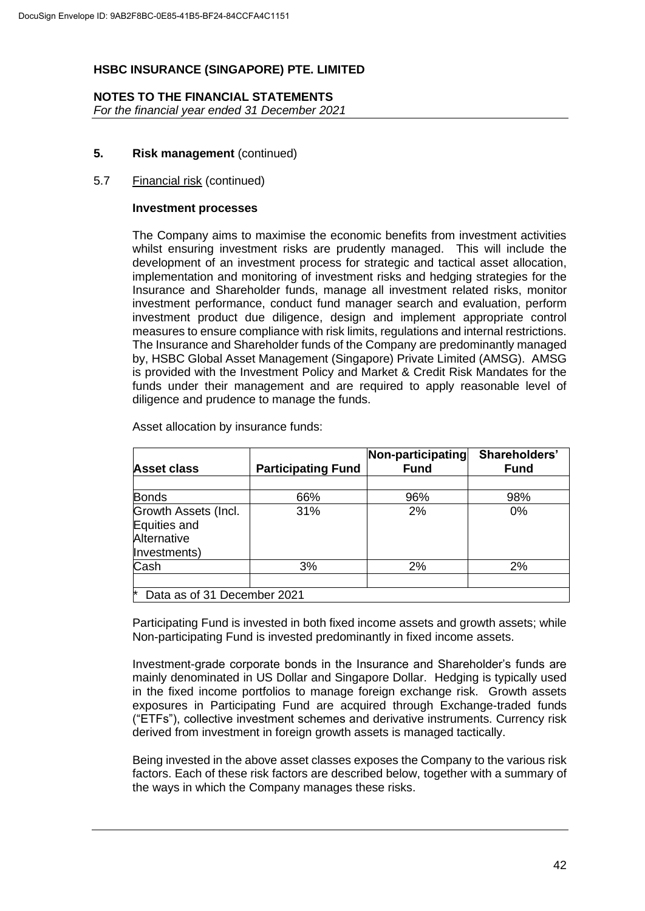#### **NOTES TO THE FINANCIAL STATEMENTS** *For the financial year ended 31 December 2021*

## **5. Risk management** (continued)

## 5.7 Financial risk (continued)

#### **Investment processes**

The Company aims to maximise the economic benefits from investment activities whilst ensuring investment risks are prudently managed. This will include the development of an investment process for strategic and tactical asset allocation, implementation and monitoring of investment risks and hedging strategies for the Insurance and Shareholder funds, manage all investment related risks, monitor investment performance, conduct fund manager search and evaluation, perform investment product due diligence, design and implement appropriate control measures to ensure compliance with risk limits, regulations and internal restrictions. The Insurance and Shareholder funds of the Company are predominantly managed by, HSBC Global Asset Management (Singapore) Private Limited (AMSG). AMSG is provided with the Investment Policy and Market & Credit Risk Mandates for the funds under their management and are required to apply reasonable level of diligence and prudence to manage the funds.

| <b>Asset class</b>                                                  | <b>Participating Fund</b> | Non-participating<br><b>Fund</b> | Shareholders'<br><b>Fund</b> |
|---------------------------------------------------------------------|---------------------------|----------------------------------|------------------------------|
|                                                                     |                           |                                  |                              |
| <b>Bonds</b>                                                        | 66%                       | 96%                              | 98%                          |
| Growth Assets (Incl.<br>Equities and<br>Alternative<br>Investments) | 31%                       | 2%                               | $0\%$                        |
| Cash                                                                | 3%                        | 2%                               | 2%                           |
| ₩<br>Data as of 31 December 2021                                    |                           |                                  |                              |

Asset allocation by insurance funds:

Participating Fund is invested in both fixed income assets and growth assets; while Non-participating Fund is invested predominantly in fixed income assets.

Investment-grade corporate bonds in the Insurance and Shareholder's funds are mainly denominated in US Dollar and Singapore Dollar. Hedging is typically used in the fixed income portfolios to manage foreign exchange risk. Growth assets exposures in Participating Fund are acquired through Exchange-traded funds ("ETFs"), collective investment schemes and derivative instruments. Currency risk derived from investment in foreign growth assets is managed tactically.

Being invested in the above asset classes exposes the Company to the various risk factors. Each of these risk factors are described below, together with a summary of the ways in which the Company manages these risks.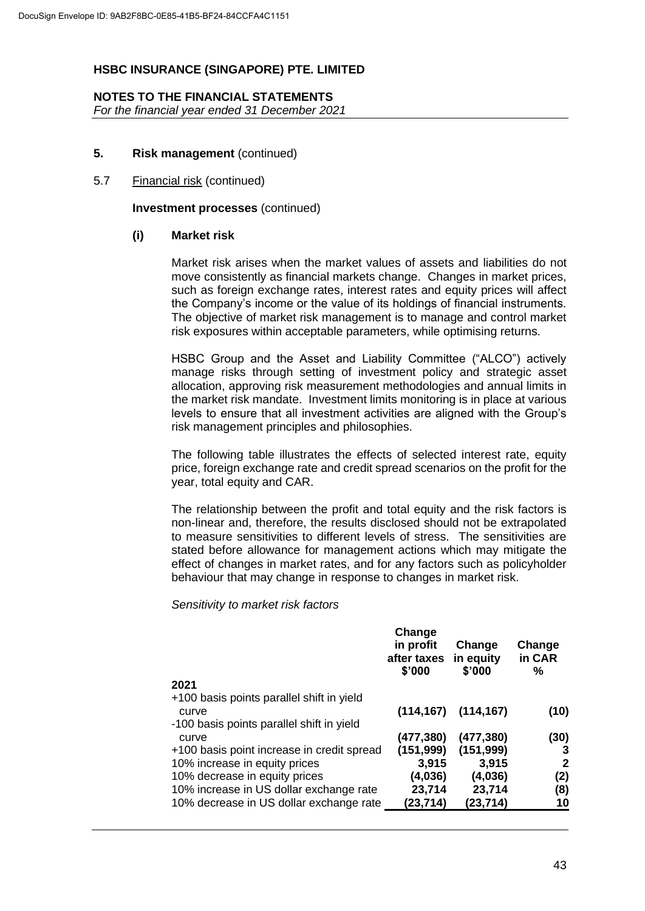## **NOTES TO THE FINANCIAL STATEMENTS**

*For the financial year ended 31 December 2021*

## **5. Risk management** (continued)

## 5.7 Financial risk (continued)

**Investment processes** (continued)

#### **(i) Market risk**

Market risk arises when the market values of assets and liabilities do not move consistently as financial markets change. Changes in market prices, such as foreign exchange rates, interest rates and equity prices will affect the Company's income or the value of its holdings of financial instruments. The objective of market risk management is to manage and control market risk exposures within acceptable parameters, while optimising returns.

HSBC Group and the Asset and Liability Committee ("ALCO") actively manage risks through setting of investment policy and strategic asset allocation, approving risk measurement methodologies and annual limits in the market risk mandate. Investment limits monitoring is in place at various levels to ensure that all investment activities are aligned with the Group's risk management principles and philosophies.

The following table illustrates the effects of selected interest rate, equity price, foreign exchange rate and credit spread scenarios on the profit for the year, total equity and CAR.

The relationship between the profit and total equity and the risk factors is non-linear and, therefore, the results disclosed should not be extrapolated to measure sensitivities to different levels of stress. The sensitivities are stated before allowance for management actions which may mitigate the effect of changes in market rates, and for any factors such as policyholder behaviour that may change in response to changes in market risk.

*Sensitivity to market risk factors*

|                                                                                                 | Change<br>in profit<br>after taxes<br>\$'000 | Change<br>in equity<br>\$'000 | Change<br>in CAR<br>% |
|-------------------------------------------------------------------------------------------------|----------------------------------------------|-------------------------------|-----------------------|
| 2021                                                                                            |                                              |                               |                       |
| +100 basis points parallel shift in yield<br>curve<br>-100 basis points parallel shift in yield | (114, 167)                                   | (114, 167)                    | (10)                  |
| curve                                                                                           | (477,380)                                    | (477, 380)                    | (30)                  |
| +100 basis point increase in credit spread                                                      | (151, 999)                                   | (151, 999)                    | 3                     |
| 10% increase in equity prices                                                                   | 3,915                                        | 3,915                         | $\mathbf{2}$          |
| 10% decrease in equity prices                                                                   | (4,036)                                      | (4,036)                       | (2)                   |
| 10% increase in US dollar exchange rate                                                         | 23,714                                       | 23,714                        | (8)                   |
| 10% decrease in US dollar exchange rate                                                         | (23, 714)                                    | (23,714)                      | 10                    |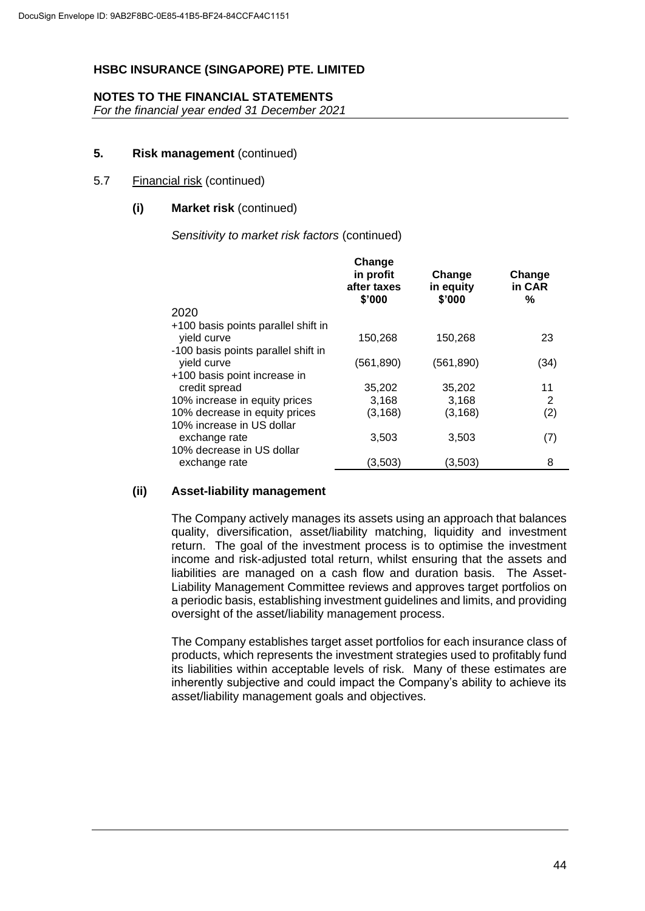## **NOTES TO THE FINANCIAL STATEMENTS**

*For the financial year ended 31 December 2021*

## **5. Risk management** (continued)

## 5.7 Financial risk (continued)

## **(i) Market risk** (continued)

*Sensitivity to market risk factors* (continued)

| in profit<br>Change<br>Change<br>in CAR<br>after taxes<br>in equity<br>\$'000<br>\$'000<br>%<br>2020            |      |
|-----------------------------------------------------------------------------------------------------------------|------|
|                                                                                                                 |      |
| +100 basis points parallel shift in<br>yield curve<br>150,268<br>150,268<br>-100 basis points parallel shift in | 23   |
| yield curve<br>(561, 890)<br>(561, 890)<br>+100 basis point increase in                                         | (34) |
| credit spread<br>35,202<br>35,202                                                                               | 11   |
| 10% increase in equity prices<br>3,168<br>3,168                                                                 | 2    |
| 10% decrease in equity prices<br>(3, 168)<br>(3, 168)                                                           | (2)  |
| 10% increase in US dollar<br>3,503<br>3,503<br>exchange rate<br>10% decrease in US dollar                       | (7)  |
| (3,503)<br>(3,503)<br>exchange rate                                                                             | 8    |

## **(ii) Asset-liability management**

The Company actively manages its assets using an approach that balances quality, diversification, asset/liability matching, liquidity and investment return. The goal of the investment process is to optimise the investment income and risk-adjusted total return, whilst ensuring that the assets and liabilities are managed on a cash flow and duration basis. The Asset-Liability Management Committee reviews and approves target portfolios on a periodic basis, establishing investment guidelines and limits, and providing oversight of the asset/liability management process.

The Company establishes target asset portfolios for each insurance class of products, which represents the investment strategies used to profitably fund its liabilities within acceptable levels of risk. Many of these estimates are inherently subjective and could impact the Company's ability to achieve its asset/liability management goals and objectives.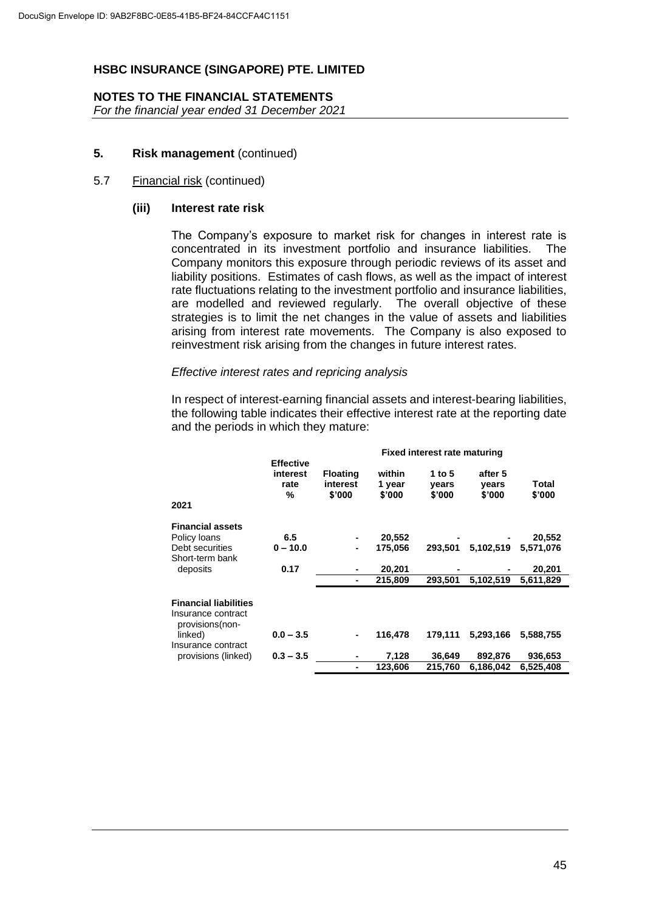## **NOTES TO THE FINANCIAL STATEMENTS**

*For the financial year ended 31 December 2021*

## **5. Risk management** (continued)

## 5.7 Financial risk (continued)

## **(iii) Interest rate risk**

The Company's exposure to market risk for changes in interest rate is concentrated in its investment portfolio and insurance liabilities. The Company monitors this exposure through periodic reviews of its asset and liability positions. Estimates of cash flows, as well as the impact of interest rate fluctuations relating to the investment portfolio and insurance liabilities, are modelled and reviewed regularly. The overall objective of these strategies is to limit the net changes in the value of assets and liabilities arising from interest rate movements. The Company is also exposed to reinvestment risk arising from the changes in future interest rates.

#### *Effective interest rates and repricing analysis*

In respect of interest-earning financial assets and interest-bearing liabilities, the following table indicates their effective interest rate at the reporting date and the periods in which they mature:

|                                                                       |                                           |                                       |                            | <b>Fixed interest rate maturing</b> |                            |                 |  |
|-----------------------------------------------------------------------|-------------------------------------------|---------------------------------------|----------------------------|-------------------------------------|----------------------------|-----------------|--|
| 2021                                                                  | <b>Effective</b><br>interest<br>rate<br>% | <b>Floating</b><br>interest<br>\$'000 | within<br>1 year<br>\$'000 | 1 to $5$<br>vears<br>\$'000         | after 5<br>vears<br>\$'000 | Total<br>\$'000 |  |
| <b>Financial assets</b>                                               |                                           |                                       |                            |                                     |                            |                 |  |
| Policy loans                                                          | 6.5                                       |                                       | 20,552                     |                                     |                            | 20,552          |  |
| Debt securities                                                       | $0 - 10.0$                                | $\blacksquare$                        | 175.056                    | 293,501                             | 5,102,519                  | 5.571.076       |  |
| Short-term bank                                                       |                                           |                                       |                            |                                     |                            |                 |  |
| deposits                                                              | 0.17                                      |                                       | 20,201                     |                                     |                            | 20,201          |  |
|                                                                       |                                           |                                       | 215.809                    | 293.501                             | 5,102,519                  | 5,611,829       |  |
| <b>Financial liabilities</b><br>Insurance contract<br>provisions(non- |                                           |                                       |                            |                                     |                            |                 |  |
| linked)                                                               | $0.0 - 3.5$                               |                                       | 116.478                    | 179.111                             | 5,293,166                  | 5,588,755       |  |
| Insurance contract<br>provisions (linked)                             | $0.3 - 3.5$                               |                                       | 7,128                      | 36,649                              | 892,876                    | 936,653         |  |
|                                                                       |                                           |                                       |                            |                                     |                            |                 |  |
|                                                                       |                                           |                                       | 123,606                    | 215,760                             | 6,186,042                  | 6,525,408       |  |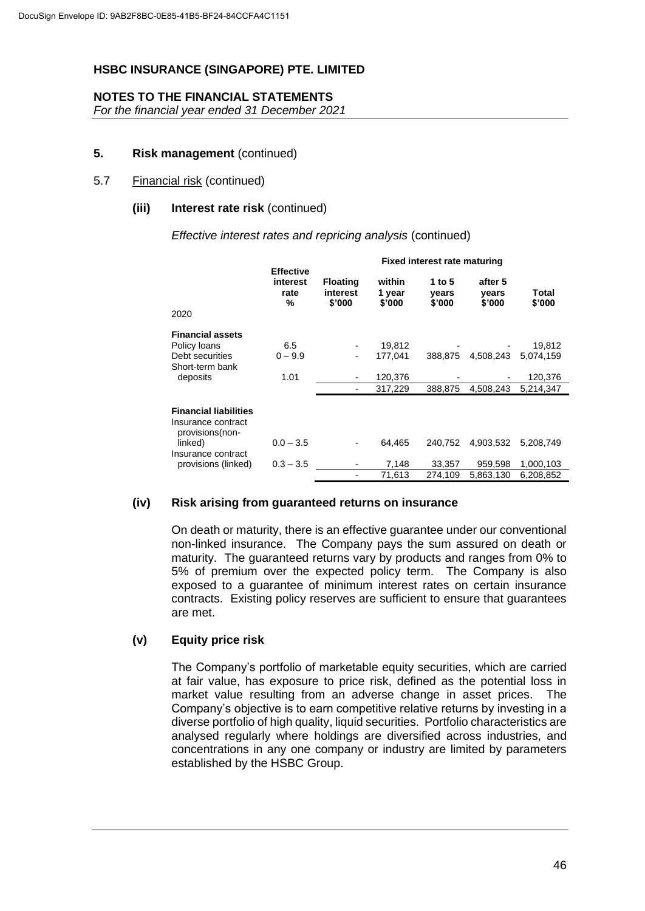## **NOTES TO THE FINANCIAL STATEMENTS**

*For the financial year ended 31 December 2021*

## **5. Risk management** (continued)

## 5.7 Financial risk (continued)

#### **(iii) Interest rate risk** (continued)

*Effective interest rates and repricing analysis* (continued)

|                                                                        | Fixed interest rate maturing              |                                       |                            |                           |                            |                 |
|------------------------------------------------------------------------|-------------------------------------------|---------------------------------------|----------------------------|---------------------------|----------------------------|-----------------|
| 2020                                                                   | <b>Effective</b><br>interest<br>rate<br>% | <b>Floating</b><br>interest<br>\$'000 | within<br>1 year<br>\$'000 | 1 to 5<br>vears<br>\$'000 | after 5<br>vears<br>\$'000 | Total<br>\$'000 |
| <b>Financial assets</b>                                                |                                           |                                       |                            |                           |                            |                 |
| Policy loans                                                           | 6.5                                       |                                       | 19,812                     |                           |                            | 19,812          |
| Debt securities                                                        | $0 - 9.9$                                 | $\overline{\phantom{a}}$              | 177.041                    | 388,875                   | 4,508,243                  | 5,074,159       |
| Short-term bank                                                        |                                           |                                       |                            |                           |                            |                 |
| deposits                                                               | 1.01                                      |                                       | 120,376                    |                           |                            | 120,376         |
|                                                                        |                                           |                                       | 317,229                    | 388.875                   | 4.508.243                  | 5.214.347       |
|                                                                        |                                           |                                       |                            |                           |                            |                 |
| <b>Financial liabilities</b><br>Insurance contract<br>provisions (non- |                                           |                                       |                            |                           |                            |                 |
| linked)<br>Insurance contract                                          | $0.0 - 3.5$                               |                                       | 64.465                     | 240.752                   | 4.903.532                  | 5.208.749       |
| provisions (linked)                                                    | $0.3 - 3.5$                               |                                       | 7,148                      | 33,357                    | 959,598                    | 1,000,103       |
|                                                                        |                                           |                                       | 71,613                     | 274,109                   | 5,863,130                  | 6,208,852       |

## **(iv) Risk arising from guaranteed returns on insurance**

On death or maturity, there is an effective guarantee under our conventional non-linked insurance. The Company pays the sum assured on death or maturity. The guaranteed returns vary by products and ranges from 0% to 5% of premium over the expected policy term. The Company is also exposed to a guarantee of minimum interest rates on certain insurance contracts. Existing policy reserves are sufficient to ensure that guarantees are met.

## **(v) Equity price risk**

The Company's portfolio of marketable equity securities, which are carried at fair value, has exposure to price risk, defined as the potential loss in market value resulting from an adverse change in asset prices. The Company's objective is to earn competitive relative returns by investing in a diverse portfolio of high quality, liquid securities. Portfolio characteristics are analysed regularly where holdings are diversified across industries, and concentrations in any one company or industry are limited by parameters established by the HSBC Group.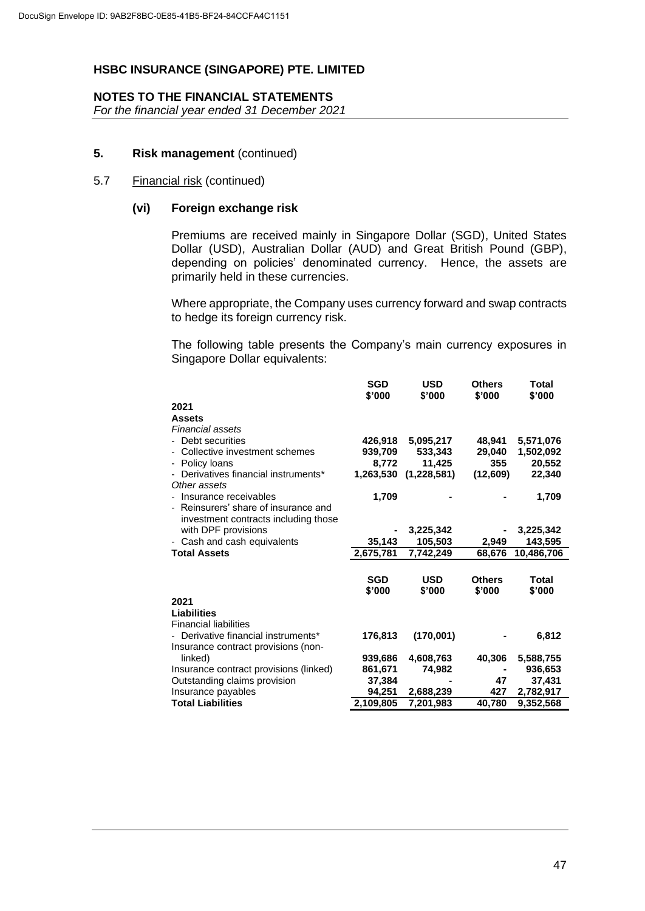## **NOTES TO THE FINANCIAL STATEMENTS**

*For the financial year ended 31 December 2021*

## **5. Risk management** (continued)

## 5.7 Financial risk (continued)

## **(vi) Foreign exchange risk**

Premiums are received mainly in Singapore Dollar (SGD), United States Dollar (USD), Australian Dollar (AUD) and Great British Pound (GBP), depending on policies' denominated currency. Hence, the assets are primarily held in these currencies.

Where appropriate, the Company uses currency forward and swap contracts to hedge its foreign currency risk.

The following table presents the Company's main currency exposures in Singapore Dollar equivalents:

|                                                                        | <b>SGD</b><br>\$'000 | <b>USD</b><br>\$'000  | <b>Others</b><br>\$'000 | Total<br>\$'000 |
|------------------------------------------------------------------------|----------------------|-----------------------|-------------------------|-----------------|
| 2021                                                                   |                      |                       |                         |                 |
| <b>Assets</b>                                                          |                      |                       |                         |                 |
| <b>Financial assets</b>                                                |                      |                       |                         |                 |
| Debt securities                                                        | 426.918              | 5,095,217             | 48.941                  | 5,571,076       |
| - Collective investment schemes                                        | 939,709              | 533,343               | 29,040                  | 1,502,092       |
| Policy loans                                                           | 8.772                | 11,425                | 355                     | 20,552          |
| Derivatives financial instruments*<br>Other assets                     |                      | 1,263,530 (1,228,581) | (12,609)                | 22,340          |
| Insurance receivables                                                  | 1,709                |                       |                         | 1,709           |
| - Reinsurers' share of insurance and                                   |                      |                       |                         |                 |
| investment contracts including those                                   |                      |                       |                         |                 |
| with DPF provisions                                                    |                      | 3,225,342             |                         | 3,225,342       |
| - Cash and cash equivalents                                            | 35,143               | 105,503               | 2,949                   | 143,595         |
| <b>Total Assets</b>                                                    | 2,675,781            | 7,742,249             | 68,676                  | 10,486,706      |
|                                                                        |                      |                       |                         |                 |
|                                                                        | SGD                  | <b>USD</b>            | <b>Others</b>           | Total           |
|                                                                        | \$'000               | \$'000                | \$'000                  | \$'000          |
| 2021                                                                   |                      |                       |                         |                 |
| Liabilities                                                            |                      |                       |                         |                 |
| <b>Financial liabilities</b>                                           |                      |                       |                         |                 |
| Derivative financial instruments*                                      | 176,813              | (170,001)             |                         | 6,812           |
| Insurance contract provisions (non-<br>linked)                         | 939,686              |                       | 40,306                  | 5,588,755       |
|                                                                        | 861,671              | 4,608,763<br>74,982   | $\blacksquare$          | 936,653         |
| Insurance contract provisions (linked)<br>Outstanding claims provision | 37,384               |                       | 47                      | 37,431          |
| Insurance payables                                                     | 94,251               | 2,688,239             | 427                     | 2,782,917       |
| <b>Total Liabilities</b>                                               | 2,109,805            | 7,201,983             | 40,780                  | 9,352,568       |
|                                                                        |                      |                       |                         |                 |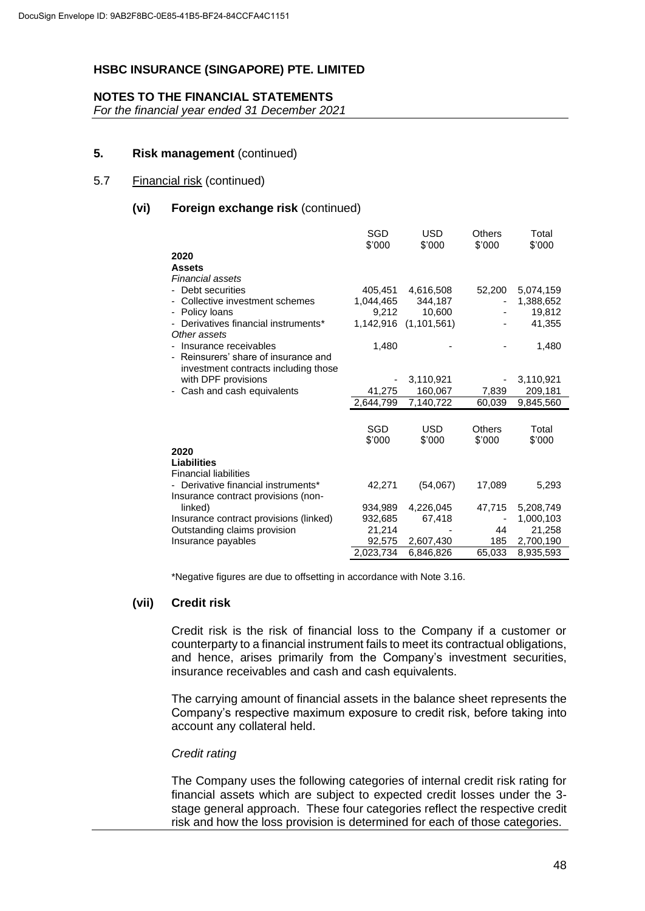## **NOTES TO THE FINANCIAL STATEMENTS**

*For the financial year ended 31 December 2021*

## **5. Risk management** (continued)

## 5.7 Financial risk (continued)

## **(vi) Foreign exchange risk** (continued)

|                                                                              | SGD<br>\$'000 | <b>USD</b><br>\$'000 | Others<br>\$'000 | Total<br>\$'000 |
|------------------------------------------------------------------------------|---------------|----------------------|------------------|-----------------|
| 2020                                                                         |               |                      |                  |                 |
| <b>Assets</b>                                                                |               |                      |                  |                 |
| Financial assets                                                             |               |                      |                  |                 |
| Debt securities                                                              | 405.451       | 4,616,508            | 52,200           | 5,074,159       |
| Collective investment schemes                                                | 1,044,465     | 344,187              |                  | 1,388,652       |
| Policy loans                                                                 | 9,212         | 10,600               |                  | 19,812          |
| Derivatives financial instruments*<br>Other assets                           | 1,142,916     | (1, 101, 561)        |                  | 41,355          |
| Insurance receivables                                                        | 1,480         |                      |                  | 1,480           |
| - Reinsurers' share of insurance and<br>investment contracts including those |               |                      |                  |                 |
| with DPF provisions                                                          |               | 3,110,921            |                  | 3,110,921       |
| Cash and cash equivalents                                                    | 41,275        | 160,067              | 7,839            | 209,181         |
|                                                                              | 2,644,799     | 7,140,722            | 60,039           | 9,845,560       |
|                                                                              |               |                      |                  |                 |
|                                                                              | SGD           | <b>USD</b>           | Others           | Total           |
|                                                                              | \$'000        | \$'000               | \$'000           | \$'000          |
| 2020                                                                         |               |                      |                  |                 |
| Liabilities                                                                  |               |                      |                  |                 |
| <b>Financial liabilities</b>                                                 |               |                      |                  |                 |
| Derivative financial instruments*                                            | 42,271        | (54,067)             | 17,089           | 5,293           |
| Insurance contract provisions (non-                                          |               |                      |                  |                 |
| linked)                                                                      | 934,989       | 4,226,045            | 47,715           | 5,208,749       |
| Insurance contract provisions (linked)                                       | 932,685       | 67,418               |                  | 1,000,103       |
| Outstanding claims provision                                                 | 21,214        |                      | 44               | 21,258          |
| Insurance payables                                                           | 92,575        | 2,607,430            | 185              | 2,700,190       |
|                                                                              | 2.023.734     | 6,846,826            | 65,033           | 8,935,593       |

\*Negative figures are due to offsetting in accordance with Note 3.16.

#### **(vii) Credit risk**

Credit risk is the risk of financial loss to the Company if a customer or counterparty to a financial instrument fails to meet its contractual obligations, and hence, arises primarily from the Company's investment securities, insurance receivables and cash and cash equivalents.

The carrying amount of financial assets in the balance sheet represents the Company's respective maximum exposure to credit risk, before taking into account any collateral held.

#### *Credit rating*

The Company uses the following categories of internal credit risk rating for financial assets which are subject to expected credit losses under the 3 stage general approach. These four categories reflect the respective credit risk and how the loss provision is determined for each of those categories.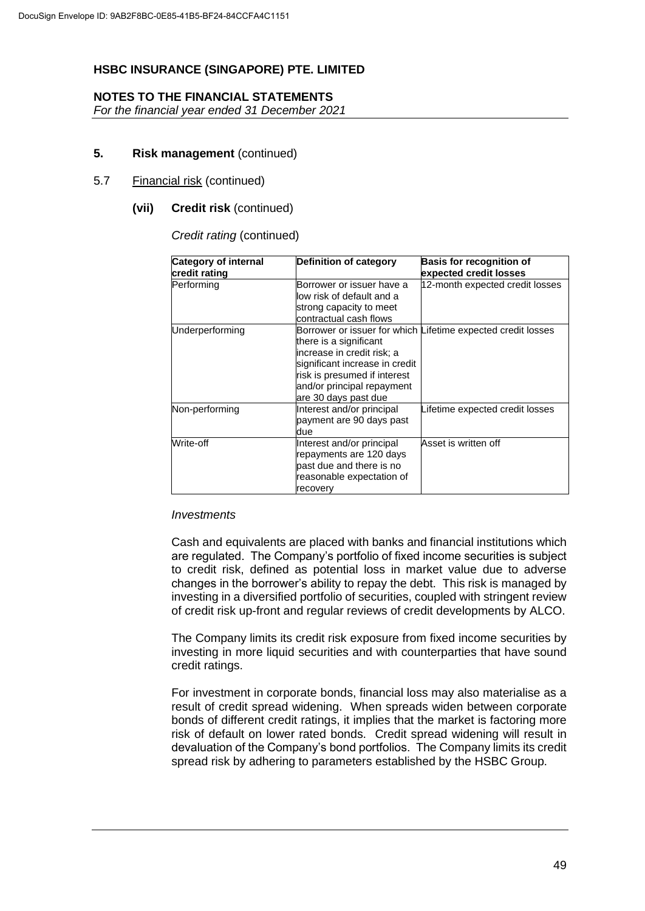## **NOTES TO THE FINANCIAL STATEMENTS**

*For the financial year ended 31 December 2021*

## **5. Risk management** (continued)

#### 5.7 Financial risk (continued)

#### **(vii) Credit risk** (continued)

#### *Credit rating* (continued)

| <b>Category of internal</b><br>credit rating | <b>Definition of category</b>                                                                                                                                                | <b>Basis for recognition of</b><br>expected credit losses    |
|----------------------------------------------|------------------------------------------------------------------------------------------------------------------------------------------------------------------------------|--------------------------------------------------------------|
| Performing                                   | Borrower or issuer have a<br>low risk of default and a<br>strong capacity to meet<br>contractual cash flows                                                                  | 12-month expected credit losses                              |
| Underperforming                              | there is a significant<br>increase in credit risk; a<br>significant increase in credit<br>risk is presumed if interest<br>and/or principal repayment<br>are 30 days past due | Borrower or issuer for which Lifetime expected credit losses |
| Non-performing                               | Interest and/or principal<br>payment are 90 days past<br>due                                                                                                                 | Lifetime expected credit losses                              |
| Write-off                                    | Interest and/or principal<br>repayments are 120 days<br>bast due and there is no<br>reasonable expectation of<br>recovery                                                    | Asset is written off                                         |

#### *Investments*

Cash and equivalents are placed with banks and financial institutions which are regulated. The Company's portfolio of fixed income securities is subject to credit risk, defined as potential loss in market value due to adverse changes in the borrower's ability to repay the debt. This risk is managed by investing in a diversified portfolio of securities, coupled with stringent review of credit risk up-front and regular reviews of credit developments by ALCO.

The Company limits its credit risk exposure from fixed income securities by investing in more liquid securities and with counterparties that have sound credit ratings.

For investment in corporate bonds, financial loss may also materialise as a result of credit spread widening. When spreads widen between corporate bonds of different credit ratings, it implies that the market is factoring more risk of default on lower rated bonds. Credit spread widening will result in devaluation of the Company's bond portfolios. The Company limits its credit spread risk by adhering to parameters established by the HSBC Group.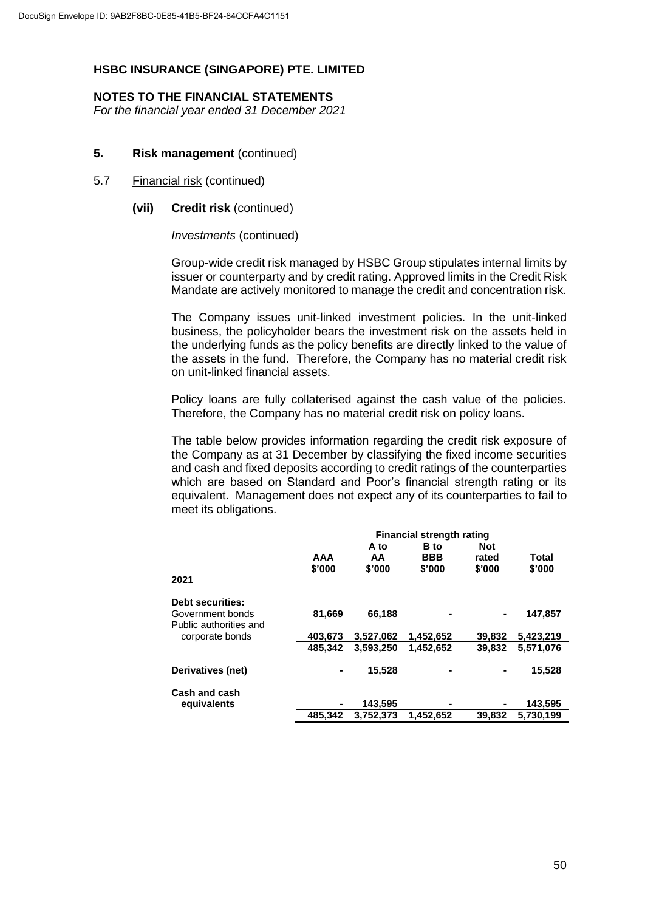## **NOTES TO THE FINANCIAL STATEMENTS**

*For the financial year ended 31 December 2021*

## **5. Risk management** (continued)

#### 5.7 Financial risk (continued)

## **(vii) Credit risk** (continued)

*Investments* (continued)

Group-wide credit risk managed by HSBC Group stipulates internal limits by issuer or counterparty and by credit rating. Approved limits in the Credit Risk Mandate are actively monitored to manage the credit and concentration risk.

The Company issues unit-linked investment policies. In the unit-linked business, the policyholder bears the investment risk on the assets held in the underlying funds as the policy benefits are directly linked to the value of the assets in the fund. Therefore, the Company has no material credit risk on unit-linked financial assets.

Policy loans are fully collaterised against the cash value of the policies. Therefore, the Company has no material credit risk on policy loans.

The table below provides information regarding the credit risk exposure of the Company as at 31 December by classifying the fixed income securities and cash and fixed deposits according to credit ratings of the counterparties which are based on Standard and Poor's financial strength rating or its equivalent. Management does not expect any of its counterparties to fail to meet its obligations.

|                                            | <b>Financial strength rating</b> |           |             |            |           |  |
|--------------------------------------------|----------------------------------|-----------|-------------|------------|-----------|--|
|                                            |                                  | A to      | <b>B</b> to | <b>Not</b> |           |  |
|                                            | AAA                              | AA        | <b>BBB</b>  | rated      | Total     |  |
|                                            | \$'000                           | \$'000    | \$'000      | \$'000     | \$'000    |  |
| 2021                                       |                                  |           |             |            |           |  |
| <b>Debt securities:</b>                    |                                  |           |             |            |           |  |
| Government bonds<br>Public authorities and | 81,669                           | 66,188    |             | ۰          | 147,857   |  |
| corporate bonds                            | 403,673                          | 3.527.062 | 1,452,652   | 39,832     | 5,423,219 |  |
|                                            | 485.342                          | 3.593.250 | 1.452.652   | 39.832     | 5.571.076 |  |
| Derivatives (net)                          |                                  | 15,528    |             |            | 15,528    |  |
| Cash and cash                              |                                  |           |             |            |           |  |
| equivalents                                |                                  | 143,595   |             |            | 143,595   |  |
|                                            | 485.342                          | 3,752,373 | 1,452,652   | 39,832     | 5,730,199 |  |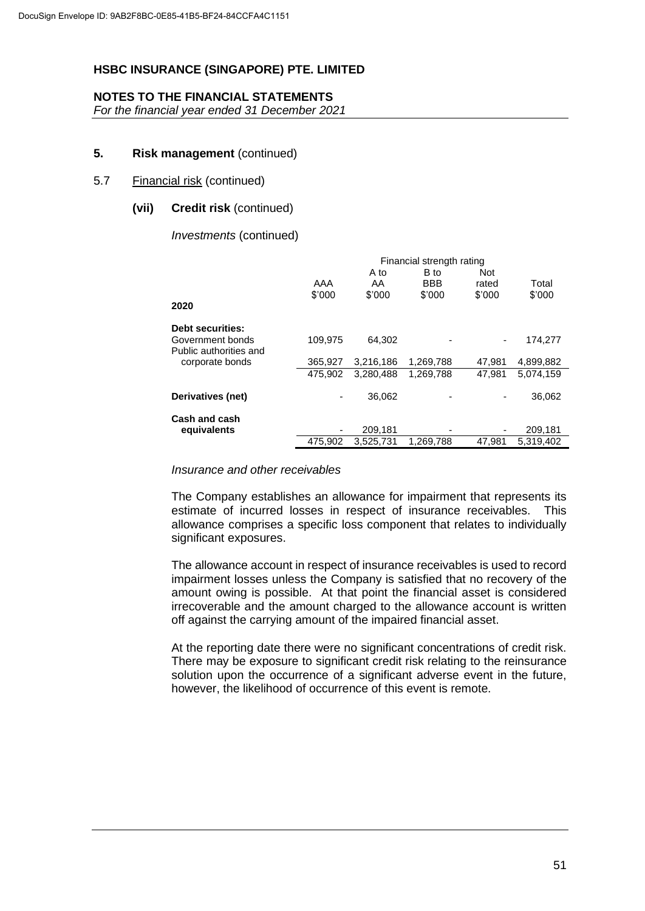## **NOTES TO THE FINANCIAL STATEMENTS**

*For the financial year ended 31 December 2021*

## **5. Risk management** (continued)

## 5.7 Financial risk (continued)

## **(vii) Credit risk** (continued)

*Investments* (continued)

|                                            | Financial strength rating |           |            |            |           |  |
|--------------------------------------------|---------------------------|-----------|------------|------------|-----------|--|
|                                            |                           | A to      | B to       | <b>Not</b> |           |  |
|                                            | AAA                       | AA        | <b>BBB</b> | rated      | Total     |  |
|                                            | \$'000                    | \$'000    | \$'000     | \$'000     | \$'000    |  |
| 2020                                       |                           |           |            |            |           |  |
| <b>Debt securities:</b>                    |                           |           |            |            |           |  |
| Government bonds<br>Public authorities and | 109,975                   | 64.302    |            | -          | 174,277   |  |
| corporate bonds                            | 365,927                   | 3,216,186 | 1,269,788  | 47.981     | 4,899,882 |  |
|                                            | 475.902                   | 3.280.488 | 1,269,788  | 47.981     | 5.074.159 |  |
| Derivatives (net)                          | -                         | 36,062    |            | ٠          | 36,062    |  |
| Cash and cash                              |                           |           |            |            |           |  |
| equivalents                                | ۰                         | 209,181   |            | ٠          | 209,181   |  |
|                                            | 475.902                   | 3.525.731 | 1.269.788  | 47.981     | 5.319.402 |  |

## *Insurance and other receivables*

The Company establishes an allowance for impairment that represents its estimate of incurred losses in respect of insurance receivables. This allowance comprises a specific loss component that relates to individually significant exposures.

The allowance account in respect of insurance receivables is used to record impairment losses unless the Company is satisfied that no recovery of the amount owing is possible. At that point the financial asset is considered irrecoverable and the amount charged to the allowance account is written off against the carrying amount of the impaired financial asset.

At the reporting date there were no significant concentrations of credit risk. There may be exposure to significant credit risk relating to the reinsurance solution upon the occurrence of a significant adverse event in the future, however, the likelihood of occurrence of this event is remote.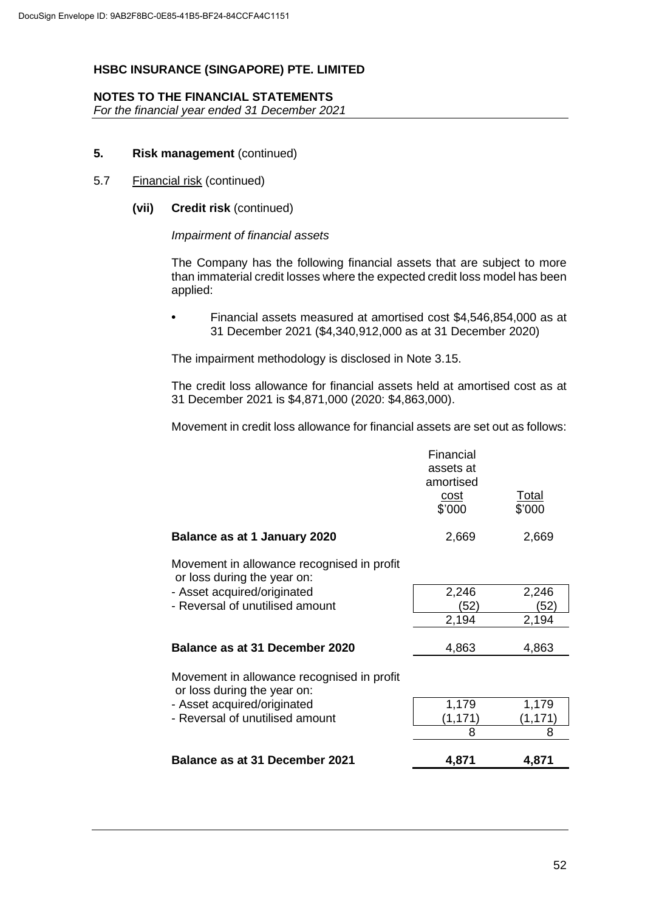## **NOTES TO THE FINANCIAL STATEMENTS**

*For the financial year ended 31 December 2021*

## **5. Risk management** (continued)

#### 5.7 Financial risk (continued)

## **(vii) Credit risk** (continued)

#### *Impairment of financial assets*

The Company has the following financial assets that are subject to more than immaterial credit losses where the expected credit loss model has been applied:

**•** Financial assets measured at amortised cost \$4,546,854,000 as at 31 December 2021 (\$4,340,912,000 as at 31 December 2020)

The impairment methodology is disclosed in Note 3.15.

The credit loss allowance for financial assets held at amortised cost as at 31 December 2021 is \$4,871,000 (2020: \$4,863,000).

Movement in credit loss allowance for financial assets are set out as follows:

|                                                                           | Financial<br>assets at<br>amortised<br><u>cost</u><br>\$'000 | Total<br>\$'000 |
|---------------------------------------------------------------------------|--------------------------------------------------------------|-----------------|
| Balance as at 1 January 2020                                              | 2,669                                                        | 2,669           |
| Movement in allowance recognised in profit<br>or loss during the year on: |                                                              |                 |
| - Asset acquired/originated                                               | 2,246                                                        | 2,246           |
| - Reversal of unutilised amount                                           | (52)                                                         | (52)            |
|                                                                           | 2,194                                                        | 2,194           |
| Balance as at 31 December 2020                                            | 4,863                                                        | 4,863           |
| Movement in allowance recognised in profit<br>or loss during the year on: |                                                              |                 |
| - Asset acquired/originated                                               | 1,179                                                        | 1,179           |
| - Reversal of unutilised amount                                           | (1, 171)                                                     | (1,171          |
|                                                                           | 8                                                            | 8               |
| Balance as at 31 December 2021                                            | 4,871                                                        | 4,871           |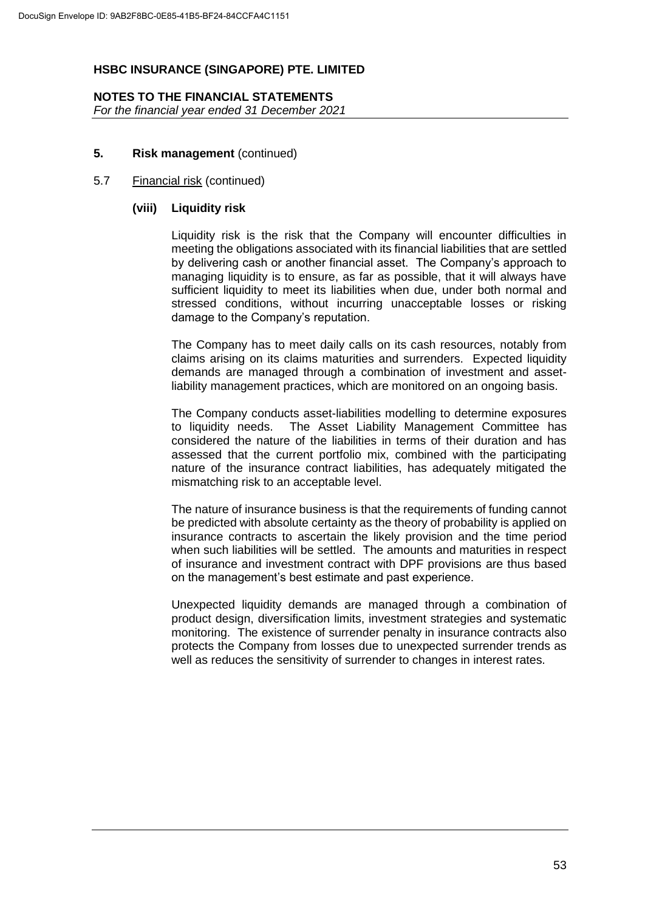# **NOTES TO THE FINANCIAL STATEMENTS**

*For the financial year ended 31 December 2021*

## **5. Risk management** (continued)

## 5.7 Financial risk (continued)

## **(viii) Liquidity risk**

Liquidity risk is the risk that the Company will encounter difficulties in meeting the obligations associated with its financial liabilities that are settled by delivering cash or another financial asset. The Company's approach to managing liquidity is to ensure, as far as possible, that it will always have sufficient liquidity to meet its liabilities when due, under both normal and stressed conditions, without incurring unacceptable losses or risking damage to the Company's reputation.

The Company has to meet daily calls on its cash resources, notably from claims arising on its claims maturities and surrenders. Expected liquidity demands are managed through a combination of investment and assetliability management practices, which are monitored on an ongoing basis.

The Company conducts asset-liabilities modelling to determine exposures to liquidity needs. The Asset Liability Management Committee has considered the nature of the liabilities in terms of their duration and has assessed that the current portfolio mix, combined with the participating nature of the insurance contract liabilities, has adequately mitigated the mismatching risk to an acceptable level.

The nature of insurance business is that the requirements of funding cannot be predicted with absolute certainty as the theory of probability is applied on insurance contracts to ascertain the likely provision and the time period when such liabilities will be settled. The amounts and maturities in respect of insurance and investment contract with DPF provisions are thus based on the management's best estimate and past experience.

Unexpected liquidity demands are managed through a combination of product design, diversification limits, investment strategies and systematic monitoring. The existence of surrender penalty in insurance contracts also protects the Company from losses due to unexpected surrender trends as well as reduces the sensitivity of surrender to changes in interest rates.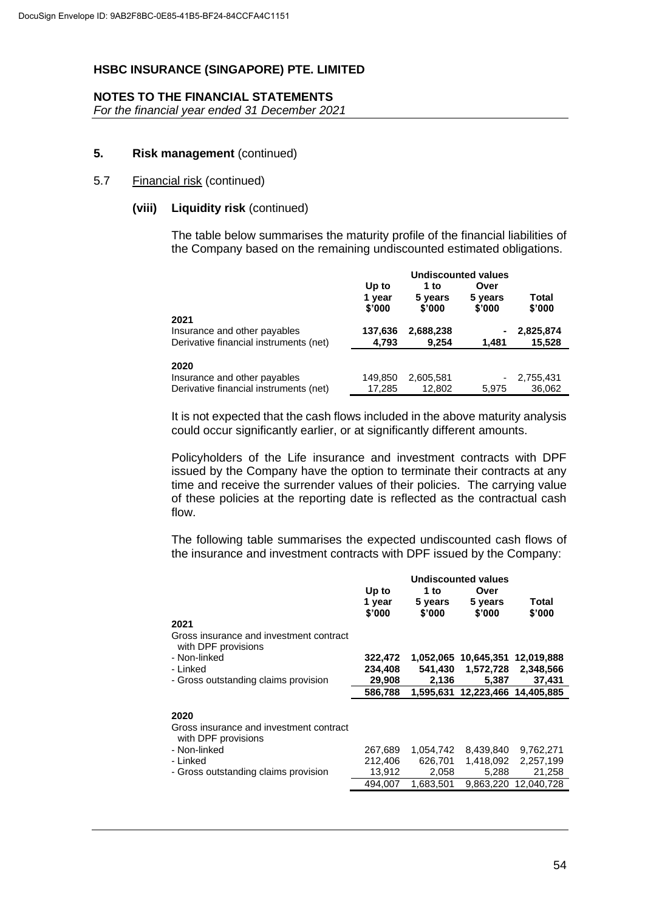## **NOTES TO THE FINANCIAL STATEMENTS**

*For the financial year ended 31 December 2021*

## **5. Risk management** (continued)

#### 5.7 Financial risk (continued)

## **(viii) Liquidity risk** (continued)

The table below summarises the maturity profile of the financial liabilities of the Company based on the remaining undiscounted estimated obligations.

|                                                                                | <b>Undiscounted values</b> |                           |                           |                     |
|--------------------------------------------------------------------------------|----------------------------|---------------------------|---------------------------|---------------------|
|                                                                                | Up to<br>1 year<br>\$'000  | 1 to<br>5 years<br>\$'000 | Over<br>5 years<br>\$'000 | Total<br>\$'000     |
| 2021<br>Insurance and other payables<br>Derivative financial instruments (net) | 137,636<br>4,793           | 2,688,238<br>9.254        | $\blacksquare$<br>1.481   | 2,825,874<br>15,528 |
| 2020<br>Insurance and other payables<br>Derivative financial instruments (net) | 149,850<br>17,285          | 2,605,581<br>12.802       | -<br>5.975                | 2,755,431<br>36,062 |

It is not expected that the cash flows included in the above maturity analysis could occur significantly earlier, or at significantly different amounts.

Policyholders of the Life insurance and investment contracts with DPF issued by the Company have the option to terminate their contracts at any time and receive the surrender values of their policies. The carrying value of these policies at the reporting date is reflected as the contractual cash flow.

The following table summarises the expected undiscounted cash flows of the insurance and investment contracts with DPF issued by the Company:

|                                                                | <b>Undiscounted values</b> |                   |                                 |                 |  |
|----------------------------------------------------------------|----------------------------|-------------------|---------------------------------|-----------------|--|
|                                                                | Up to                      | 1 to              | Over                            |                 |  |
|                                                                | 1 year<br>\$'000           | 5 years<br>\$'000 | 5 years<br>\$'000               | Total<br>\$'000 |  |
| 2021                                                           |                            |                   |                                 |                 |  |
| Gross insurance and investment contract<br>with DPF provisions |                            |                   |                                 |                 |  |
| - Non-linked                                                   | 322,472                    |                   | 1,052,065 10,645,351            | 12,019,888      |  |
| - Linked                                                       | 234,408                    | 541.430           | 1,572,728                       | 2,348,566       |  |
| - Gross outstanding claims provision                           | 29,908                     | 2,136             | 5.387                           | 37,431          |  |
|                                                                | 586,788                    |                   | 1,595,631 12,223,466 14,405,885 |                 |  |
|                                                                |                            |                   |                                 |                 |  |
| 2020                                                           |                            |                   |                                 |                 |  |
| Gross insurance and investment contract<br>with DPF provisions |                            |                   |                                 |                 |  |
| - Non-linked                                                   | 267,689                    | 1,054,742         | 8,439,840                       | 9,762,271       |  |
| - Linked                                                       | 212,406                    | 626.701           | 1,418,092                       | 2,257,199       |  |
| - Gross outstanding claims provision                           | 13,912                     | 2,058             | 5,288                           | 21,258          |  |
|                                                                | 494.007                    | 1.683.501         | 9.863.220                       | 12.040.728      |  |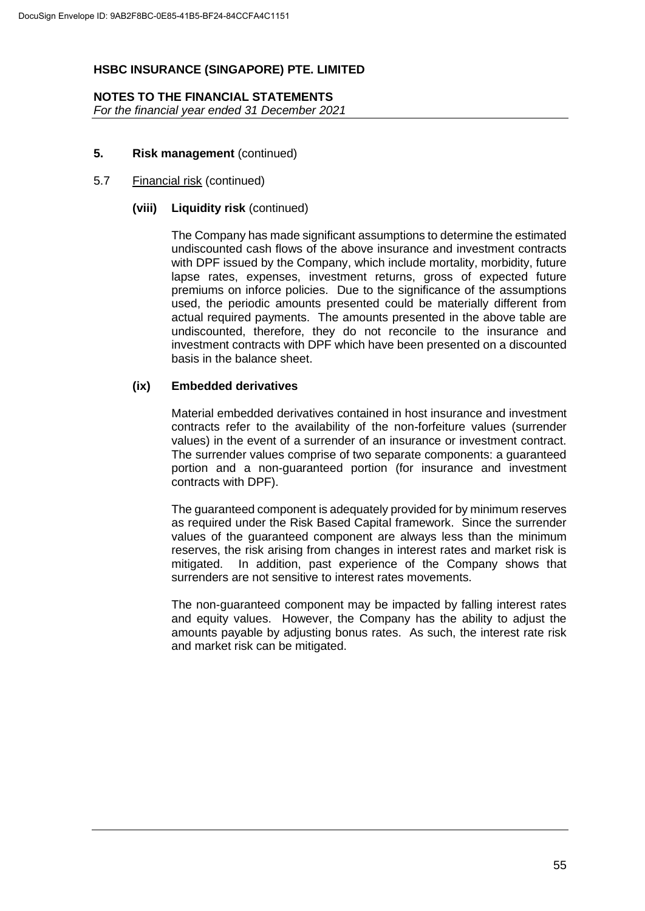#### **NOTES TO THE FINANCIAL STATEMENTS** *For the financial year ended 31 December 2021*

## **5. Risk management** (continued)

## 5.7 Financial risk (continued)

#### **(viii) Liquidity risk** (continued)

The Company has made significant assumptions to determine the estimated undiscounted cash flows of the above insurance and investment contracts with DPF issued by the Company, which include mortality, morbidity, future lapse rates, expenses, investment returns, gross of expected future premiums on inforce policies. Due to the significance of the assumptions used, the periodic amounts presented could be materially different from actual required payments. The amounts presented in the above table are undiscounted, therefore, they do not reconcile to the insurance and investment contracts with DPF which have been presented on a discounted basis in the balance sheet.

## **(ix) Embedded derivatives**

Material embedded derivatives contained in host insurance and investment contracts refer to the availability of the non-forfeiture values (surrender values) in the event of a surrender of an insurance or investment contract. The surrender values comprise of two separate components: a guaranteed portion and a non-guaranteed portion (for insurance and investment contracts with DPF).

The guaranteed component is adequately provided for by minimum reserves as required under the Risk Based Capital framework. Since the surrender values of the guaranteed component are always less than the minimum reserves, the risk arising from changes in interest rates and market risk is mitigated. In addition, past experience of the Company shows that surrenders are not sensitive to interest rates movements.

The non-guaranteed component may be impacted by falling interest rates and equity values. However, the Company has the ability to adjust the amounts payable by adjusting bonus rates. As such, the interest rate risk and market risk can be mitigated.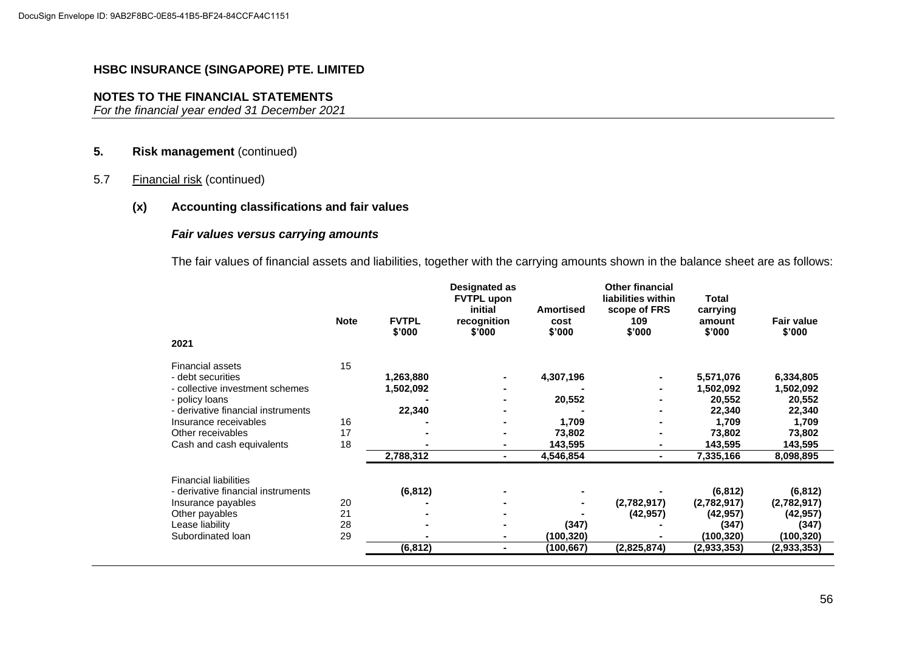## **NOTES TO THE FINANCIAL STATEMENTS**

*For the financial year ended 31 December 2021*

## **5. Risk management** (continued)

5.7 Financial risk (continued)

## **(x) Accounting classifications and fair values**

## *Fair values versus carrying amounts*

The fair values of financial assets and liabilities, together with the carrying amounts shown in the balance sheet are as follows:

| 2021                               | <b>Note</b> | <b>FVTPL</b><br>\$'000 | <b>Designated as</b><br><b>FVTPL upon</b><br>initial<br>recognition<br>\$'000 | <b>Amortised</b><br>cost<br>\$'000 | <b>Other financial</b><br>liabilities within<br>scope of FRS<br>109<br>\$'000 | Total<br>carrying<br>amount<br>\$'000 | <b>Fair value</b><br>\$'000 |
|------------------------------------|-------------|------------------------|-------------------------------------------------------------------------------|------------------------------------|-------------------------------------------------------------------------------|---------------------------------------|-----------------------------|
| <b>Financial assets</b>            | 15          |                        |                                                                               |                                    |                                                                               |                                       |                             |
| - debt securities                  |             | 1,263,880              |                                                                               | 4,307,196                          |                                                                               | 5,571,076                             | 6,334,805                   |
| - collective investment schemes    |             | 1,502,092              |                                                                               |                                    |                                                                               | 1,502,092                             | 1,502,092                   |
| - policy loans                     |             |                        |                                                                               | 20,552                             |                                                                               | 20,552                                | 20,552                      |
| - derivative financial instruments |             | 22,340                 |                                                                               |                                    |                                                                               | 22,340                                | 22,340                      |
| Insurance receivables              | 16          |                        |                                                                               | 1,709                              |                                                                               | 1,709                                 | 1,709                       |
| Other receivables                  | 17          |                        |                                                                               | 73,802                             |                                                                               | 73,802                                | 73,802                      |
| Cash and cash equivalents          | 18          |                        |                                                                               | 143,595                            |                                                                               | 143,595                               | 143,595                     |
|                                    |             | 2,788,312              | ۰.                                                                            | 4,546,854                          | ۰.                                                                            | 7,335,166                             | 8,098,895                   |
| <b>Financial liabilities</b>       |             |                        |                                                                               |                                    |                                                                               |                                       |                             |
| - derivative financial instruments |             | (6, 812)               |                                                                               |                                    |                                                                               | (6, 812)                              | (6, 812)                    |
| Insurance payables                 | 20          |                        |                                                                               |                                    | (2,782,917)                                                                   | (2,782,917)                           | (2,782,917)                 |
| Other payables                     | 21          |                        |                                                                               |                                    | (42, 957)                                                                     | (42, 957)                             | (42, 957)                   |
| Lease liability                    | 28          |                        |                                                                               | (347)                              |                                                                               | (347)                                 | (347)                       |
| Subordinated loan                  | 29          |                        |                                                                               | (100,320)                          |                                                                               | (100, 320)                            | (100,320)                   |
|                                    |             | (6, 812)               |                                                                               | (100, 667)                         | (2,825,874)                                                                   | (2,933,353)                           | (2,933,353)                 |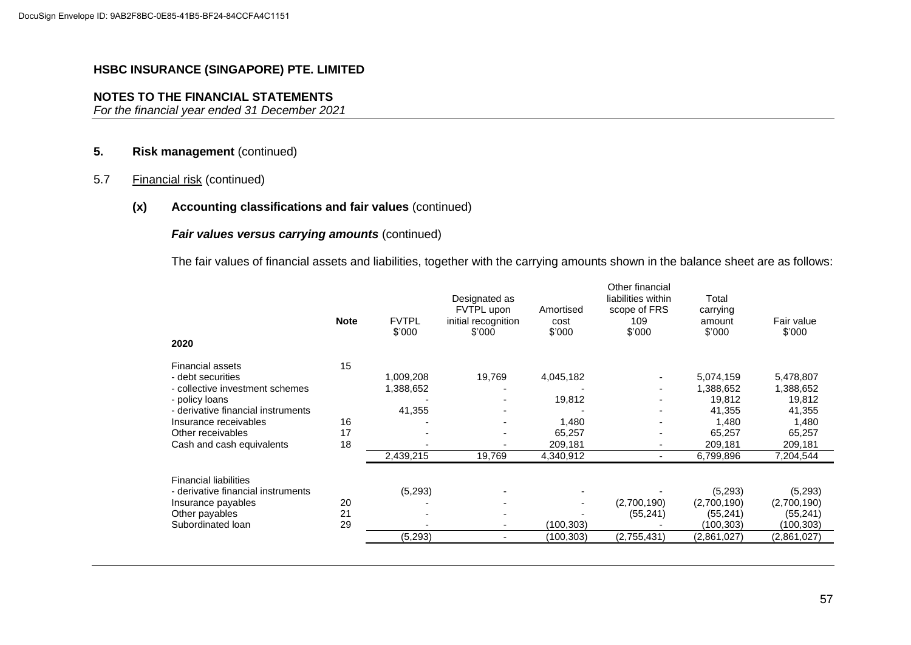## **NOTES TO THE FINANCIAL STATEMENTS**

*For the financial year ended 31 December 2021*

## **5. Risk management** (continued)

5.7 Financial risk (continued)

## **(x) Accounting classifications and fair values** (continued)

## *Fair values versus carrying amounts* (continued)

The fair values of financial assets and liabilities, together with the carrying amounts shown in the balance sheet are as follows:

| 2020                               | <b>Note</b> | <b>FVTPL</b><br>\$'000 | Designated as<br>FVTPL upon<br>initial recognition<br>\$'000 | Amortised<br>cost<br>\$'000 | Other financial<br>liabilities within<br>scope of FRS<br>109<br>\$'000 | Total<br>carrying<br>amount<br>\$'000 | Fair value<br>\$'000 |
|------------------------------------|-------------|------------------------|--------------------------------------------------------------|-----------------------------|------------------------------------------------------------------------|---------------------------------------|----------------------|
| <b>Financial assets</b>            | 15          |                        |                                                              |                             |                                                                        |                                       |                      |
| - debt securities                  |             | 1,009,208              | 19,769                                                       | 4,045,182                   |                                                                        | 5,074,159                             | 5,478,807            |
| - collective investment schemes    |             | 1,388,652              |                                                              |                             |                                                                        | 1,388,652                             | 1,388,652            |
| - policy loans                     |             |                        |                                                              | 19,812                      |                                                                        | 19,812                                | 19,812               |
| - derivative financial instruments |             | 41,355                 |                                                              |                             |                                                                        | 41,355                                | 41,355               |
| Insurance receivables              | 16          |                        |                                                              | 1,480                       |                                                                        | 1,480                                 | 1,480                |
| Other receivables                  | 17          |                        |                                                              | 65,257                      |                                                                        | 65,257                                | 65,257               |
| Cash and cash equivalents          | 18          |                        |                                                              | 209,181                     |                                                                        | 209,181                               | 209,181              |
|                                    |             | 2,439,215              | 19,769                                                       | 4,340,912                   | ٠                                                                      | 6,799,896                             | 7,204,544            |
| <b>Financial liabilities</b>       |             |                        |                                                              |                             |                                                                        |                                       |                      |
| - derivative financial instruments |             | (5,293)                |                                                              |                             |                                                                        | (5,293)                               | (5,293)              |
| Insurance payables                 | 20          |                        |                                                              |                             | (2,700,190)                                                            | (2,700,190)                           | (2,700,190)          |
| Other payables                     | 21          |                        |                                                              |                             | (55, 241)                                                              | (55, 241)                             | (55, 241)            |
| Subordinated loan                  | 29          |                        |                                                              | (100,303)                   |                                                                        | (100,303)                             | (100,303)            |
|                                    |             | (5,293)                |                                                              | (100,303)                   | (2,755,431)                                                            | (2,861,027)                           | (2,861,027)          |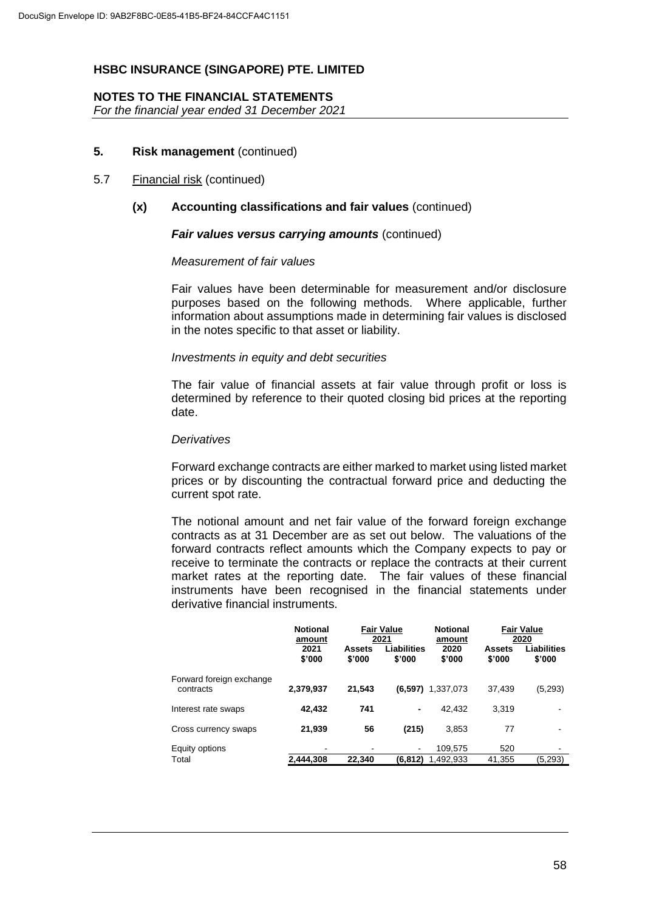## **NOTES TO THE FINANCIAL STATEMENTS**

*For the financial year ended 31 December 2021*

## **5. Risk management** (continued)

#### 5.7 Financial risk (continued)

## **(x) Accounting classifications and fair values** (continued)

#### *Fair values versus carrying amounts* (continued)

#### *Measurement of fair values*

Fair values have been determinable for measurement and/or disclosure purposes based on the following methods. Where applicable, further information about assumptions made in determining fair values is disclosed in the notes specific to that asset or liability.

#### *Investments in equity and debt securities*

The fair value of financial assets at fair value through profit or loss is determined by reference to their quoted closing bid prices at the reporting date.

#### *Derivatives*

Forward exchange contracts are either marked to market using listed market prices or by discounting the contractual forward price and deducting the current spot rate.

The notional amount and net fair value of the forward foreign exchange contracts as at 31 December are as set out below. The valuations of the forward contracts reflect amounts which the Company expects to pay or receive to terminate the contracts or replace the contracts at their current market rates at the reporting date. The fair values of these financial instruments have been recognised in the financial statements under derivative financial instruments.

|                                       | <b>Notional</b><br><b>Fair Value</b><br>2021<br>amount |                         | Liabilities | <b>Notional</b><br>amount |                  | <b>Fair Value</b><br>2020 |  |
|---------------------------------------|--------------------------------------------------------|-------------------------|-------------|---------------------------|------------------|---------------------------|--|
|                                       | 2021<br>\$'000                                         | <b>Assets</b><br>\$'000 | \$'000      | 2020<br>\$'000            | Assets<br>\$'000 | Liabilities<br>\$'000     |  |
| Forward foreign exchange<br>contracts | 2,379,937                                              | 21,543                  | (6, 597)    | 1,337,073                 | 37.439           | (5,293)                   |  |
| Interest rate swaps                   | 42,432                                                 | 741                     | ٠           | 42.432                    | 3,319            |                           |  |
| Cross currency swaps                  | 21,939                                                 | 56                      | (215)       | 3.853                     | 77               |                           |  |
| Equity options                        | -                                                      |                         |             | 109.575                   | 520              |                           |  |
| Total                                 | 2,444,308                                              | 22,340                  | (6, 812)    | 1,492,933                 | 41,355           | (5,293)                   |  |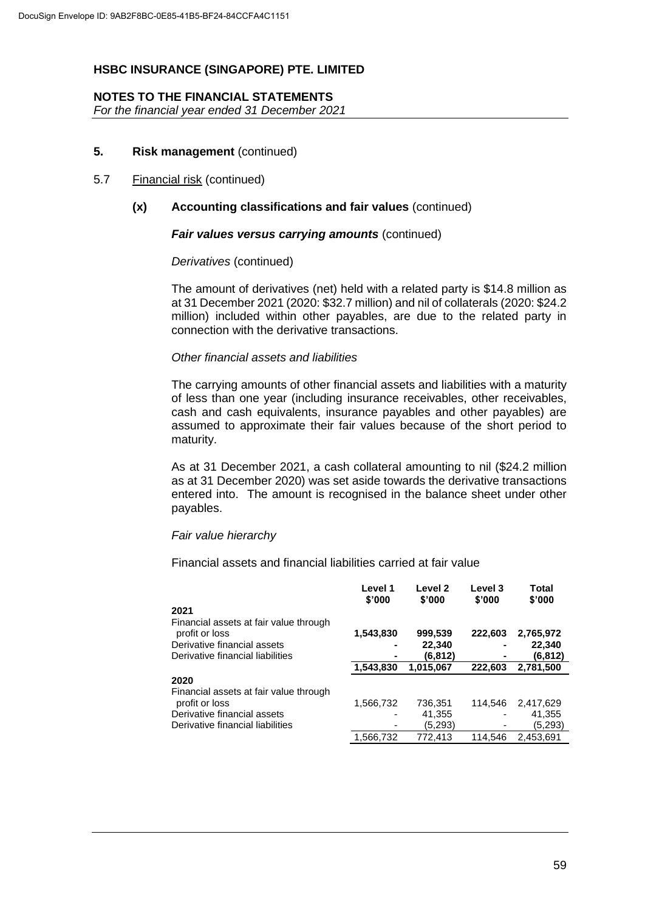## **NOTES TO THE FINANCIAL STATEMENTS**

*For the financial year ended 31 December 2021*

## **5. Risk management** (continued)

#### 5.7 Financial risk (continued)

## **(x) Accounting classifications and fair values** (continued)

#### *Fair values versus carrying amounts* (continued)

## *Derivatives* (continued)

The amount of derivatives (net) held with a related party is \$14.8 million as at 31 December 2021 (2020: \$32.7 million) and nil of collaterals (2020: \$24.2 million) included within other payables, are due to the related party in connection with the derivative transactions.

## *Other financial assets and liabilities*

The carrying amounts of other financial assets and liabilities with a maturity of less than one year (including insurance receivables, other receivables, cash and cash equivalents, insurance payables and other payables) are assumed to approximate their fair values because of the short period to maturity.

As at 31 December 2021, a cash collateral amounting to nil (\$24.2 million as at 31 December 2020) was set aside towards the derivative transactions entered into. The amount is recognised in the balance sheet under other payables.

#### *Fair value hierarchy*

Financial assets and financial liabilities carried at fair value

|                                        | Level 1<br>\$'000 | Level 2<br>\$'000 | Level 3<br>\$'000 | Total<br>\$'000 |
|----------------------------------------|-------------------|-------------------|-------------------|-----------------|
| 2021                                   |                   |                   |                   |                 |
| Financial assets at fair value through |                   |                   |                   |                 |
| profit or loss                         | 1,543,830         | 999,539           | 222,603           | 2,765,972       |
| Derivative financial assets            | ۰                 | 22,340            | -                 | 22,340          |
| Derivative financial liabilities       | ۰                 | (6, 812)          |                   | (6,812)         |
|                                        | 1,543,830         | 1,015,067         | 222.603           | 2,781,500       |
| 2020                                   |                   |                   |                   |                 |
| Financial assets at fair value through |                   |                   |                   |                 |
| profit or loss                         | 1,566,732         | 736,351           | 114.546           | 2.417.629       |
| Derivative financial assets            | ۰                 | 41,355            | -                 | 41,355          |
| Derivative financial liabilities       | ۰                 | (5,293)           |                   | (5,293)         |
|                                        | 1,566,732         | 772,413           | 114.546           | 2.453.691       |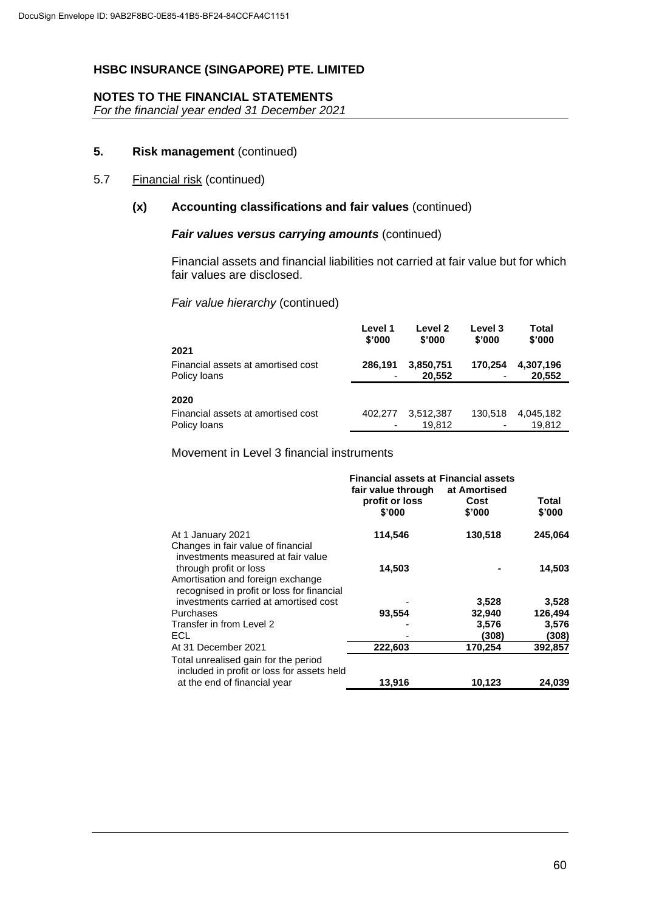## **NOTES TO THE FINANCIAL STATEMENTS**

*For the financial year ended 31 December 2021*

## **5. Risk management** (continued)

## 5.7 Financial risk (continued)

## **(x) Accounting classifications and fair values** (continued)

#### *Fair values versus carrying amounts* (continued)

Financial assets and financial liabilities not carried at fair value but for which fair values are disclosed.

## *Fair value hierarchy* (continued)

| 2021                               | Level 1 | Level 2   | Level 3                  | Total     |
|------------------------------------|---------|-----------|--------------------------|-----------|
|                                    | \$'000  | \$'000    | \$'000                   | \$'000    |
| Financial assets at amortised cost | 286.191 | 3,850,751 | 170.254                  | 4,307,196 |
| Policy loans                       | ٠       | 20,552    |                          | 20,552    |
| 2020                               |         |           |                          |           |
| Financial assets at amortised cost | 402.277 | 3,512,387 | 130.518                  | 4,045,182 |
| Policy loans                       | ٠       | 19.812    | $\overline{\phantom{0}}$ | 19.812    |

Movement in Level 3 financial instruments

|                                                                                                           | <b>Financial assets at Financial assets</b>    |                                |                 |  |
|-----------------------------------------------------------------------------------------------------------|------------------------------------------------|--------------------------------|-----------------|--|
|                                                                                                           | fair value through<br>profit or loss<br>\$'000 | at Amortised<br>Cost<br>\$'000 | Total<br>\$'000 |  |
| At 1 January 2021<br>Changes in fair value of financial<br>investments measured at fair value             | 114,546                                        | 130,518                        | 245,064         |  |
| through profit or loss<br>Amortisation and foreign exchange<br>recognised in profit or loss for financial | 14,503                                         |                                | 14,503          |  |
| investments carried at amortised cost                                                                     |                                                | 3,528                          | 3,528           |  |
| Purchases                                                                                                 | 93,554                                         | 32,940                         | 126,494         |  |
| Transfer in from Level 2                                                                                  |                                                | 3,576                          | 3,576           |  |
| <b>ECL</b>                                                                                                |                                                | (308)                          | (308)           |  |
| At 31 December 2021                                                                                       | 222,603                                        | 170,254                        | 392,857         |  |
| Total unrealised gain for the period<br>included in profit or loss for assets held                        |                                                |                                |                 |  |
| at the end of financial year                                                                              | 13,916                                         | 10,123                         | 24,039          |  |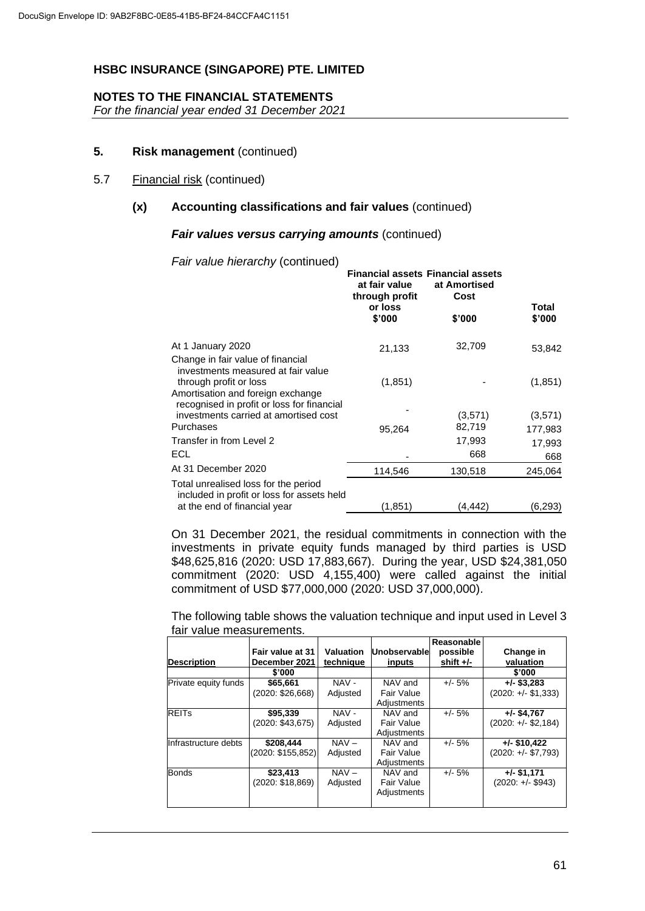## **NOTES TO THE FINANCIAL STATEMENTS**

*For the financial year ended 31 December 2021*

## **5. Risk management** (continued)

#### 5.7 Financial risk (continued)

## **(x) Accounting classifications and fair values** (continued)

#### *Fair values versus carrying amounts* (continued)

*Fair value hierarchy* (continued)

|                                                                                                                                                                                      | <b>Financial assets Financial assets</b><br>at fair value<br>through profit<br>or loss<br>\$'000 | at Amortised<br>Cost<br>\$'000 | Total<br>\$'000 |
|--------------------------------------------------------------------------------------------------------------------------------------------------------------------------------------|--------------------------------------------------------------------------------------------------|--------------------------------|-----------------|
| At 1 January 2020                                                                                                                                                                    | 21,133                                                                                           | 32,709                         | 53,842          |
| Change in fair value of financial<br>investments measured at fair value<br>through profit or loss<br>Amortisation and foreign exchange<br>recognised in profit or loss for financial | (1,851)                                                                                          |                                | (1, 851)        |
| investments carried at amortised cost                                                                                                                                                |                                                                                                  | (3,571)                        | (3,571)         |
| Purchases                                                                                                                                                                            | 95,264                                                                                           | 82,719                         | 177,983         |
| Transfer in from Level 2                                                                                                                                                             |                                                                                                  | 17,993                         | 17,993          |
| <b>ECL</b>                                                                                                                                                                           |                                                                                                  | 668                            | 668             |
| At 31 December 2020                                                                                                                                                                  | 114,546                                                                                          | 130,518                        | 245,064         |
| Total unrealised loss for the period<br>included in profit or loss for assets held<br>at the end of financial year                                                                   | (1,851)                                                                                          | (4,442)                        | (6,293)         |
|                                                                                                                                                                                      |                                                                                                  |                                |                 |

On 31 December 2021, the residual commitments in connection with the investments in private equity funds managed by third parties is USD \$48,625,816 (2020: USD 17,883,667). During the year, USD \$24,381,050 commitment (2020: USD 4,155,400) were called against the initial commitment of USD \$77,000,000 (2020: USD 37,000,000).

The following table shows the valuation technique and input used in Level 3 fair value measurements.

| <b>Description</b>   | Fair value at 31<br>December 2021 | <b>Valuation</b><br>technique | Unobservable<br>inputs               | Reasonable<br>possible<br>shift $+/-$ | Change in<br>valuation                 |
|----------------------|-----------------------------------|-------------------------------|--------------------------------------|---------------------------------------|----------------------------------------|
|                      | \$'000                            |                               |                                      |                                       | \$'000                                 |
| Private equity funds | \$65,661<br>(2020: \$26,668)      | NAV -<br>Adjusted             | NAV and<br>Fair Value<br>Adjustments | $+/- 5%$                              | $+/-$ \$3,283<br>$(2020: +/- $1,333)$  |
| <b>REITs</b>         | \$95,339<br>(2020: \$43,675)      | NAV-<br>Adjusted              | NAV and<br>Fair Value<br>Adjustments | $+/- 5%$                              | $+/-$ \$4,767<br>$(2020: +/-$ \$2,184) |
| Infrastructure debts | \$208,444<br>(2020: \$155,852)    | $NAV -$<br>Adjusted           | NAV and<br>Fair Value<br>Adjustments | $+/- 5%$                              | $+/-$ \$10,422<br>$(2020: +/- $7,793)$ |
| <b>Bonds</b>         | \$23,413<br>(2020: \$18,869)      | $NAV -$<br>Adjusted           | NAV and<br>Fair Value<br>Adjustments | $+/- 5%$                              | $+/-$ \$1,171<br>$(2020: +/- $943)$    |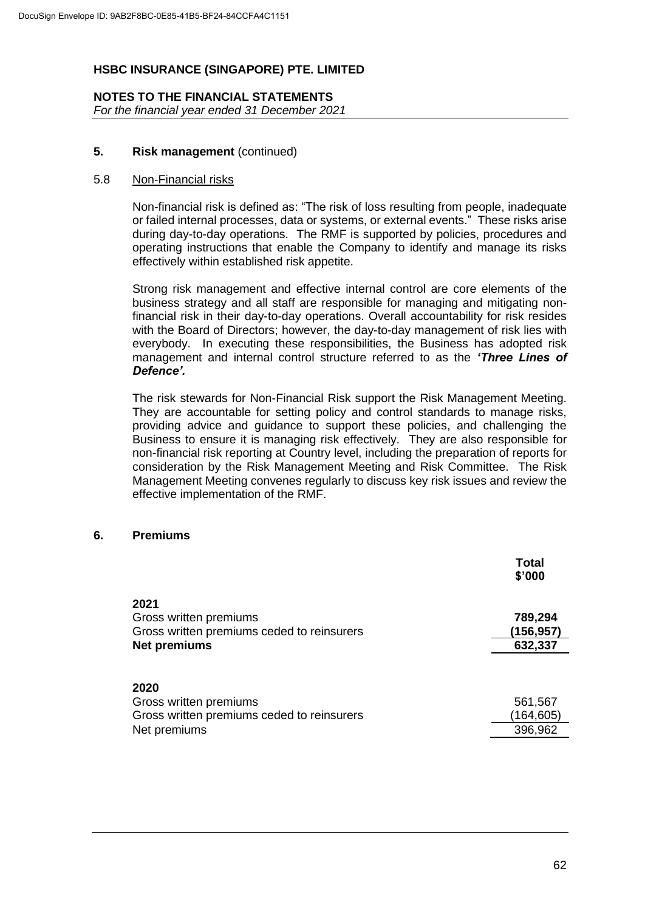#### **NOTES TO THE FINANCIAL STATEMENTS** *For the financial year ended 31 December 2021*

## **5. Risk management** (continued)

#### 5.8 Non-Financial risks

Non-financial risk is defined as: "The risk of loss resulting from people, inadequate or failed internal processes, data or systems, or external events." These risks arise during day-to-day operations. The RMF is supported by policies, procedures and operating instructions that enable the Company to identify and manage its risks effectively within established risk appetite.

Strong risk management and effective internal control are core elements of the business strategy and all staff are responsible for managing and mitigating nonfinancial risk in their day-to-day operations. Overall accountability for risk resides with the Board of Directors; however, the day-to-day management of risk lies with everybody. In executing these responsibilities, the Business has adopted risk management and internal control structure referred to as the *'Three Lines of Defence'.*

The risk stewards for Non-Financial Risk support the Risk Management Meeting. They are accountable for setting policy and control standards to manage risks, providing advice and guidance to support these policies, and challenging the Business to ensure it is managing risk effectively. They are also responsible for non-financial risk reporting at Country level, including the preparation of reports for consideration by the Risk Management Meeting and Risk Committee. The Risk Management Meeting convenes regularly to discuss key risk issues and review the effective implementation of the RMF.

## **6. Premiums**

|                                                                                              | Total<br>\$'000                  |
|----------------------------------------------------------------------------------------------|----------------------------------|
| 2021<br>Gross written premiums<br>Gross written premiums ceded to reinsurers<br>Net premiums | 789,294<br>(156,957)<br>632,337  |
| 2020<br>Gross written premiums<br>Gross written premiums ceded to reinsurers<br>Net premiums | 561,567<br>(164, 605)<br>396,962 |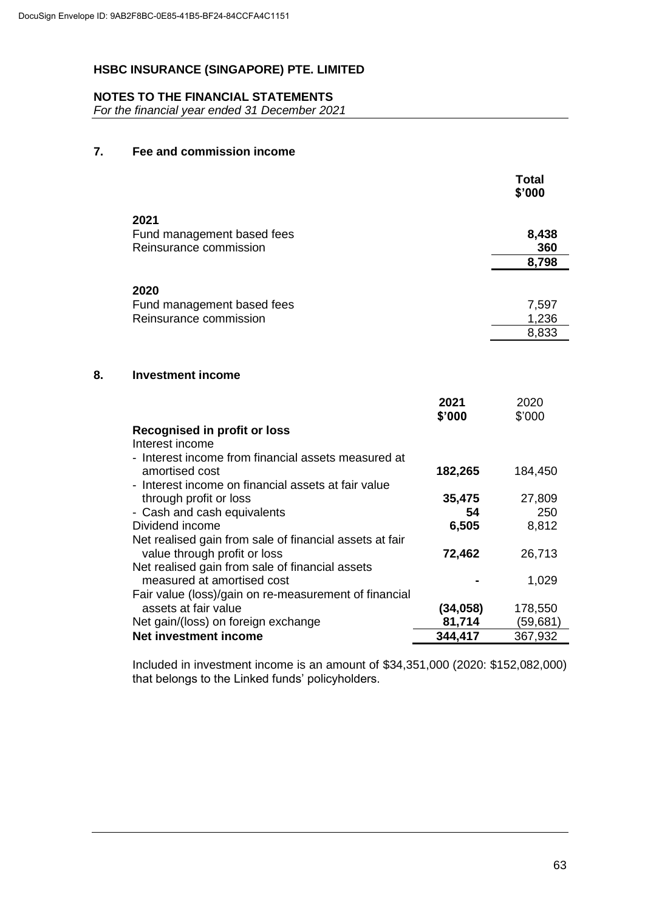## **NOTES TO THE FINANCIAL STATEMENTS**

*For the financial year ended 31 December 2021*

# **7. Fee and commission income**

|    |                                                                                                                              |                   | <b>Total</b><br>\$'000  |
|----|------------------------------------------------------------------------------------------------------------------------------|-------------------|-------------------------|
|    | 2021<br>Fund management based fees<br>Reinsurance commission                                                                 |                   | 8,438<br>360<br>8,798   |
|    | 2020                                                                                                                         |                   |                         |
|    | Fund management based fees<br>Reinsurance commission                                                                         |                   | 7,597<br>1,236<br>8,833 |
| 8. | <b>Investment income</b>                                                                                                     |                   |                         |
|    |                                                                                                                              | 2021<br>\$'000    | 2020<br>\$'000          |
|    | Recognised in profit or loss<br>Interest income                                                                              |                   |                         |
|    | - Interest income from financial assets measured at<br>amortised cost<br>- Interest income on financial assets at fair value | 182,265           | 184,450                 |
|    | through profit or loss                                                                                                       | 35,475            | 27,809                  |
|    | - Cash and cash equivalents                                                                                                  | 54                | 250                     |
|    | Dividend income                                                                                                              | 6,505             | 8,812                   |
|    | Net realised gain from sale of financial assets at fair                                                                      |                   |                         |
|    | value through profit or loss                                                                                                 | 72,462            | 26,713                  |
|    | Net realised gain from sale of financial assets                                                                              |                   |                         |
|    | measured at amortised cost                                                                                                   |                   | 1,029                   |
|    | Fair value (loss)/gain on re-measurement of financial                                                                        |                   |                         |
|    | assets at fair value                                                                                                         | (34, 058)         | 178,550                 |
|    | Net gain/(loss) on foreign exchange<br>Net investment income                                                                 | 81,714<br>344,417 | (59, 681)               |
|    |                                                                                                                              |                   | 367,932                 |

Included in investment income is an amount of \$34,351,000 (2020: \$152,082,000) that belongs to the Linked funds' policyholders.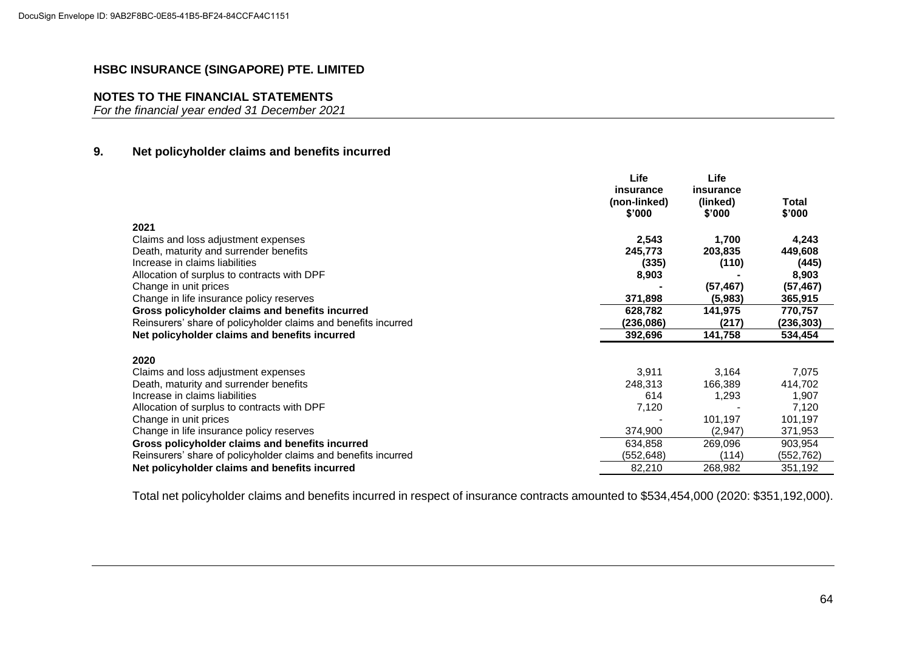## **NOTES TO THE FINANCIAL STATEMENTS**

*For the financial year ended 31 December 2021*

## **9. Net policyholder claims and benefits incurred**

|                                                                | Life         | Life      |            |
|----------------------------------------------------------------|--------------|-----------|------------|
|                                                                | insurance    | insurance |            |
|                                                                | (non-linked) | (linked)  | Total      |
|                                                                | \$'000       | \$'000    | \$'000     |
| 2021                                                           |              |           |            |
| Claims and loss adjustment expenses                            | 2,543        | 1,700     | 4,243      |
| Death, maturity and surrender benefits                         | 245,773      | 203,835   | 449,608    |
| Increase in claims liabilities                                 | (335)        | (110)     | (445)      |
| Allocation of surplus to contracts with DPF                    | 8,903        |           | 8,903      |
| Change in unit prices                                          |              | (57, 467) | (57, 467)  |
|                                                                |              |           |            |
| Change in life insurance policy reserves                       | 371,898      | (5,983)   | 365,915    |
| Gross policyholder claims and benefits incurred                | 628,782      | 141,975   | 770,757    |
| Reinsurers' share of policyholder claims and benefits incurred | (236,086)    | (217)     | (236, 303) |
| Net policyholder claims and benefits incurred                  | 392,696      | 141,758   | 534,454    |
|                                                                |              |           |            |
| 2020                                                           |              |           |            |
| Claims and loss adjustment expenses                            | 3,911        | 3,164     | 7,075      |
| Death, maturity and surrender benefits                         | 248,313      | 166,389   | 414,702    |
| Increase in claims liabilities                                 | 614          | 1,293     | 1,907      |
| Allocation of surplus to contracts with DPF                    | 7,120        |           | 7,120      |
| Change in unit prices                                          |              | 101,197   | 101,197    |
| Change in life insurance policy reserves                       | 374,900      | (2,947)   | 371,953    |
| Gross policyholder claims and benefits incurred                | 634,858      | 269,096   | 903,954    |
| Reinsurers' share of policyholder claims and benefits incurred | (552,648)    | (114)     | (552,762)  |
| Net policyholder claims and benefits incurred                  | 82,210       | 268,982   | 351,192    |

Total net policyholder claims and benefits incurred in respect of insurance contracts amounted to \$534,454,000 (2020: \$351,192,000).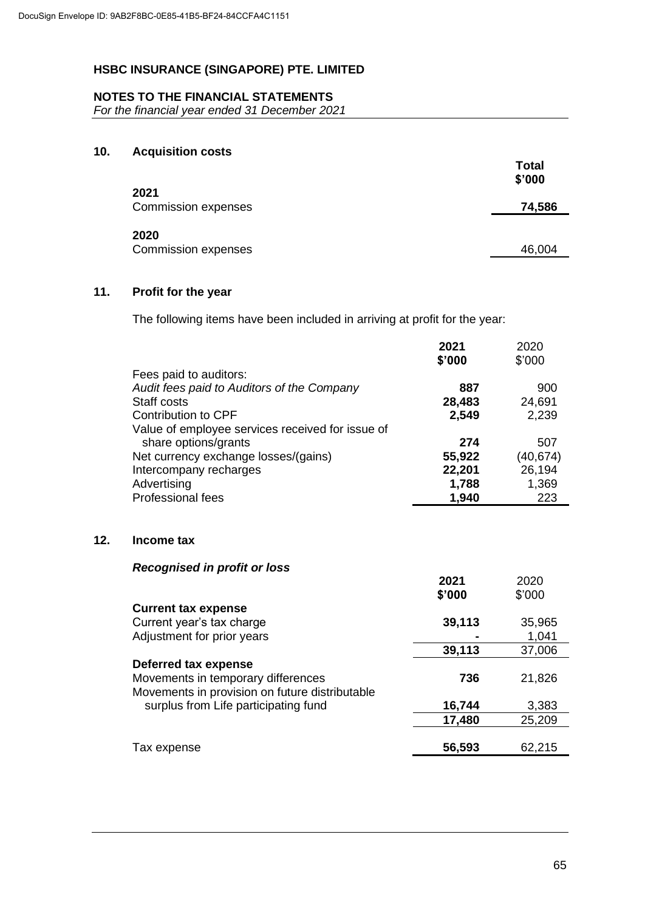## **NOTES TO THE FINANCIAL STATEMENTS**

*For the financial year ended 31 December 2021*

## **10. Acquisition costs**

|                                    | <b>Total</b><br>\$'000 |
|------------------------------------|------------------------|
| 2021<br><b>Commission expenses</b> | 74,586                 |
| 2020<br><b>Commission expenses</b> | 46,004                 |

## **11. Profit for the year**

**12.** 

The following items have been included in arriving at profit for the year:

|                                                  | 2021<br>\$'000 | 2020<br>\$'000 |
|--------------------------------------------------|----------------|----------------|
| Fees paid to auditors:                           |                |                |
| Audit fees paid to Auditors of the Company       | 887            | 900            |
| Staff costs                                      |                | 24,691         |
|                                                  | 28,483         |                |
| <b>Contribution to CPF</b>                       | 2,549          | 2,239          |
| Value of employee services received for issue of |                |                |
| share options/grants                             | 274            | 507            |
| Net currency exchange losses/(gains)             | 55,922         | (40, 674)      |
| Intercompany recharges                           | 22,201         | 26,194         |
| Advertising                                      | 1,788          | 1,369          |
| <b>Professional fees</b>                         | 1,940          | 223            |
| Income tax                                       |                |                |
|                                                  |                |                |
| <b>Recognised in profit or loss</b>              |                |                |
|                                                  | 2021           | 2020           |
|                                                  | \$'000         | \$'000         |
| <b>Current tax expense</b>                       |                |                |
| Current year's tax charge                        | 39,113         | 35,965         |
| Adjustment for prior years                       |                | 1,041          |
|                                                  | 39,113         | 37,006         |
| <b>Deferred tax expense</b>                      |                |                |
| Movements in temporary differences               | 736            | 21,826         |
| Movements in provision on future distributable   |                |                |
| surplus from Life participating fund             | 16,744         | 3,383          |
|                                                  | 17,480         | 25,209         |
|                                                  |                |                |
| Tax expense                                      | 56,593         | 62,215         |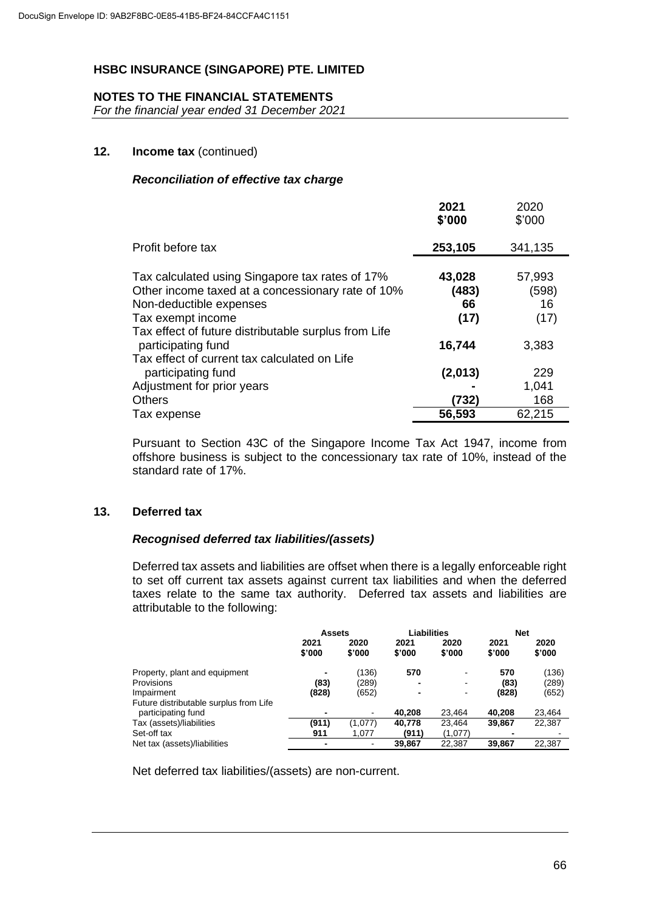## **NOTES TO THE FINANCIAL STATEMENTS**

*For the financial year ended 31 December 2021*

## **12. Income tax** (continued)

## *Reconciliation of effective tax charge*

|                                                                                                                                                                                                              | 2021<br>\$'000                | 2020<br>\$'000                |
|--------------------------------------------------------------------------------------------------------------------------------------------------------------------------------------------------------------|-------------------------------|-------------------------------|
| Profit before tax                                                                                                                                                                                            | 253,105                       | 341,135                       |
| Tax calculated using Singapore tax rates of 17%<br>Other income taxed at a concessionary rate of 10%<br>Non-deductible expenses<br>Tax exempt income<br>Tax effect of future distributable surplus from Life | 43,028<br>(483)<br>66<br>(17) | 57,993<br>(598)<br>16<br>(17) |
| participating fund<br>Tax effect of current tax calculated on Life                                                                                                                                           | 16,744                        | 3,383                         |
| participating fund                                                                                                                                                                                           | (2,013)                       | 229                           |
| Adjustment for prior years                                                                                                                                                                                   |                               | 1,041                         |
| <b>Others</b>                                                                                                                                                                                                | (732)                         | 168                           |
| Tax expense                                                                                                                                                                                                  | 56,593                        | 62,215                        |

Pursuant to Section 43C of the Singapore Income Tax Act 1947, income from offshore business is subject to the concessionary tax rate of 10%, instead of the standard rate of 17%.

## **13. Deferred tax**

#### *Recognised deferred tax liabilities/(assets)*

Deferred tax assets and liabilities are offset when there is a legally enforceable right to set off current tax assets against current tax liabilities and when the deferred taxes relate to the same tax authority. Deferred tax assets and liabilities are attributable to the following:

|                                        | <b>Assets</b>  |                | Liabilities    |                | <b>Net</b>     |                |
|----------------------------------------|----------------|----------------|----------------|----------------|----------------|----------------|
|                                        | 2021<br>\$'000 | 2020<br>\$'000 | 2021<br>\$'000 | 2020<br>\$'000 | 2021<br>\$'000 | 2020<br>\$'000 |
| Property, plant and equipment          |                | (136)          | 570            |                | 570            | (136)          |
| <b>Provisions</b>                      | (83)           | (289)          |                |                | (83)           | (289)          |
| Impairment                             | (828)          | (652)          |                |                | (828)          | (652)          |
| Future distributable surplus from Life |                |                |                |                |                |                |
| participating fund                     |                |                | 40.208         | 23.464         | 40.208         | 23,464         |
| Tax (assets)/liabilities               | (911)          | (1,077)        | 40.778         | 23.464         | 39.867         | 22.387         |
| Set-off tax                            | 911            | 1.077          | (911)          | (1,077)        |                |                |
| Net tax (assets)/liabilities           | $\blacksquare$ | $\blacksquare$ | 39.867         | 22.387         | 39.867         | 22.387         |

Net deferred tax liabilities/(assets) are non-current.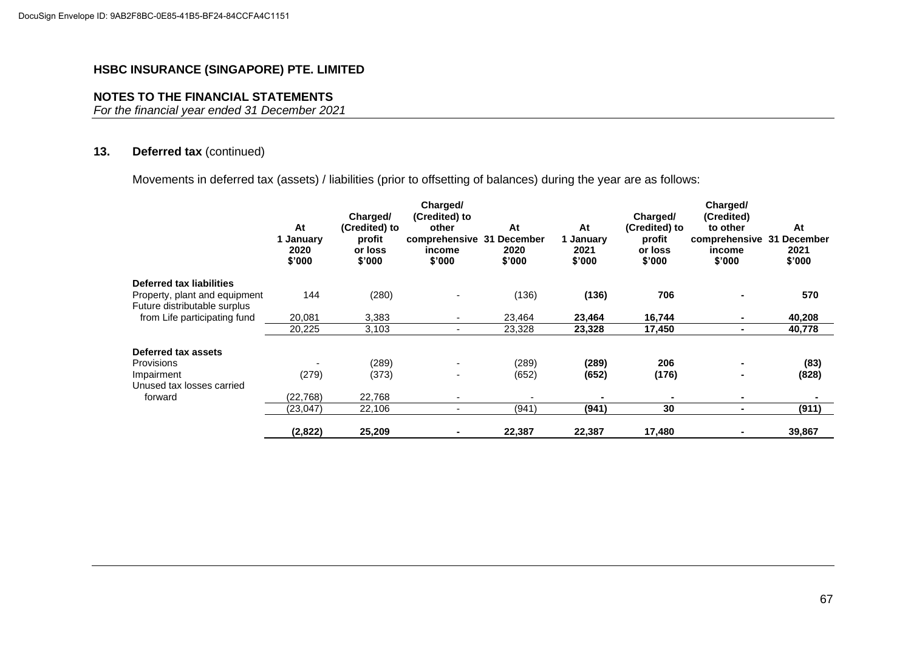## **NOTES TO THE FINANCIAL STATEMENTS**

*For the financial year ended 31 December 2021*

## **13. Deferred tax** (continued)

Movements in deferred tax (assets) / liabilities (prior to offsetting of balances) during the year are as follows:

|                               | At<br>1 January<br>2020<br>\$'000 | Charged/<br>(Credited) to<br>profit<br>or loss<br>\$'000 | Charged/<br>(Credited) to<br>other<br>comprehensive 31 December<br>income<br>\$'000 | At<br>2020<br>\$'000 | At<br>1 January<br>2021<br>\$'000 | Charged/<br>(Credited) to<br>profit<br>or loss<br>\$'000 | Charged/<br>(Credited)<br>to other<br>comprehensive 31<br>income<br>\$'000 | At<br><b>December</b><br>2021<br>\$'000 |
|-------------------------------|-----------------------------------|----------------------------------------------------------|-------------------------------------------------------------------------------------|----------------------|-----------------------------------|----------------------------------------------------------|----------------------------------------------------------------------------|-----------------------------------------|
| Deferred tax liabilities      |                                   |                                                          |                                                                                     |                      |                                   |                                                          |                                                                            |                                         |
| Property, plant and equipment | 144                               | (280)                                                    |                                                                                     | (136)                | (136)                             | 706                                                      |                                                                            | 570                                     |
| Future distributable surplus  |                                   |                                                          |                                                                                     |                      |                                   |                                                          |                                                                            |                                         |
| from Life participating fund  | 20,081                            | 3,383                                                    | $\overline{\phantom{0}}$                                                            | 23,464               | 23,464                            | 16,744                                                   |                                                                            | 40,208                                  |
|                               | 20,225                            | 3,103                                                    | ۰.                                                                                  | 23,328               | 23,328                            | 17,450                                                   | $\blacksquare$                                                             | 40,778                                  |
| Deferred tax assets           |                                   |                                                          |                                                                                     |                      |                                   |                                                          |                                                                            |                                         |
| <b>Provisions</b>             |                                   | (289)                                                    |                                                                                     | (289)                | (289)                             | 206                                                      |                                                                            | (83)                                    |
| Impairment                    | (279)                             | (373)                                                    |                                                                                     | (652)                | (652)                             | (176)                                                    |                                                                            | (828)                                   |
| Unused tax losses carried     |                                   |                                                          |                                                                                     |                      |                                   |                                                          |                                                                            |                                         |
| forward                       | (22, 768)                         | 22,768                                                   | ۰                                                                                   |                      | $\blacksquare$                    |                                                          |                                                                            |                                         |
|                               | (23, 047)                         | 22,106                                                   | ٠                                                                                   | (941)                | (941)                             | 30                                                       |                                                                            | (911)                                   |
|                               | (2,822)                           | 25,209                                                   |                                                                                     | 22,387               | 22,387                            | 17,480                                                   |                                                                            | 39,867                                  |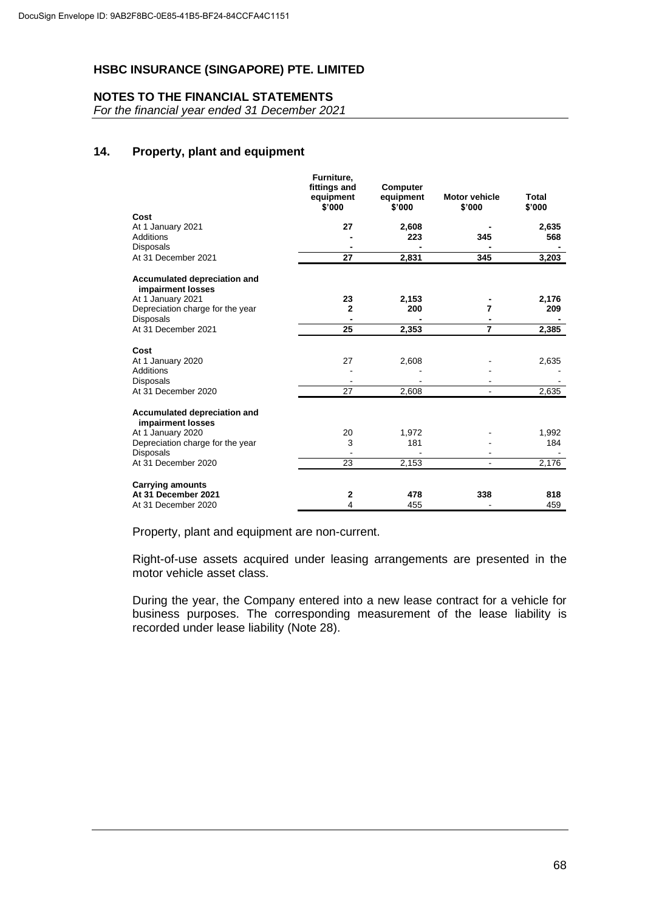## **NOTES TO THE FINANCIAL STATEMENTS**

*For the financial year ended 31 December 2021*

## **14. Property, plant and equipment**

|                                                          | Furniture,<br>fittings and<br>equipment<br>\$'000 | Computer<br>equipment<br>\$'000 | <b>Motor vehicle</b><br>\$'000 | Total<br>\$'000 |
|----------------------------------------------------------|---------------------------------------------------|---------------------------------|--------------------------------|-----------------|
| Cost                                                     |                                                   |                                 |                                |                 |
| At 1 January 2021                                        | 27                                                | 2,608                           |                                | 2,635           |
| <b>Additions</b>                                         |                                                   | 223                             | 345                            | 568             |
| <b>Disposals</b>                                         |                                                   |                                 |                                |                 |
| At 31 December 2021                                      | 27                                                | 2,831                           | 345                            | 3,203           |
| <b>Accumulated depreciation and</b><br>impairment losses |                                                   |                                 |                                |                 |
| At 1 January 2021                                        | 23                                                | 2,153                           |                                | 2,176           |
| Depreciation charge for the year                         | $\mathbf{2}$                                      | 200                             | 7                              | 209             |
| <b>Disposals</b>                                         |                                                   |                                 |                                |                 |
| At 31 December 2021                                      | 25                                                | 2,353                           | $\overline{7}$                 | 2,385           |
| Cost                                                     |                                                   |                                 |                                |                 |
| At 1 January 2020                                        | 27                                                | 2,608                           |                                | 2,635           |
| <b>Additions</b>                                         |                                                   |                                 |                                |                 |
| <b>Disposals</b>                                         |                                                   |                                 |                                |                 |
| At 31 December 2020                                      | 27                                                | 2,608                           |                                | 2,635           |
| Accumulated depreciation and<br>impairment losses        |                                                   |                                 |                                |                 |
| At 1 January 2020                                        | 20                                                | 1,972                           |                                | 1,992           |
| Depreciation charge for the year                         | 3                                                 | 181                             |                                | 184             |
| Disposals                                                |                                                   |                                 |                                |                 |
| At 31 December 2020                                      | 23                                                | 2,153                           |                                | 2,176           |
| <b>Carrying amounts</b>                                  |                                                   |                                 |                                |                 |
| At 31 December 2021                                      | 2                                                 | 478                             | 338                            | 818             |
| At 31 December 2020                                      | 4                                                 | 455                             |                                | 459             |

Property, plant and equipment are non-current.

Right-of-use assets acquired under leasing arrangements are presented in the motor vehicle asset class.

During the year, the Company entered into a new lease contract for a vehicle for business purposes. The corresponding measurement of the lease liability is recorded under lease liability (Note 28).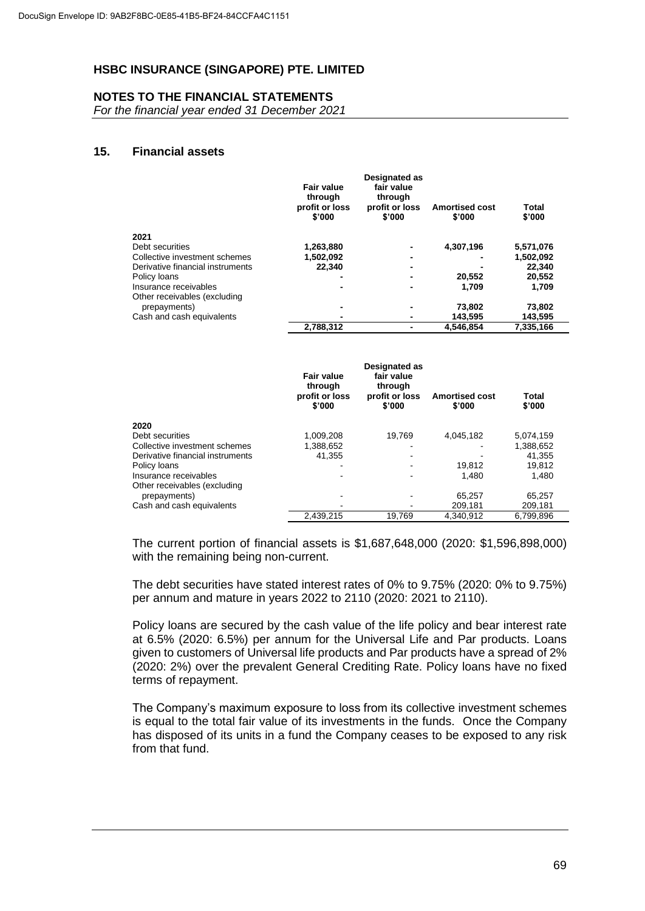#### **NOTES TO THE FINANCIAL STATEMENTS**

*For the financial year ended 31 December 2021*

#### **15. Financial assets**

|                                  | <b>Fair value</b><br>through<br>profit or loss<br>\$'000 | <b>Designated as</b><br>fair value<br>through<br>profit or loss<br>\$'000 | <b>Amortised cost</b><br>\$'000 | Total<br>\$'000 |
|----------------------------------|----------------------------------------------------------|---------------------------------------------------------------------------|---------------------------------|-----------------|
| 2021                             |                                                          |                                                                           |                                 |                 |
| Debt securities                  | 1,263,880                                                |                                                                           | 4,307,196                       | 5,571,076       |
| Collective investment schemes    | 1,502,092                                                |                                                                           |                                 | 1,502,092       |
| Derivative financial instruments | 22.340                                                   |                                                                           |                                 | 22.340          |
| Policy loans                     |                                                          |                                                                           | 20,552                          | 20,552          |
| Insurance receivables            |                                                          |                                                                           | 1.709                           | 1.709           |
| Other receivables (excluding     |                                                          |                                                                           |                                 |                 |
| prepayments)                     |                                                          |                                                                           | 73,802                          | 73,802          |
| Cash and cash equivalents        |                                                          |                                                                           | 143.595                         | 143,595         |
|                                  | 2,788,312                                                |                                                                           | 4.546.854                       | 7.335.166       |

|                                  | <b>Fair value</b><br>through<br>profit or loss<br>\$'000 | <b>Designated as</b><br>fair value<br>through<br>profit or loss<br>\$'000 | <b>Amortised cost</b><br>\$'000 | Total<br>\$'000 |
|----------------------------------|----------------------------------------------------------|---------------------------------------------------------------------------|---------------------------------|-----------------|
| 2020                             |                                                          |                                                                           |                                 |                 |
| Debt securities                  | 1,009,208                                                | 19.769                                                                    | 4,045,182                       | 5,074,159       |
| Collective investment schemes    | 1,388,652                                                |                                                                           |                                 | 1,388,652       |
| Derivative financial instruments | 41.355                                                   |                                                                           |                                 | 41.355          |
| Policy loans                     |                                                          |                                                                           | 19.812                          | 19.812          |
| Insurance receivables            |                                                          |                                                                           | 1.480                           | 1.480           |
| Other receivables (excluding     |                                                          |                                                                           |                                 |                 |
| prepayments)                     |                                                          |                                                                           | 65,257                          | 65,257          |
| Cash and cash equivalents        |                                                          |                                                                           | 209.181                         | 209,181         |
|                                  | 2,439,215                                                | 19.769                                                                    | 4.340.912                       | 6,799,896       |

The current portion of financial assets is \$1,687,648,000 (2020: \$1,596,898,000) with the remaining being non-current.

The debt securities have stated interest rates of 0% to 9.75% (2020: 0% to 9.75%) per annum and mature in years 2022 to 2110 (2020: 2021 to 2110).

Policy loans are secured by the cash value of the life policy and bear interest rate at 6.5% (2020: 6.5%) per annum for the Universal Life and Par products. Loans given to customers of Universal life products and Par products have a spread of 2% (2020: 2%) over the prevalent General Crediting Rate. Policy loans have no fixed terms of repayment.

The Company's maximum exposure to loss from its collective investment schemes is equal to the total fair value of its investments in the funds. Once the Company has disposed of its units in a fund the Company ceases to be exposed to any risk from that fund.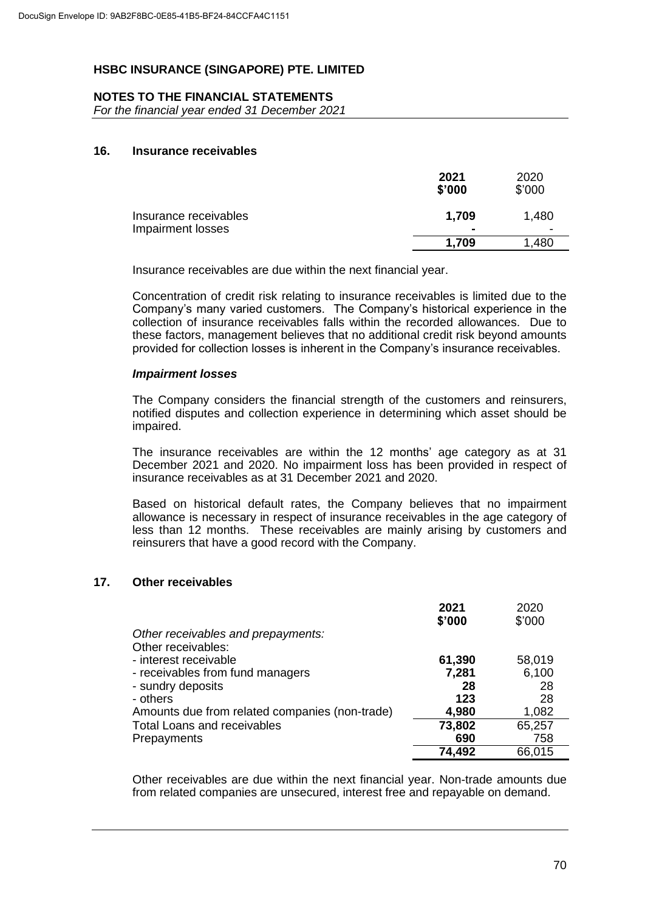## **NOTES TO THE FINANCIAL STATEMENTS**

*For the financial year ended 31 December 2021*

## **16. Insurance receivables**

|                                            | 2021<br>\$'000          | 2020<br>\$'000 |
|--------------------------------------------|-------------------------|----------------|
| Insurance receivables<br>Impairment losses | 1,709<br>$\blacksquare$ | 1,480          |
|                                            | 1.709                   | 1,480          |

Insurance receivables are due within the next financial year.

Concentration of credit risk relating to insurance receivables is limited due to the Company's many varied customers. The Company's historical experience in the collection of insurance receivables falls within the recorded allowances. Due to these factors, management believes that no additional credit risk beyond amounts provided for collection losses is inherent in the Company's insurance receivables.

#### *Impairment losses*

The Company considers the financial strength of the customers and reinsurers, notified disputes and collection experience in determining which asset should be impaired.

The insurance receivables are within the 12 months' age category as at 31 December 2021 and 2020. No impairment loss has been provided in respect of insurance receivables as at 31 December 2021 and 2020.

Based on historical default rates, the Company believes that no impairment allowance is necessary in respect of insurance receivables in the age category of less than 12 months. These receivables are mainly arising by customers and reinsurers that have a good record with the Company.

## **17. Other receivables**

|                                                | 2021<br>\$'000 | 2020<br>\$'000 |
|------------------------------------------------|----------------|----------------|
| Other receivables and prepayments:             |                |                |
| Other receivables:                             |                |                |
| - interest receivable                          | 61,390         | 58,019         |
| - receivables from fund managers               | 7,281          | 6,100          |
| - sundry deposits                              | 28             | 28             |
| - others                                       | 123            | 28             |
| Amounts due from related companies (non-trade) | 4,980          | 1,082          |
| <b>Total Loans and receivables</b>             | 73,802         | 65,257         |
| Prepayments                                    | 690            | 758            |
|                                                | 74,492         | 66,015         |

Other receivables are due within the next financial year. Non-trade amounts due from related companies are unsecured, interest free and repayable on demand.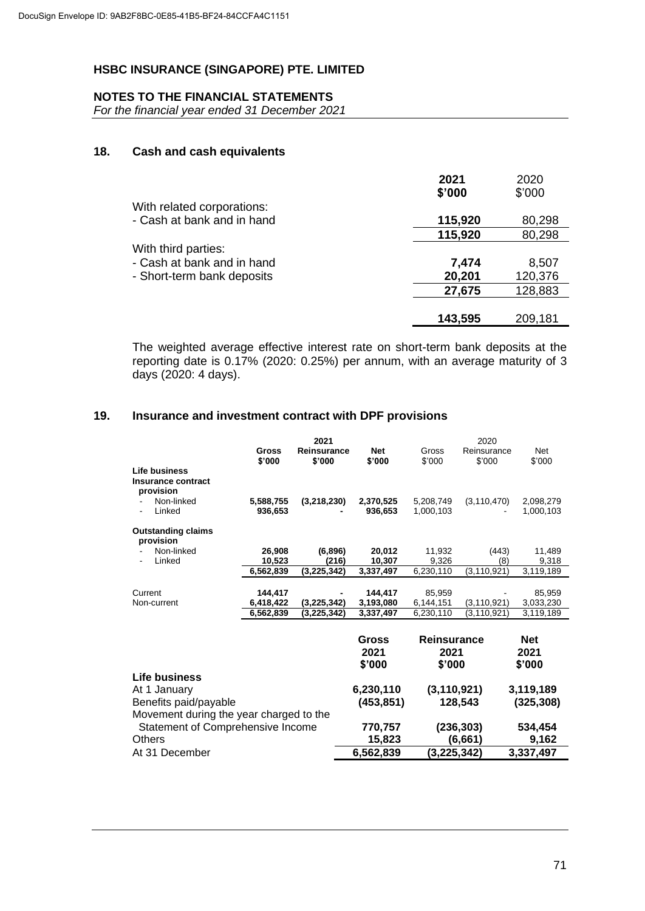### **NOTES TO THE FINANCIAL STATEMENTS**

*For the financial year ended 31 December 2021*

# **18. Cash and cash equivalents**

|                            | 2021<br>\$'000 | 2020<br>\$'000 |
|----------------------------|----------------|----------------|
| With related corporations: |                |                |
| - Cash at bank and in hand | 115,920        | 80,298         |
|                            | 115,920        | 80,298         |
| With third parties:        |                |                |
| - Cash at bank and in hand | 7,474          | 8,507          |
| - Short-term bank deposits | 20,201         | 120,376        |
|                            | 27,675         | 128,883        |
|                            | 143,595        | 209,181        |

The weighted average effective interest rate on short-term bank deposits at the reporting date is 0.17% (2020: 0.25%) per annum, with an average maturity of 3 days (2020: 4 days).

### **19. Insurance and investment contract with DPF provisions**

|                                                  | Gross<br>\$'000      | 2021<br>Reinsurance<br>\$'000 | <b>Net</b><br>\$'000    | Gross<br>\$'000                      | 2020<br>Reinsurance<br>\$'000 | <b>Net</b><br>\$'000         |
|--------------------------------------------------|----------------------|-------------------------------|-------------------------|--------------------------------------|-------------------------------|------------------------------|
| Life business<br>Insurance contract<br>provision |                      |                               |                         |                                      |                               |                              |
| Non-linked<br>Linked                             | 5,588,755<br>936,653 | (3,218,230)                   | 2,370,525<br>936,653    | 5,208,749<br>1,000,103               | (3, 110, 470)                 | 2,098,279<br>1,000,103       |
| <b>Outstanding claims</b><br>provision           |                      |                               |                         |                                      |                               |                              |
| Non-linked                                       | 26,908               | (6,896)                       | 20,012                  | 11,932                               | (443)                         | 11,489                       |
| Linked                                           | 10,523               | (216)                         | 10,307                  | 9,326                                | (8)                           | 9,318                        |
|                                                  | 6,562,839            | (3, 225, 342)                 | 3,337,497               | 6,230,110                            | (3, 110, 921)                 | 3,119,189                    |
|                                                  |                      |                               |                         |                                      |                               |                              |
| Current                                          | 144,417              |                               | 144.417                 | 85,959                               |                               | 85.959                       |
| Non-current                                      | 6,418,422            | (3,225,342)                   | 3,193,080               | 6,144,151                            | (3, 110, 921)                 | 3,033,230                    |
|                                                  | 6,562,839            | (3, 225, 342)                 | 3,337,497               | 6,230,110                            | (3, 110, 921)                 | 3,119,189                    |
|                                                  |                      |                               | Gross<br>2021<br>\$'000 | <b>Reinsurance</b><br>2021<br>\$'000 |                               | <b>Net</b><br>2021<br>\$'000 |
| Life business                                    |                      |                               |                         |                                      |                               |                              |
| At 1 January<br>Benefits paid/payable            |                      |                               | 6,230,110<br>(453, 851) | (3, 110, 921)                        | 128,543                       | 3,119,189<br>(325, 308)      |
| Movement during the year charged to the          |                      |                               |                         |                                      |                               |                              |
| Statement of Comprehensive Income                |                      |                               | 770,757                 |                                      | (236, 303)                    | 534,454                      |
| Others                                           |                      |                               | 15,823                  |                                      | (6,661)                       | 9,162                        |
| At 31 December                                   |                      |                               | 6,562,839               | (3,225,342)                          |                               | 3,337,497                    |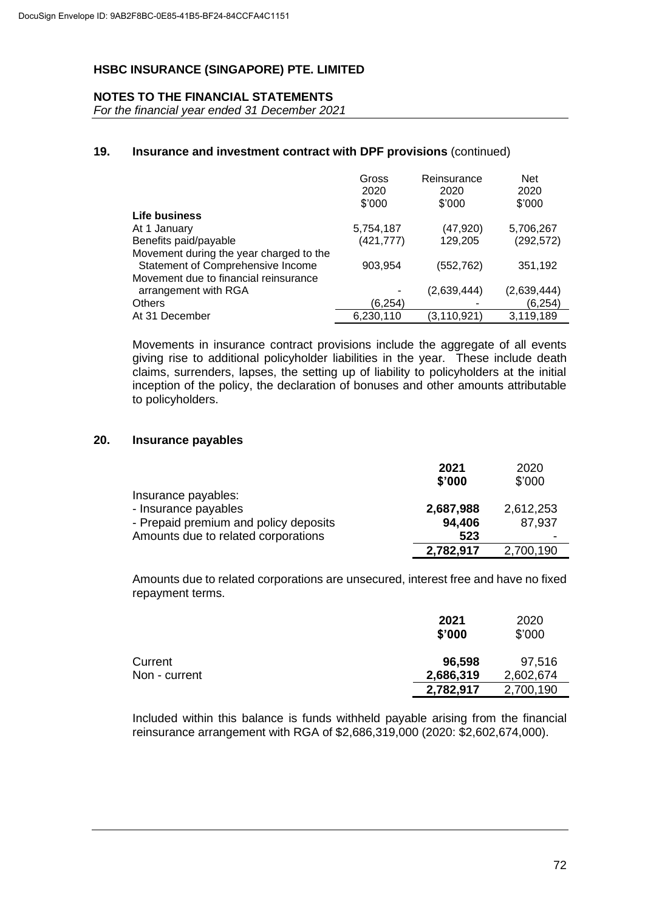### **NOTES TO THE FINANCIAL STATEMENTS**

*For the financial year ended 31 December 2021*

### **19. Insurance and investment contract with DPF provisions** (continued)

|                                         | Gross<br>2020<br>\$'000 | Reinsurance<br>2020<br>\$'000 | <b>Net</b><br>2020<br>\$'000 |
|-----------------------------------------|-------------------------|-------------------------------|------------------------------|
| Life business                           |                         |                               |                              |
| At 1 January                            | 5,754,187               | (47,920)                      | 5,706,267                    |
| Benefits paid/payable                   | (421, 777)              | 129,205                       | (292, 572)                   |
| Movement during the year charged to the |                         |                               |                              |
| Statement of Comprehensive Income       | 903,954                 | (552,762)                     | 351,192                      |
| Movement due to financial reinsurance   |                         |                               |                              |
| arrangement with RGA                    |                         | (2,639,444)                   | (2,639,444)                  |
| <b>Others</b>                           | (6,254)                 |                               | (6, 254)                     |
| At 31 December                          | 6,230,110               | (3, 110, 921)                 | 3,119,189                    |

Movements in insurance contract provisions include the aggregate of all events giving rise to additional policyholder liabilities in the year. These include death claims, surrenders, lapses, the setting up of liability to policyholders at the initial inception of the policy, the declaration of bonuses and other amounts attributable to policyholders.

## **20. Insurance payables**

|                                       | 2021      | 2020      |
|---------------------------------------|-----------|-----------|
|                                       | \$'000    | \$'000    |
| Insurance payables:                   |           |           |
| - Insurance payables                  | 2,687,988 | 2,612,253 |
| - Prepaid premium and policy deposits | 94,406    | 87,937    |
| Amounts due to related corporations   | 523       |           |
|                                       | 2,782,917 | 2,700,190 |

Amounts due to related corporations are unsecured, interest free and have no fixed repayment terms.

|               | 2021<br>\$'000 | 2020<br>\$'000 |
|---------------|----------------|----------------|
| Current       | 96,598         | 97,516         |
| Non - current | 2,686,319      | 2,602,674      |
|               | 2,782,917      | 2,700,190      |

Included within this balance is funds withheld payable arising from the financial reinsurance arrangement with RGA of \$2,686,319,000 (2020: \$2,602,674,000).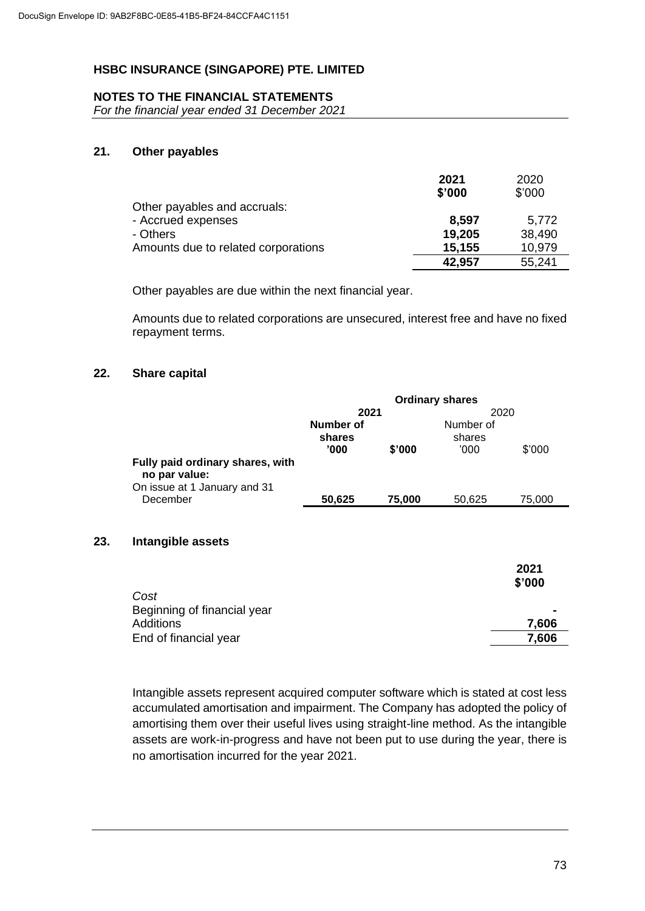### **NOTES TO THE FINANCIAL STATEMENTS**

*For the financial year ended 31 December 2021*

#### **21. Other payables**

|                                     | 2021   | 2020   |
|-------------------------------------|--------|--------|
|                                     | \$'000 | \$'000 |
| Other payables and accruals:        |        |        |
| - Accrued expenses                  | 8.597  | 5,772  |
| - Others                            | 19,205 | 38,490 |
| Amounts due to related corporations | 15,155 | 10,979 |
|                                     | 42,957 | 55,241 |

Other payables are due within the next financial year.

Amounts due to related corporations are unsecured, interest free and have no fixed repayment terms.

### **22. Share capital**

**23.** 

|                                                                                   |           |        | <b>Ordinary shares</b> |        |
|-----------------------------------------------------------------------------------|-----------|--------|------------------------|--------|
|                                                                                   | 2021      |        | 2020                   |        |
|                                                                                   | Number of |        | Number of              |        |
|                                                                                   | shares    |        | shares                 |        |
|                                                                                   | '000'     | \$'000 | '000                   | \$'000 |
| Fully paid ordinary shares, with<br>no par value:<br>On issue at 1 January and 31 |           |        |                        |        |
| December                                                                          | 50,625    | 75,000 | 50,625                 | 75,000 |
| Intangible assets                                                                 |           |        |                        |        |

| 2021<br>\$'000 |
|----------------|
| $\blacksquare$ |
| 7.606          |
| 7,606          |
|                |

Intangible assets represent acquired computer software which is stated at cost less accumulated amortisation and impairment. The Company has adopted the policy of amortising them over their useful lives using straight-line method. As the intangible assets are work-in-progress and have not been put to use during the year, there is no amortisation incurred for the year 2021.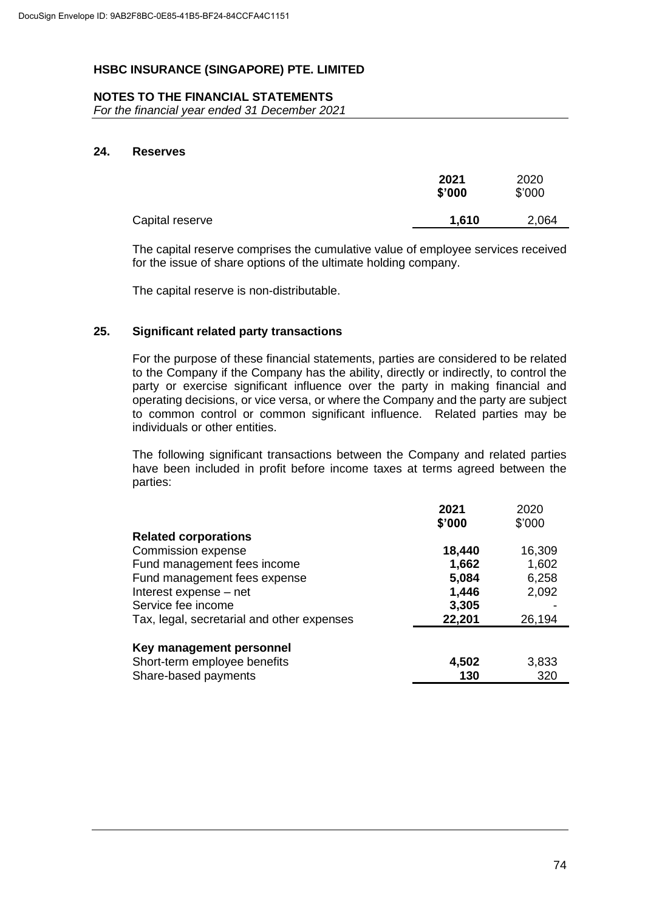### **NOTES TO THE FINANCIAL STATEMENTS**

*For the financial year ended 31 December 2021*

#### **24. Reserves**

|                 | 2021<br>\$'000 | 2020<br>\$'000 |
|-----------------|----------------|----------------|
| Capital reserve | 1,610          | 2,064          |

The capital reserve comprises the cumulative value of employee services received for the issue of share options of the ultimate holding company.

The capital reserve is non-distributable.

### **25. Significant related party transactions**

For the purpose of these financial statements, parties are considered to be related to the Company if the Company has the ability, directly or indirectly, to control the party or exercise significant influence over the party in making financial and operating decisions, or vice versa, or where the Company and the party are subject to common control or common significant influence. Related parties may be individuals or other entities.

The following significant transactions between the Company and related parties have been included in profit before income taxes at terms agreed between the parties:

|                                            | 2021<br>\$'000 | 2020<br>\$'000 |
|--------------------------------------------|----------------|----------------|
| <b>Related corporations</b>                |                |                |
| Commission expense                         | 18,440         | 16,309         |
| Fund management fees income                | 1,662          | 1,602          |
| Fund management fees expense               | 5,084          | 6,258          |
| Interest expense - net                     | 1,446          | 2,092          |
| Service fee income                         | 3,305          |                |
| Tax, legal, secretarial and other expenses | 22,201         | 26,194         |
| Key management personnel                   |                |                |
| Short-term employee benefits               | 4,502          | 3,833          |
| Share-based payments                       | 130            | 320            |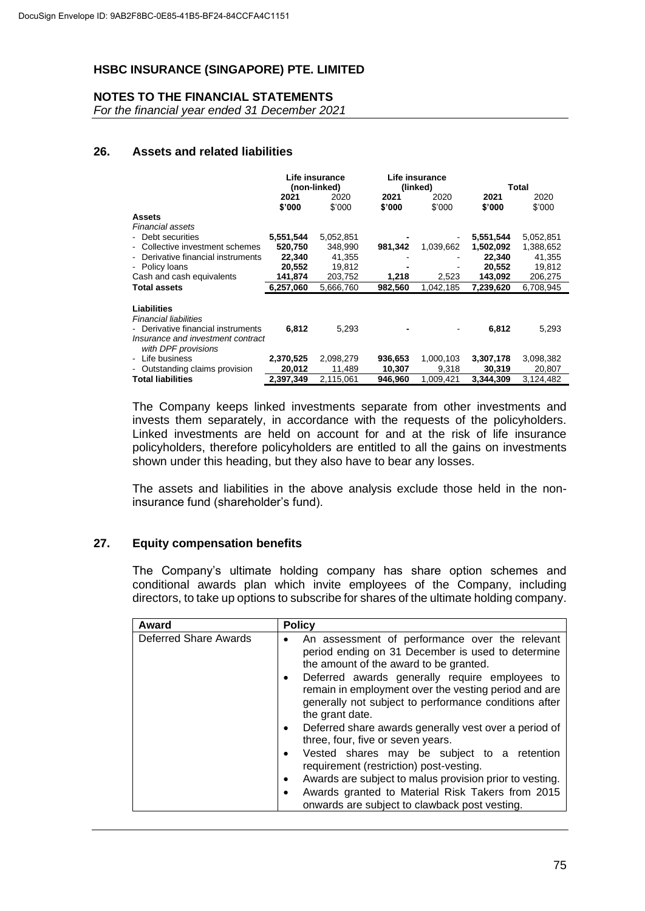## **NOTES TO THE FINANCIAL STATEMENTS**

*For the financial year ended 31 December 2021*

### **26. Assets and related liabilities**

|                                    | Life insurance |           |          | Life insurance |           |           |  |
|------------------------------------|----------------|-----------|----------|----------------|-----------|-----------|--|
|                                    | (non-linked)   |           | (linked) |                | Total     |           |  |
|                                    | 2021           | 2020      | 2021     | 2020           | 2021      | 2020      |  |
|                                    | \$'000         | \$'000    | \$'000   | \$'000         | \$'000    | \$'000    |  |
| <b>Assets</b>                      |                |           |          |                |           |           |  |
| Financial assets                   |                |           |          |                |           |           |  |
| - Debt securities                  | 5,551,544      | 5,052,851 |          |                | 5,551,544 | 5,052,851 |  |
| - Collective investment schemes    | 520,750        | 348,990   | 981,342  | 1,039,662      | 1,502,092 | 1,388,652 |  |
| - Derivative financial instruments | 22.340         | 41,355    |          |                | 22,340    | 41,355    |  |
| - Policy loans                     | 20,552         | 19,812    |          |                | 20,552    | 19,812    |  |
| Cash and cash equivalents          | 141,874        | 203,752   | 1,218    | 2,523          | 143,092   | 206,275   |  |
| <b>Total assets</b>                | 6,257,060      | 5,666,760 | 982,560  | 1,042,185      | 7,239,620 | 6,708,945 |  |
|                                    |                |           |          |                |           |           |  |
| Liabilities                        |                |           |          |                |           |           |  |
| <b>Financial liabilities</b>       |                |           |          |                |           |           |  |
| - Derivative financial instruments | 6,812          | 5,293     |          |                | 6,812     | 5,293     |  |
| Insurance and investment contract  |                |           |          |                |           |           |  |
| with DPF provisions                |                |           |          |                |           |           |  |
| - Life business                    | 2,370,525      | 2,098,279 | 936,653  | 1,000,103      | 3,307,178 | 3,098,382 |  |
| - Outstanding claims provision     | 20,012         | 11,489    | 10,307   | 9,318          | 30,319    | 20,807    |  |
| <b>Total liabilities</b>           | 2,397,349      | 2,115,061 | 946,960  | 1.009.421      | 3.344.309 | 3,124,482 |  |

The Company keeps linked investments separate from other investments and invests them separately, in accordance with the requests of the policyholders. Linked investments are held on account for and at the risk of life insurance policyholders, therefore policyholders are entitled to all the gains on investments shown under this heading, but they also have to bear any losses.

The assets and liabilities in the above analysis exclude those held in the noninsurance fund (shareholder's fund).

## **27. Equity compensation benefits**

The Company's ultimate holding company has share option schemes and conditional awards plan which invite employees of the Company, including directors, to take up options to subscribe for shares of the ultimate holding company.

| Award                 | <b>Policy</b>                                                                                                                                                                                                                                                                                                                                                                                                                                                                                                                                                                                                                                                                                            |
|-----------------------|----------------------------------------------------------------------------------------------------------------------------------------------------------------------------------------------------------------------------------------------------------------------------------------------------------------------------------------------------------------------------------------------------------------------------------------------------------------------------------------------------------------------------------------------------------------------------------------------------------------------------------------------------------------------------------------------------------|
| Deferred Share Awards | An assessment of performance over the relevant<br>$\bullet$<br>period ending on 31 December is used to determine<br>the amount of the award to be granted.<br>Deferred awards generally require employees to<br>remain in employment over the vesting period and are<br>generally not subject to performance conditions after<br>the grant date.<br>Deferred share awards generally vest over a period of<br>three, four, five or seven years.<br>Vested shares may be subject to a retention<br>requirement (restriction) post-vesting.<br>Awards are subject to malus provision prior to vesting.<br>Awards granted to Material Risk Takers from 2015<br>onwards are subject to clawback post vesting. |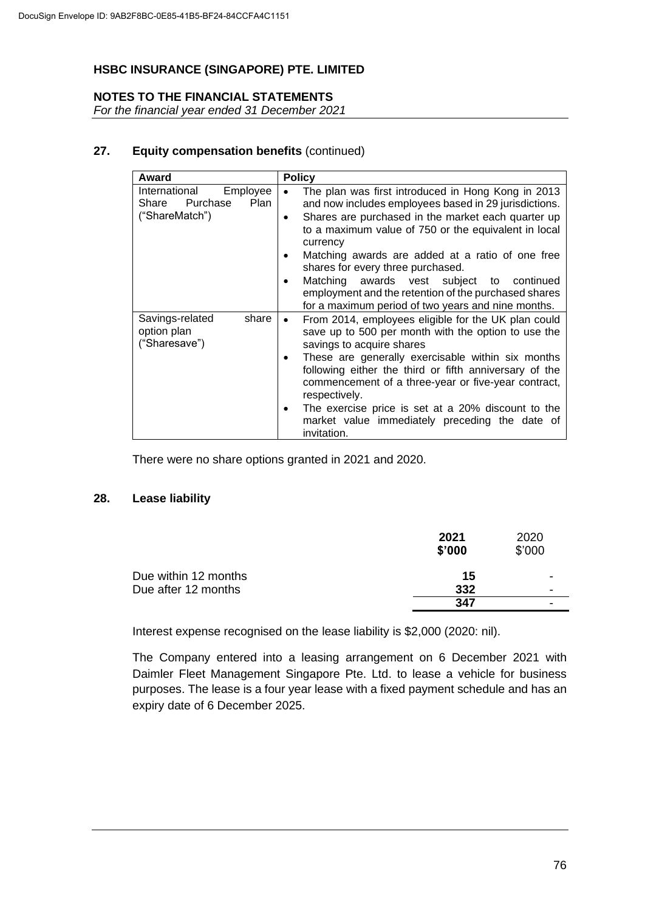### **NOTES TO THE FINANCIAL STATEMENTS**

*For the financial year ended 31 December 2021*

### **27. Equity compensation benefits** (continued)

| Award                                                                 | <b>Policy</b>                                                                                                                                                                                                                                                                                                                                                                                                                                                                                               |  |
|-----------------------------------------------------------------------|-------------------------------------------------------------------------------------------------------------------------------------------------------------------------------------------------------------------------------------------------------------------------------------------------------------------------------------------------------------------------------------------------------------------------------------------------------------------------------------------------------------|--|
| International<br>Employee<br>Share Purchase<br>Plan<br>("ShareMatch") | The plan was first introduced in Hong Kong in 2013<br>and now includes employees based in 29 jurisdictions.<br>Shares are purchased in the market each quarter up<br>$\bullet$<br>to a maximum value of 750 or the equivalent in local<br>currency<br>Matching awards are added at a ratio of one free<br>shares for every three purchased.<br>Matching awards vest subject to continued<br>٠<br>employment and the retention of the purchased shares<br>for a maximum period of two years and nine months. |  |
| Savings-related<br>share<br>option plan<br>("Sharesave")              | From 2014, employees eligible for the UK plan could<br>$\bullet$<br>save up to 500 per month with the option to use the<br>savings to acquire shares<br>These are generally exercisable within six months<br>$\bullet$<br>following either the third or fifth anniversary of the<br>commencement of a three-year or five-year contract,<br>respectively.<br>The exercise price is set at a 20% discount to the<br>market value immediately preceding the date of<br>invitation.                             |  |

There were no share options granted in 2021 and 2020.

### **28. Lease liability**

|                      | 2021<br>\$'000 | 2020<br>\$'000           |
|----------------------|----------------|--------------------------|
| Due within 12 months | 15             | ٠                        |
| Due after 12 months  | 332            | $\overline{\phantom{a}}$ |
|                      | 347            | -                        |

Interest expense recognised on the lease liability is \$2,000 (2020: nil).

The Company entered into a leasing arrangement on 6 December 2021 with Daimler Fleet Management Singapore Pte. Ltd. to lease a vehicle for business purposes. The lease is a four year lease with a fixed payment schedule and has an expiry date of 6 December 2025.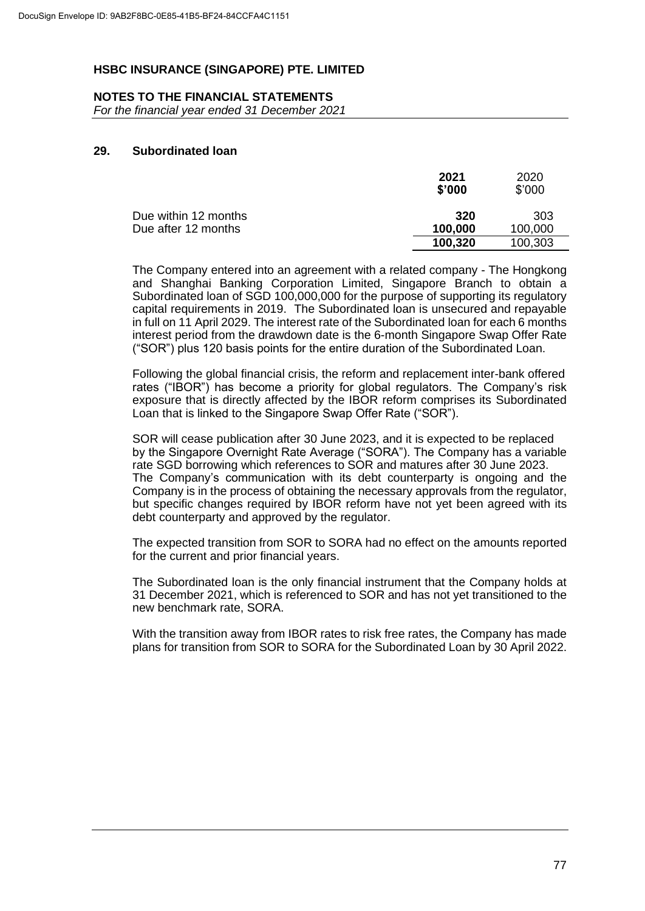#### **NOTES TO THE FINANCIAL STATEMENTS**

*For the financial year ended 31 December 2021*

# **29. Subordinated loan**

|                      | 2021<br>\$'000 | 2020<br>\$'000 |
|----------------------|----------------|----------------|
| Due within 12 months | 320            | 303            |
| Due after 12 months  | 100,000        | 100,000        |
|                      | 100,320        | 100,303        |

The Company entered into an agreement with a related company - The Hongkong and Shanghai Banking Corporation Limited, Singapore Branch to obtain a Subordinated loan of SGD 100,000,000 for the purpose of supporting its regulatory capital requirements in 2019. The Subordinated loan is unsecured and repayable in full on 11 April 2029. The interest rate of the Subordinated loan for each 6 months interest period from the drawdown date is the 6-month Singapore Swap Offer Rate ("SOR") plus 120 basis points for the entire duration of the Subordinated Loan.

Following the global financial crisis, the reform and replacement inter-bank offered rates ("IBOR") has become a priority for global regulators. The Company's risk exposure that is directly affected by the IBOR reform comprises its Subordinated Loan that is linked to the Singapore Swap Offer Rate ("SOR").

SOR will cease publication after 30 June 2023, and it is expected to be replaced by the Singapore Overnight Rate Average ("SORA"). The Company has a variable rate SGD borrowing which references to SOR and matures after 30 June 2023. The Company's communication with its debt counterparty is ongoing and the Company is in the process of obtaining the necessary approvals from the regulator, but specific changes required by IBOR reform have not yet been agreed with its debt counterparty and approved by the regulator.

The expected transition from SOR to SORA had no effect on the amounts reported for the current and prior financial years.

The Subordinated loan is the only financial instrument that the Company holds at 31 December 2021, which is referenced to SOR and has not yet transitioned to the new benchmark rate, SORA.

With the transition away from IBOR rates to risk free rates, the Company has made plans for transition from SOR to SORA for the Subordinated Loan by 30 April 2022.